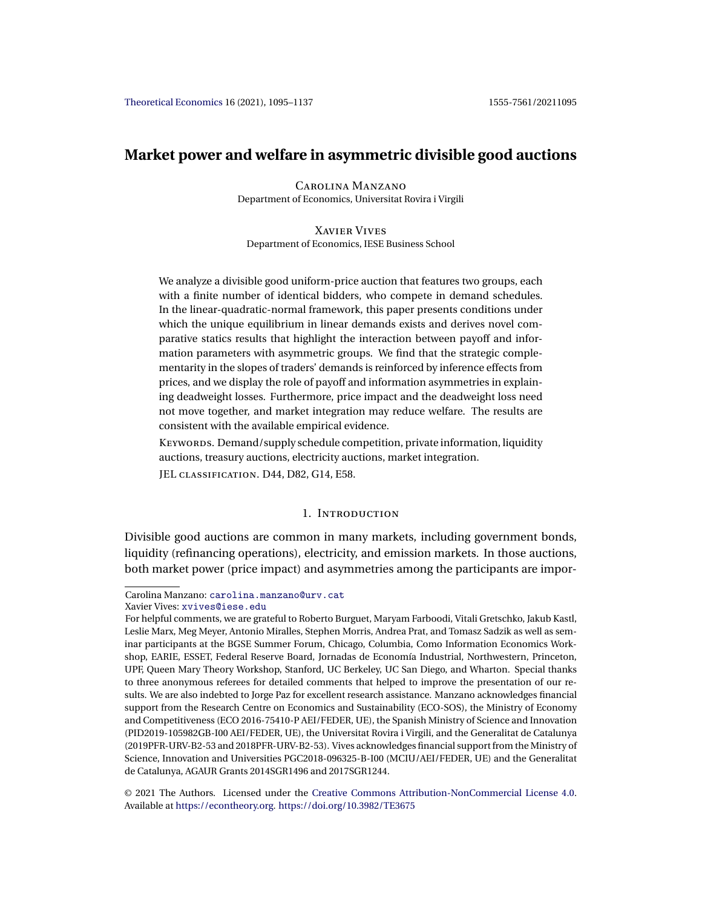# **Market power and welfare in asymmetric divisible good auctions**

Carolina Manzano Department of Economics, Universitat Rovira i Virgili

Xavier Vives Department of Economics, IESE Business School

We analyze a divisible good uniform-price auction that features two groups, each with a finite number of identical bidders, who compete in demand schedules. In the linear-quadratic-normal framework, this paper presents conditions under which the unique equilibrium in linear demands exists and derives novel comparative statics results that highlight the interaction between payoff and information parameters with asymmetric groups. We find that the strategic complementarity in the slopes of traders' demands is reinforced by inference effects from prices, and we display the role of payoff and information asymmetries in explaining deadweight losses. Furthermore, price impact and the deadweight loss need not move together, and market integration may reduce welfare. The results are consistent with the available empirical evidence.

Keywords. Demand/supply schedule competition, private information, liquidity auctions, treasury auctions, electricity auctions, market integration.

JEL classification. D44, D82, G14, E58.

### 1. Introduction

Divisible good auctions are common in many markets, including government bonds, liquidity (refinancing operations), electricity, and emission markets. In those auctions, both market power (price impact) and asymmetries among the participants are impor-

© 2021 The Authors. Licensed under the [Creative Commons Attribution-NonCommercial License 4.0](https://creativecommons.org/licenses/by-nc/4.0/legalcode). Available at <https://econtheory.org>. <https://doi.org/10.3982/TE3675>

Carolina Manzano: [carolina.manzano@urv.cat](mailto:carolina.manzano@urv.cat)

Xavier Vives: [xvives@iese.edu](mailto:xvives@iese.edu) For helpful comments, we are grateful to Roberto Burguet, Maryam Farboodi, Vitali Gretschko, Jakub Kastl, Leslie Marx, Meg Meyer, Antonio Miralles, Stephen Morris, Andrea Prat, and Tomasz Sadzik as well as seminar participants at the BGSE Summer Forum, Chicago, Columbia, Como Information Economics Workshop, EARIE, ESSET, Federal Reserve Board, Jornadas de Economía Industrial, Northwestern, Princeton, UPF, Queen Mary Theory Workshop, Stanford, UC Berkeley, UC San Diego, and Wharton. Special thanks to three anonymous referees for detailed comments that helped to improve the presentation of our results. We are also indebted to Jorge Paz for excellent research assistance. Manzano acknowledges financial support from the Research Centre on Economics and Sustainability (ECO-SOS), the Ministry of Economy and Competitiveness (ECO 2016-75410-P AEI/FEDER, UE), the Spanish Ministry of Science and Innovation (PID2019-105982GB-I00 AEI/FEDER, UE), the Universitat Rovira i Virgili, and the Generalitat de Catalunya (2019PFR-URV-B2-53 and 2018PFR-URV-B2-53). Vives acknowledges financial support from the Ministry of Science, Innovation and Universities PGC2018-096325-B-I00 (MCIU/AEI/FEDER, UE) and the Generalitat de Catalunya, AGAUR Grants 2014SGR1496 and 2017SGR1244.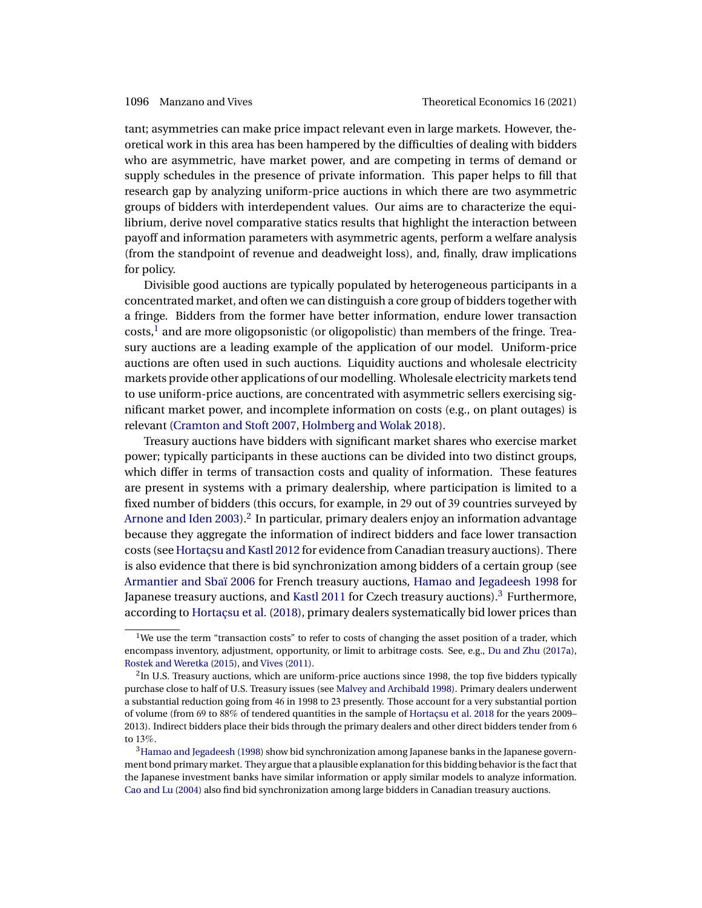<span id="page-1-0"></span>tant; asymmetries can make price impact relevant even in large markets. However, theoretical work in this area has been hampered by the difficulties of dealing with bidders who are asymmetric, have market power, and are competing in terms of demand or supply schedules in the presence of private information. This paper helps to fill that research gap by analyzing uniform-price auctions in which there are two asymmetric groups of bidders with interdependent values. Our aims are to characterize the equilibrium, derive novel comparative statics results that highlight the interaction between payoff and information parameters with asymmetric agents, perform a welfare analysis (from the standpoint of revenue and deadweight loss), and, finally, draw implications for policy.

Divisible good auctions are typically populated by heterogeneous participants in a concentrated market, and often we can distinguish a core group of bidders together with a fringe. Bidders from the former have better information, endure lower transaction  $costs<sub>1</sub><sup>1</sup>$  and are more oligopsonistic (or oligopolistic) than members of the fringe. Treasury auctions are a leading example of the application of our model. Uniform-price auctions are often used in such auctions. Liquidity auctions and wholesale electricity markets provide other applications of our modelling. Wholesale electricity markets tend to use uniform-price auctions, are concentrated with asymmetric sellers exercising significant market power, and incomplete information on costs (e.g., on plant outages) is relevant [\(Cramton and Stoft 2007,](#page-41-0) [Holmberg and Wolak 2018\)](#page-41-0).

Treasury auctions have bidders with significant market shares who exercise market power; typically participants in these auctions can be divided into two distinct groups, which differ in terms of transaction costs and quality of information. These features are present in systems with a primary dealership, where participation is limited to a fixed number of bidders (this occurs, for example, in 29 out of 39 countries surveyed by [Arnone and Iden 2003\)](#page-40-0).<sup>2</sup> In particular, primary dealers enjoy an information advantage because they aggregate the information of indirect bidders and face lower transaction costs (see [Hortaçsu and Kastl 2012](#page-41-0) for evidence from Canadian treasury auctions). There is also evidence that there is bid synchronization among bidders of a certain group (see [Armantier and Sbaï 2006](#page-40-0) for French treasury auctions, [Hamao and Jegadeesh 1998](#page-41-0) for Japanese treasury auctions, and [Kastl 2011](#page-41-0) for Czech treasury auctions).<sup>3</sup> Furthermore, according to [Hortaçsu et al.](#page-41-0) [\(2018\)](#page-41-0), primary dealers systematically bid lower prices than

<sup>&</sup>lt;sup>1</sup>We use the term "transaction costs" to refer to costs of changing the asset position of a trader, which encompass inventory, adjustment, opportunity, or limit to arbitrage costs. See, e.g., [Du and Zhu](#page-41-0) [\(2017a\)](#page-41-0), [Rostek and Weretka](#page-42-0) [\(2015\)](#page-42-0), and [Vives](#page-42-0) [\(2011\)](#page-42-0).

 $<sup>2</sup>$ In U.S. Treasury auctions, which are uniform-price auctions since 1998, the top five bidders typically</sup> purchase close to half of U.S. Treasury issues (see [Malvey and Archibald 1998\)](#page-41-0). Primary dealers underwent a substantial reduction going from 46 in 1998 to 23 presently. Those account for a very substantial portion of volume (from 69 to 88% of tendered quantities in the sample of [Hortaçsu et al. 2018](#page-41-0) for the years 2009– 2013). Indirect bidders place their bids through the primary dealers and other direct bidders tender from 6 to 13%.

<sup>&</sup>lt;sup>3</sup>Hamao and Jegadeesh [\(1998\)](#page-41-0) show bid synchronization among Japanese banks in the Japanese government bond primary market. They argue that a plausible explanation for this bidding behavior is the fact that the Japanese investment banks have similar information or apply similar models to analyze information. [Cao and Lu](#page-40-0) [\(2004\)](#page-40-0) also find bid synchronization among large bidders in Canadian treasury auctions.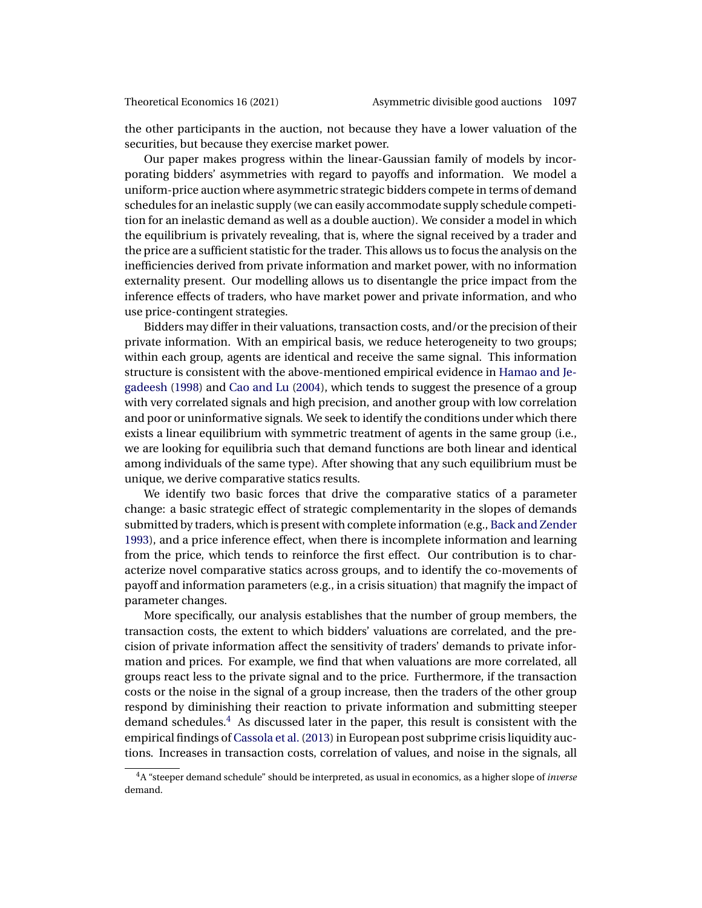<span id="page-2-0"></span>the other participants in the auction, not because they have a lower valuation of the securities, but because they exercise market power.

Our paper makes progress within the linear-Gaussian family of models by incorporating bidders' asymmetries with regard to payoffs and information. We model a uniform-price auction where asymmetric strategic bidders compete in terms of demand schedules for an inelastic supply (we can easily accommodate supply schedule competition for an inelastic demand as well as a double auction). We consider a model in which the equilibrium is privately revealing, that is, where the signal received by a trader and the price are a sufficient statistic for the trader. This allows us to focus the analysis on the inefficiencies derived from private information and market power, with no information externality present. Our modelling allows us to disentangle the price impact from the inference effects of traders, who have market power and private information, and who use price-contingent strategies.

Bidders may differ in their valuations, transaction costs, and/or the precision of their private information. With an empirical basis, we reduce heterogeneity to two groups; within each group, agents are identical and receive the same signal. This information structure is consistent with the above-mentioned empirical evidence in [Hamao and Je](#page-41-0)[gadeesh](#page-41-0) [\(1998\)](#page-41-0) and [Cao and Lu](#page-40-0) [\(2004\)](#page-40-0), which tends to suggest the presence of a group with very correlated signals and high precision, and another group with low correlation and poor or uninformative signals. We seek to identify the conditions under which there exists a linear equilibrium with symmetric treatment of agents in the same group (i.e., we are looking for equilibria such that demand functions are both linear and identical among individuals of the same type). After showing that any such equilibrium must be unique, we derive comparative statics results.

We identify two basic forces that drive the comparative statics of a parameter change: a basic strategic effect of strategic complementarity in the slopes of demands submitted by traders, which is present with complete information (e.g., [Back and Zender](#page-40-0) [1993\)](#page-40-0), and a price inference effect, when there is incomplete information and learning from the price, which tends to reinforce the first effect. Our contribution is to characterize novel comparative statics across groups, and to identify the co-movements of payoff and information parameters (e.g., in a crisis situation) that magnify the impact of parameter changes.

More specifically, our analysis establishes that the number of group members, the transaction costs, the extent to which bidders' valuations are correlated, and the precision of private information affect the sensitivity of traders' demands to private information and prices. For example, we find that when valuations are more correlated, all groups react less to the private signal and to the price. Furthermore, if the transaction costs or the noise in the signal of a group increase, then the traders of the other group respond by diminishing their reaction to private information and submitting steeper demand schedules.<sup>4</sup> As discussed later in the paper, this result is consistent with the empirical findings of [Cassola et al.](#page-40-0) [\(2013\)](#page-40-0) in European post subprime crisis liquidity auctions. Increases in transaction costs, correlation of values, and noise in the signals, all

<sup>4</sup>A "steeper demand schedule" should be interpreted, as usual in economics, as a higher slope of *inverse* demand.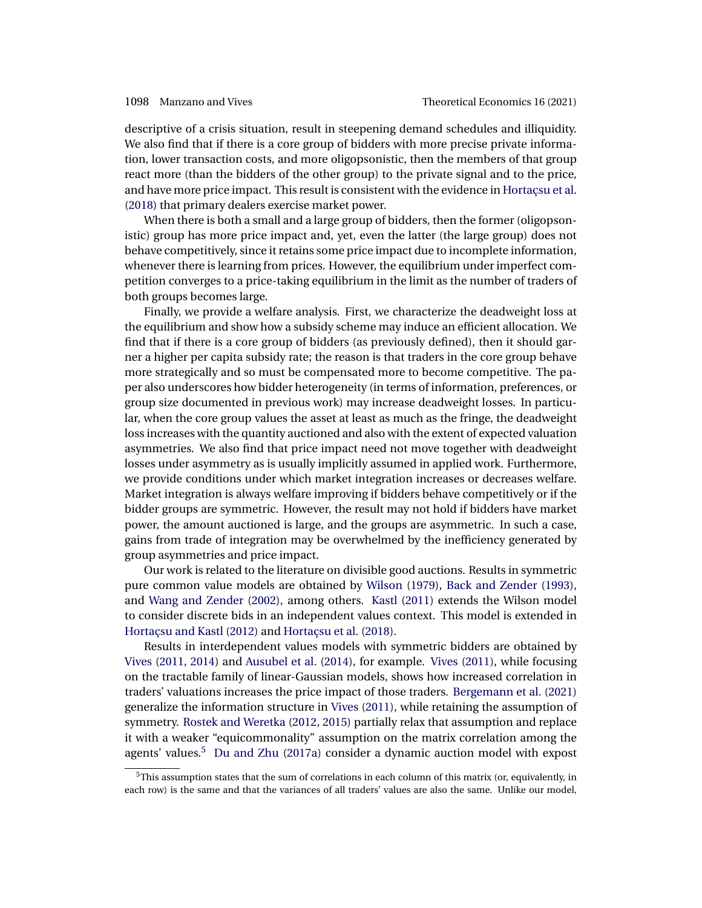<span id="page-3-0"></span>descriptive of a crisis situation, result in steepening demand schedules and illiquidity. We also find that if there is a core group of bidders with more precise private information, lower transaction costs, and more oligopsonistic, then the members of that group react more (than the bidders of the other group) to the private signal and to the price, and have more price impact. This result is consistent with the evidence in [Hortaçsu et al.](#page-41-0) [\(2018\)](#page-41-0) that primary dealers exercise market power.

When there is both a small and a large group of bidders, then the former (oligopsonistic) group has more price impact and, yet, even the latter (the large group) does not behave competitively, since it retains some price impact due to incomplete information, whenever there is learning from prices. However, the equilibrium under imperfect competition converges to a price-taking equilibrium in the limit as the number of traders of both groups becomes large.

Finally, we provide a welfare analysis. First, we characterize the deadweight loss at the equilibrium and show how a subsidy scheme may induce an efficient allocation. We find that if there is a core group of bidders (as previously defined), then it should garner a higher per capita subsidy rate; the reason is that traders in the core group behave more strategically and so must be compensated more to become competitive. The paper also underscores how bidder heterogeneity (in terms of information, preferences, or group size documented in previous work) may increase deadweight losses. In particular, when the core group values the asset at least as much as the fringe, the deadweight loss increases with the quantity auctioned and also with the extent of expected valuation asymmetries. We also find that price impact need not move together with deadweight losses under asymmetry as is usually implicitly assumed in applied work. Furthermore, we provide conditions under which market integration increases or decreases welfare. Market integration is always welfare improving if bidders behave competitively or if the bidder groups are symmetric. However, the result may not hold if bidders have market power, the amount auctioned is large, and the groups are asymmetric. In such a case, gains from trade of integration may be overwhelmed by the inefficiency generated by group asymmetries and price impact.

Our work is related to the literature on divisible good auctions. Results in symmetric pure common value models are obtained by [Wilson](#page-42-0) [\(1979\)](#page-42-0), [Back and Zender](#page-40-0) [\(1993\)](#page-40-0), and [Wang and Zender](#page-42-0) [\(2002\)](#page-42-0), among others. [Kastl](#page-41-0) [\(2011\)](#page-41-0) extends the Wilson model to consider discrete bids in an independent values context. This model is extended in [Hortaçsu and Kastl](#page-41-0) [\(2012\)](#page-41-0) and [Hortaçsu et al.](#page-41-0) [\(2018\)](#page-41-0).

Results in interdependent values models with symmetric bidders are obtained by [Vives](#page-42-0) [\(2011,](#page-42-0) [2014\)](#page-42-0) and [Ausubel et al.](#page-40-0) [\(2014\)](#page-40-0), for example. [Vives](#page-42-0) [\(2011\)](#page-42-0), while focusing on the tractable family of linear-Gaussian models, shows how increased correlation in traders' valuations increases the price impact of those traders. [Bergemann et al.](#page-40-0) [\(2021\)](#page-40-0) generalize the information structure in [Vives](#page-42-0) [\(2011\)](#page-42-0), while retaining the assumption of symmetry. [Rostek and Weretka](#page-42-0) [\(2012,](#page-42-0) [2015\)](#page-42-0) partially relax that assumption and replace it with a weaker "equicommonality" assumption on the matrix correlation among the agents' values.<sup>5</sup> [Du and Zhu](#page-41-0) [\(2017a\)](#page-41-0) consider a dynamic auction model with expost

 $5$ This assumption states that the sum of correlations in each column of this matrix (or, equivalently, in each row) is the same and that the variances of all traders' values are also the same. Unlike our model,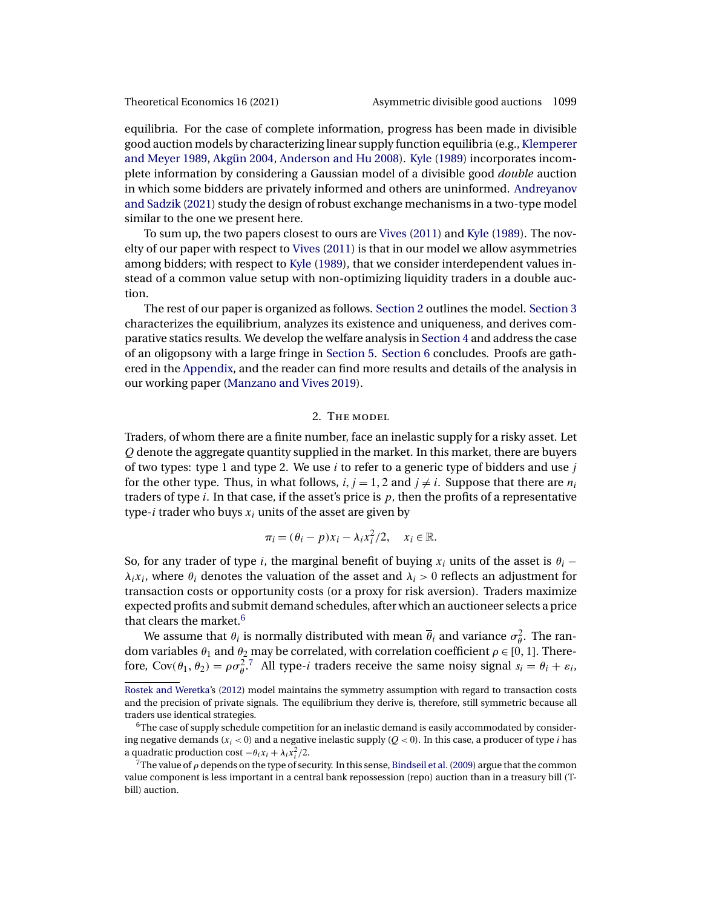<span id="page-4-0"></span>

equilibria. For the case of complete information, progress has been made in divisible good auction models by characterizing linear supply function equilibria (e.g., [Klemperer](#page-41-0) [and Meyer 1989,](#page-41-0) [Akgün 2004,](#page-40-0) [Anderson and Hu 2008\)](#page-40-0). [Kyle](#page-41-0) [\(1989\)](#page-41-0) incorporates incomplete information by considering a Gaussian model of a divisible good *double* auction in which some bidders are privately informed and others are uninformed. [Andreyanov](#page-40-0) [and Sadzik](#page-40-0) [\(2021\)](#page-40-0) study the design of robust exchange mechanisms in a two-type model similar to the one we present here.

To sum up, the two papers closest to ours are [Vives](#page-42-0) [\(2011\)](#page-42-0) and [Kyle](#page-41-0) [\(1989\)](#page-41-0). The novelty of our paper with respect to [Vives](#page-42-0) [\(2011\)](#page-42-0) is that in our model we allow asymmetries among bidders; with respect to [Kyle](#page-41-0) [\(1989\)](#page-41-0), that we consider interdependent values instead of a common value setup with non-optimizing liquidity traders in a double auction.

The rest of our paper is organized as follows. Section 2 outlines the model. [Section 3](#page-5-0) characterizes the equilibrium, analyzes its existence and uniqueness, and derives comparative statics results. We develop the welfare analysis in [Section 4](#page-13-0) and address the case of an oligopsony with a large fringe in [Section 5.](#page-21-0) [Section 6](#page-23-0) concludes. Proofs are gathered in the [Appendix,](#page-23-0) and the reader can find more results and details of the analysis in our working paper [\(Manzano and Vives 2019\)](#page-42-0).

# 2. The model

Traders, of whom there are a finite number, face an inelastic supply for a risky asset. Let Q denote the aggregate quantity supplied in the market. In this market, there are buyers of two types: type 1 and type 2. We use  $i$  to refer to a generic type of bidders and use  $j$ for the other type. Thus, in what follows,  $i, j = 1, 2$  and  $j \neq i$ . Suppose that there are  $n_i$ traders of type  $i$ . In that case, if the asset's price is  $p$ , then the profits of a representative type-*i* trader who buys  $x_i$  units of the asset are given by

$$
\pi_i = (\theta_i - p)x_i - \lambda_i x_i^2/2, \quad x_i \in \mathbb{R}.
$$

So, for any trader of type i, the marginal benefit of buying  $x_i$  units of the asset is  $\theta_i$  –  $\lambda_i x_i$ , where  $\theta_i$  denotes the valuation of the asset and  $\lambda_i > 0$  reflects an adjustment for transaction costs or opportunity costs (or a proxy for risk aversion). Traders maximize expected profits and submit demand schedules, after which an auctioneer selects a price that clears the market.<sup>6</sup>

We assume that  $\theta_i$  is normally distributed with mean  $\overline{\theta}_i$  and variance  $\sigma_{\theta}^2$ . The random variables  $\theta_1$  and  $\theta_2$  may be correlated, with correlation coefficient  $\rho \in [0, 1]$ . Therefore,  $Cov(\theta_1, \theta_2) = \rho \sigma_\theta^2$ .<sup>7</sup> All type-*i* traders receive the same noisy signal  $s_i = \theta_i + \varepsilon_i$ ,

[Rostek and Weretka'](#page-42-0)s [\(2012\)](#page-42-0) model maintains the symmetry assumption with regard to transaction costs and the precision of private signals. The equilibrium they derive is, therefore, still symmetric because all traders use identical strategies.

 $6$ The case of supply schedule competition for an inelastic demand is easily accommodated by considering negative demands  $(x_i < 0)$  and a negative inelastic supply  $(Q < 0)$ . In this case, a producer of type *i* has a quadratic production cost  $-\theta_i x_i + \lambda_i x_i^2/2$ .

<sup>&</sup>lt;sup>7</sup>The value of  $\rho$  depends on the type of security. In this sense, Bindseil et al. (2009) argue that the common value component is less important in a central bank repossession (repo) auction than in a treasury bill (Tbill) auction.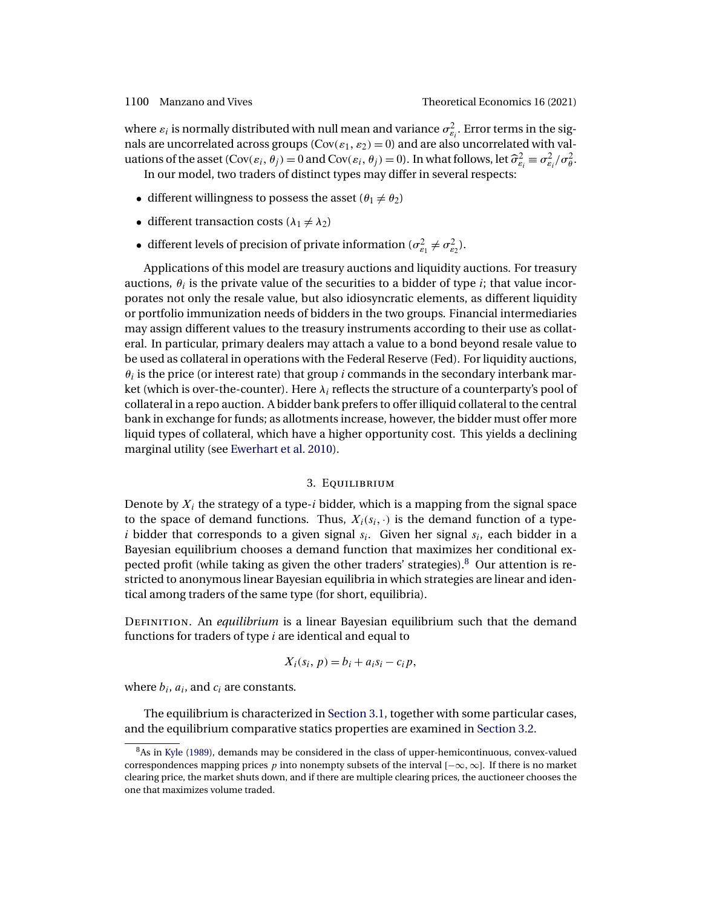<span id="page-5-0"></span>where  $\varepsilon_i$  is normally distributed with null mean and variance  $\sigma_{\varepsilon_i}^2$ . Error terms in the signals are uncorrelated across groups ( $Cov(\varepsilon_1, \varepsilon_2) = 0$ ) and are also uncorrelated with valuations of the asset  $(Cov(\varepsilon_i, \theta_j) = 0$  and  $Cov(\varepsilon_i, \theta_j) = 0)$ . In what follows, let  $\hat{\sigma}_{\varepsilon_i}^2 \equiv \sigma_{\varepsilon_i}^2/\sigma_{\theta}^2$ . In our model, two traders of distinct types may differ in several respects:

- different willingness to possess the asset  $(\theta_1 \neq \theta_2)$
- different transaction costs  $(\lambda_1 \neq \lambda_2)$
- different levels of precision of private information  $(\sigma_{\varepsilon_1}^2 \neq \sigma_{\varepsilon_2}^2)$ .

Applications of this model are treasury auctions and liquidity auctions. For treasury auctions,  $\theta_i$  is the private value of the securities to a bidder of type *i*; that value incorporates not only the resale value, but also idiosyncratic elements, as different liquidity or portfolio immunization needs of bidders in the two groups. Financial intermediaries may assign different values to the treasury instruments according to their use as collateral. In particular, primary dealers may attach a value to a bond beyond resale value to be used as collateral in operations with the Federal Reserve (Fed). For liquidity auctions,  $\theta_i$  is the price (or interest rate) that group i commands in the secondary interbank market (which is over-the-counter). Here  $\lambda_i$  reflects the structure of a counterparty's pool of collateral in a repo auction. A bidder bank prefers to offer illiquid collateral to the central bank in exchange for funds; as allotments increase, however, the bidder must offer more liquid types of collateral, which have a higher opportunity cost. This yields a declining marginal utility (see [Ewerhart et al. 2010\)](#page-41-0).

### 3. Equilibrium

Denote by  $X_i$  the strategy of a type-i bidder, which is a mapping from the signal space to the space of demand functions. Thus,  $X_i(s_i, \cdot)$  is the demand function of a typei bidder that corresponds to a given signal  $s_i$ . Given her signal  $s_i$ , each bidder in a Bayesian equilibrium chooses a demand function that maximizes her conditional expected profit (while taking as given the other traders' strategies). $8$  Our attention is restricted to anonymous linear Bayesian equilibria in which strategies are linear and identical among traders of the same type (for short, equilibria).

Definition. An *equilibrium* is a linear Bayesian equilibrium such that the demand functions for traders of type  $i$  are identical and equal to

$$
X_i(s_i, p) = b_i + a_i s_i - c_i p,
$$

where  $b_i$ ,  $a_i$ , and  $c_i$  are constants.

The equilibrium is characterized in [Section 3.1,](#page-6-0) together with some particular cases, and the equilibrium comparative statics properties are examined in [Section 3.2.](#page-10-0)

<sup>&</sup>lt;sup>8</sup>As in [Kyle](#page-41-0) [\(1989\)](#page-41-0), demands may be considered in the class of upper-hemicontinuous, convex-valued correspondences mapping prices p into nonempty subsets of the interval  $[-\infty, \infty]$ . If there is no market clearing price, the market shuts down, and if there are multiple clearing prices, the auctioneer chooses the one that maximizes volume traded.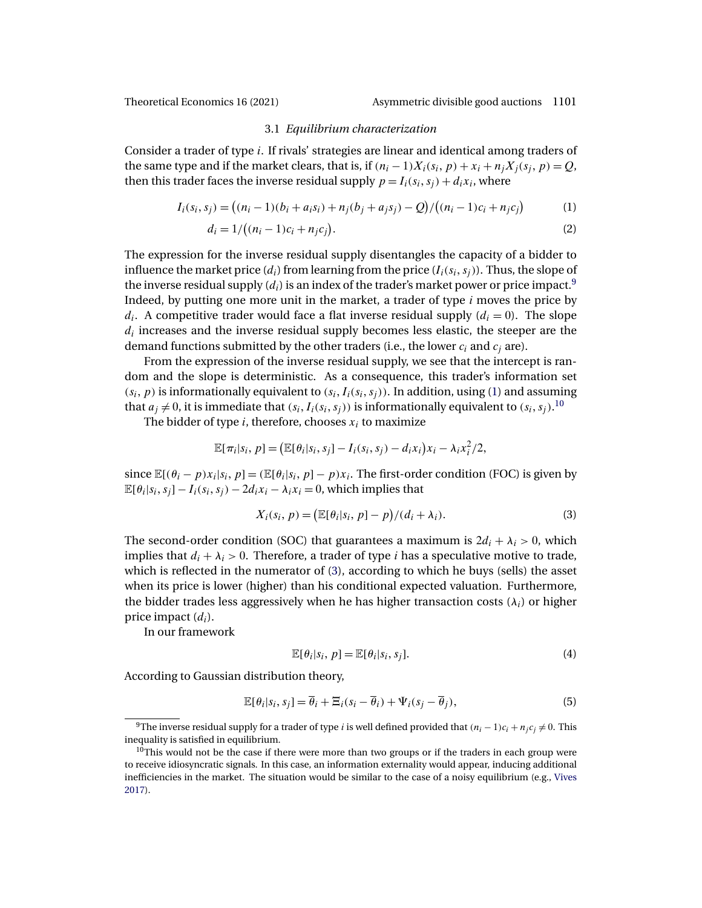<span id="page-6-0"></span>

### 3.1 *Equilibrium characterization*

Consider a trader of type i. If rivals' strategies are linear and identical among traders of the same type and if the market clears, that is, if  $(n_i - 1)X_i(s_i, p) + x_i + n_jX_j(s_j, p) = Q$ , then this trader faces the inverse residual supply  $p = I_i(s_i, s_j) + d_i x_i$ , where

$$
I_i(s_i, s_j) = ((n_i - 1)(b_i + a_i s_i) + n_j(b_j + a_j s_j) - Q) / ((n_i - 1)c_i + n_j c_j)
$$
(1)

$$
d_i = 1/((n_i - 1)c_i + n_j c_j).
$$
 (2)

The expression for the inverse residual supply disentangles the capacity of a bidder to influence the market price  $(d_i)$  from learning from the price  $(I_i(s_i,s_j))$ . Thus, the slope of the inverse residual supply  $(d_i)$  is an index of the trader's market power or price impact.<sup>9</sup> Indeed, by putting one more unit in the market, a trader of type  $i$  moves the price by  $d_i$ . A competitive trader would face a flat inverse residual supply  $(d_i = 0)$ . The slope  $d_i$  increases and the inverse residual supply becomes less elastic, the steeper are the demand functions submitted by the other traders (i.e., the lower  $c_i$  and  $c_j$  are).

From the expression of the inverse residual supply, we see that the intercept is random and the slope is deterministic. As a consequence, this trader's information set  $(s_i, p)$  is informationally equivalent to  $(s_i, I_i(s_i, s_j))$ . In addition, using (1) and assuming that  $a_j \neq 0$ , it is immediate that  $(s_i, I_i(s_i, s_j))$  is informationally equivalent to  $(s_i, s_j)$ .<sup>10</sup>

The bidder of type  $i$ , therefore, chooses  $x_i$  to maximize

$$
\mathbb{E}[\pi_i|s_i, p] = (\mathbb{E}[\theta_i|s_i, s_j] - I_i(s_i, s_j) - d_i x_i)x_i - \lambda_i x_i^2/2,
$$

since  $\mathbb{E}[(\theta_i - p)x_i|s_i, p] = (\mathbb{E}[\theta_i|s_i, p] - p)x_i$ . The first-order condition (FOC) is given by  $\mathbb{E}[\theta_i|s_i,s_j] - I_i(s_i,s_j) - 2d_ix_i - \lambda_ix_i = 0$ , which implies that

$$
X_i(s_i, p) = \left(\mathbb{E}[\theta_i|s_i, p] - p\right) / (d_i + \lambda_i). \tag{3}
$$

The second-order condition (SOC) that guarantees a maximum is  $2d_i + \lambda_i > 0$ , which implies that  $d_i + \lambda_i > 0$ . Therefore, a trader of type *i* has a speculative motive to trade, which is reflected in the numerator of (3), according to which he buys (sells) the asset when its price is lower (higher) than his conditional expected valuation. Furthermore, the bidder trades less aggressively when he has higher transaction costs  $(\lambda_i)$  or higher price impact  $(d_i)$ .

In our framework

$$
\mathbb{E}[\theta_i|s_i, p] = \mathbb{E}[\theta_i|s_i, s_j].
$$
\n(4)

According to Gaussian distribution theory,

$$
\mathbb{E}[\theta_i|s_i,s_j] = \overline{\theta}_i + \Xi_i(s_i - \overline{\theta}_i) + \Psi_i(s_j - \overline{\theta}_j),
$$
\n(5)

<sup>&</sup>lt;sup>9</sup>The inverse residual supply for a trader of type *i* is well defined provided that  $(n_i - 1)c_i + n_jc_j \neq 0$ . This inequality is satisfied in equilibrium.

 $10$ This would not be the case if there were more than two groups or if the traders in each group were to receive idiosyncratic signals. In this case, an information externality would appear, inducing additional inefficiencies in the market. The situation would be similar to the case of a noisy equilibrium (e.g., [Vives](#page-42-0) [2017\)](#page-42-0).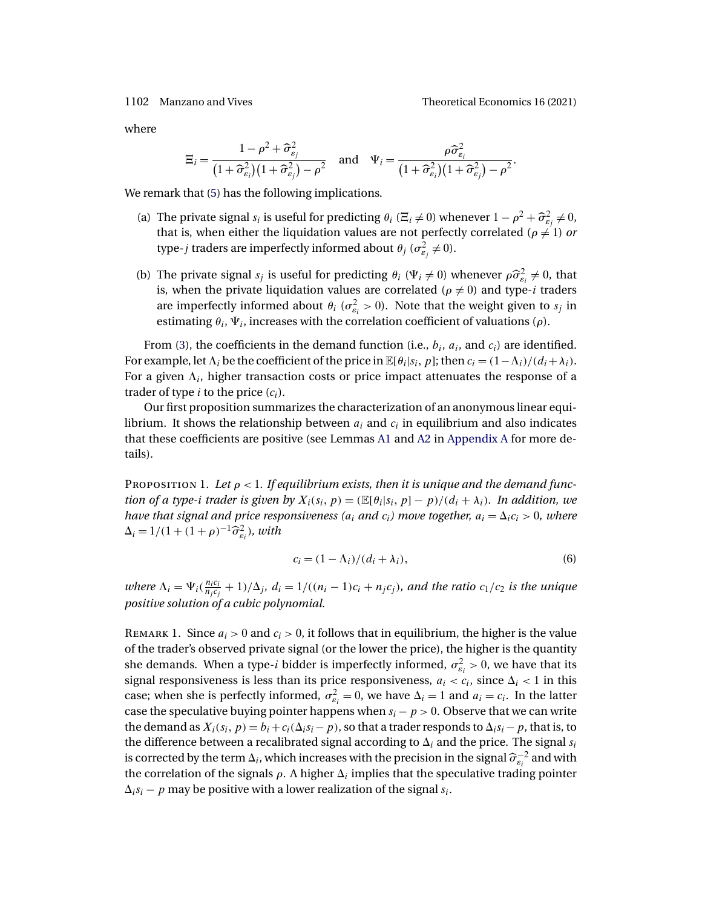<span id="page-7-0"></span>

where

$$
\Xi_i = \frac{1 - \rho^2 + \widehat{\sigma}_{\varepsilon_j}^2}{\left(1 + \widehat{\sigma}_{\varepsilon_i}^2\right)\left(1 + \widehat{\sigma}_{\varepsilon_j}^2\right) - \rho^2} \quad \text{and} \quad \Psi_i = \frac{\rho \widehat{\sigma}_{\varepsilon_i}^2}{\left(1 + \widehat{\sigma}_{\varepsilon_i}^2\right)\left(1 + \widehat{\sigma}_{\varepsilon_j}^2\right) - \rho^2}.
$$

We remark that [\(5\)](#page-6-0) has the following implications.

- (a) The private signal  $s_i$  is useful for predicting  $\theta_i$  ( $\Xi_i \neq 0$ ) whenever  $1 \rho^2 + \widehat{\sigma}_{\varepsilon_j}^2 \neq 0$ , that is, when either the liquidation values are not perfectly correlated ( $\rho \neq 1$ ) *or* type- $j$  traders are imperfectly informed about  $\theta_j$  ( $\sigma_{\varepsilon_j}^2 \neq 0$ ).
- (b) The private signal  $s_j$  is useful for predicting  $\theta_i$  ( $\Psi_i \neq 0$ ) whenever  $\rho \hat{\sigma}_{\varepsilon_i}^2 \neq 0$ , that is, when the private liquidation values are correlated ( $\rho \neq 0$ ) and type-*i* traders are imperfectly informed about  $\theta_i$  ( $\sigma_{\varepsilon_i}^2 > 0$ ). Note that the weight given to  $s_j$  in estimating  $\theta_i$ ,  $\Psi_i$ , increases with the correlation coefficient of valuations ( $\rho$ ).

From [\(3\)](#page-6-0), the coefficients in the demand function (i.e.,  $b_i$ ,  $a_i$ , and  $c_i$ ) are identified. For example, let  $\Lambda_i$  be the coefficient of the price in  $\mathbb{E}[\theta_i|s_i, p]$ ; then  $c_i = (1 - \Lambda_i)/(d_i + \lambda_i)$ . For a given  $\Lambda_i$ , higher transaction costs or price impact attenuates the response of a trader of type  $i$  to the price  $(c_i)$ .

Our first proposition summarizes the characterization of an anonymous linear equilibrium. It shows the relationship between  $a_i$  and  $c_i$  in equilibrium and also indicates that these coefficients are positive (see Lemmas [A1](#page-24-0) and [A2](#page-24-0) in [Appendix A](#page-23-0) for more details).

PROPOSITION 1. Let  $\rho < 1$ . If equilibrium exists, then it is unique and the demand func*tion of a type-i trader is given by*  $X_i(s_i, p) = (\mathbb{E}[\theta_i|s_i, p] - p)/(d_i + \lambda_i)$ *. In addition, we have that signal and price responsiveness* ( $a_i$  *and*  $c_i$ ) move together,  $a_i = \Delta_i c_i > 0$ , where  $\Delta_i = 1/(1 + (1 + \rho)^{-1} \hat{\sigma}_{\varepsilon_i}^2)$ , with

$$
c_i = (1 - \Lambda_i)/(d_i + \lambda_i),\tag{6}
$$

*where*  $\Lambda_i = \Psi_i(\frac{n_ic_i}{n_jc_j} + 1)/\Delta_j$ *,*  $d_i = 1/((n_i - 1)c_i + n_jc_j)$ *, and the ratio*  $c_1/c_2$  *is the unique positive solution of a cubic polynomial.*

REMARK 1. Since  $a_i > 0$  and  $c_i > 0$ , it follows that in equilibrium, the higher is the value of the trader's observed private signal (or the lower the price), the higher is the quantity she demands. When a type-*i* bidder is imperfectly informed,  $\sigma_{\varepsilon_i}^2 > 0$ , we have that its signal responsiveness is less than its price responsiveness,  $a_i < c_i$ , since  $\Delta_i < 1$  in this case; when she is perfectly informed,  $\sigma_{\varepsilon_i}^2 = 0$ , we have  $\Delta_i = 1$  and  $a_i = c_i$ . In the latter case the speculative buying pointer happens when  $s_i - p > 0$ . Observe that we can write the demand as  $X_i(s_i, p) = b_i + c_i(\Delta_i s_i - p)$ , so that a trader responds to  $\Delta_i s_i - p$ , that is, to the difference between a recalibrated signal according to  $\Delta_i$  and the price. The signal  $s_i$ is corrected by the term  $\Delta_i$ , which increases with the precision in the signal  $\widehat{\sigma}_{\varepsilon_i}^{-2}$  and with the correlation of the signals  $\rho$ . A higher  $\Delta_i$  implies that the speculative trading pointer  $\Delta_i s_i - p$  may be positive with a lower realization of the signal  $s_i$ .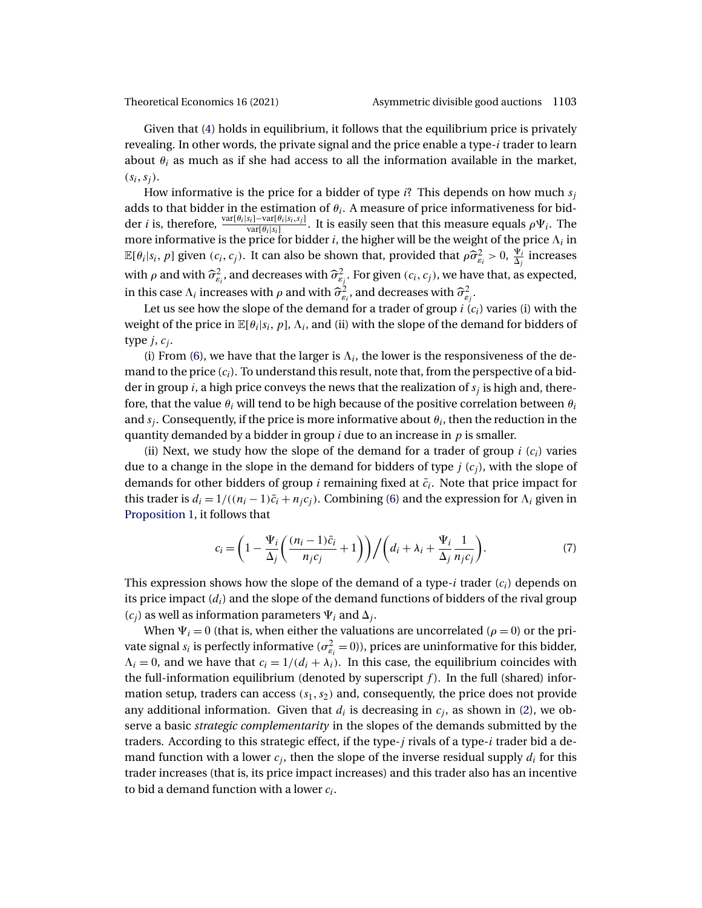<span id="page-8-0"></span>

Given that [\(4\)](#page-6-0) holds in equilibrium, it follows that the equilibrium price is privately revealing. In other words, the private signal and the price enable a type- $i$  trader to learn about  $\theta_i$  as much as if she had access to all the information available in the market,  $(s_i, s_j)$ .

How informative is the price for a bidder of type i? This depends on how much  $s_i$ adds to that bidder in the estimation of  $\theta_i$ . A measure of price informativeness for bidder *i* is, therefore,  $\frac{\text{var}[\theta_i|s_i]-\text{var}[\theta_i|s_i,s_j]}{\text{var}[\theta_i|s_i]}$ . It is easily seen that this measure equals  $\rho \Psi_i$ . The more informative is the price for bidder  $i$ , the higher will be the weight of the price  $\Lambda_i$  in  $\mathbb{E}[\theta_i|s_i,p]$  given  $(c_i,c_j)$ . It can also be shown that, provided that  $\rho \widehat{\sigma}_{\varepsilon_i}^2 > 0$ ,  $\frac{\Psi_i}{\Delta_j}$  increases with  $\rho$  and with  $\widehat{\sigma}^2_{\varepsilon_j}$ , and decreases with  $\widehat{\sigma}^2_{\varepsilon_j}$ . For given  $(c_i,c_j)$ , we have that, as expected, in this case  $\Lambda_i$  increases with  $\rho$  and with  $\widehat{\sigma}_{\varepsilon_i}^2$ , and decreases with  $\widehat{\sigma}_{\varepsilon_j}^2$ .

Let us see how the slope of the demand for a trader of group  $i(c_i)$  varies (i) with the weight of the price in  $\mathbb{E}[\theta_i|s_i, p]$ ,  $\Lambda_i$ , and (ii) with the slope of the demand for bidders of type  $j, c_i$ .

(i) From [\(6\)](#page-7-0), we have that the larger is  $\Lambda_i$ , the lower is the responsiveness of the demand to the price  $(c_i)$ . To understand this result, note that, from the perspective of a bidder in group *i*, a high price conveys the news that the realization of  $s_i$  is high and, therefore, that the value  $\theta_i$  will tend to be high because of the positive correlation between  $\theta_i$ and  $s_i$ . Consequently, if the price is more informative about  $\theta_i$ , then the reduction in the quantity demanded by a bidder in group  $i$  due to an increase in  $p$  is smaller.

(ii) Next, we study how the slope of the demand for a trader of group  $i(c_i)$  varies due to a change in the slope in the demand for bidders of type  $j(c_i)$ , with the slope of demands for other bidders of group i remaining fixed at  $\bar{c}_i$ . Note that price impact for this trader is  $d_i = 1/((n_i - 1)\bar{c}_i + n_i c_i)$ . Combining [\(6\)](#page-7-0) and the expression for  $\Lambda_i$  given in [Proposition 1,](#page-7-0) it follows that

$$
c_i = \left(1 - \frac{\Psi_i}{\Delta_j} \left(\frac{(n_i - 1)\bar{c}_i}{n_j c_j} + 1\right)\right) / \left(d_i + \lambda_i + \frac{\Psi_i}{\Delta_j} \frac{1}{n_j c_j}\right). \tag{7}
$$

This expression shows how the slope of the demand of a type-i trader  $(c_i)$  depends on its price impact  $(d_i)$  and the slope of the demand functions of bidders of the rival group  $(c_i)$  as well as information parameters  $\Psi_i$  and  $\Delta_i$ .

When  $\Psi_i = 0$  (that is, when either the valuations are uncorrelated ( $\rho = 0$ ) or the private signal  $s_i$  is perfectly informative ( $\sigma_{s_i}^2 = 0$ )), prices are uninformative for this bidder,  $\Lambda_i = 0$ , and we have that  $c_i = 1/(d_i + \lambda_i)$ . In this case, the equilibrium coincides with the full-information equilibrium (denoted by superscript  $f$ ). In the full (shared) information setup, traders can access  $(s_1, s_2)$  and, consequently, the price does not provide any additional information. Given that  $d_i$  is decreasing in  $c_i$ , as shown in [\(2\)](#page-6-0), we observe a basic *strategic complementarity* in the slopes of the demands submitted by the traders. According to this strategic effect, if the type- $j$  rivals of a type- $i$  trader bid a demand function with a lower  $c_i$ , then the slope of the inverse residual supply  $d_i$  for this trader increases (that is, its price impact increases) and this trader also has an incentive to bid a demand function with a lower  $c_i$ .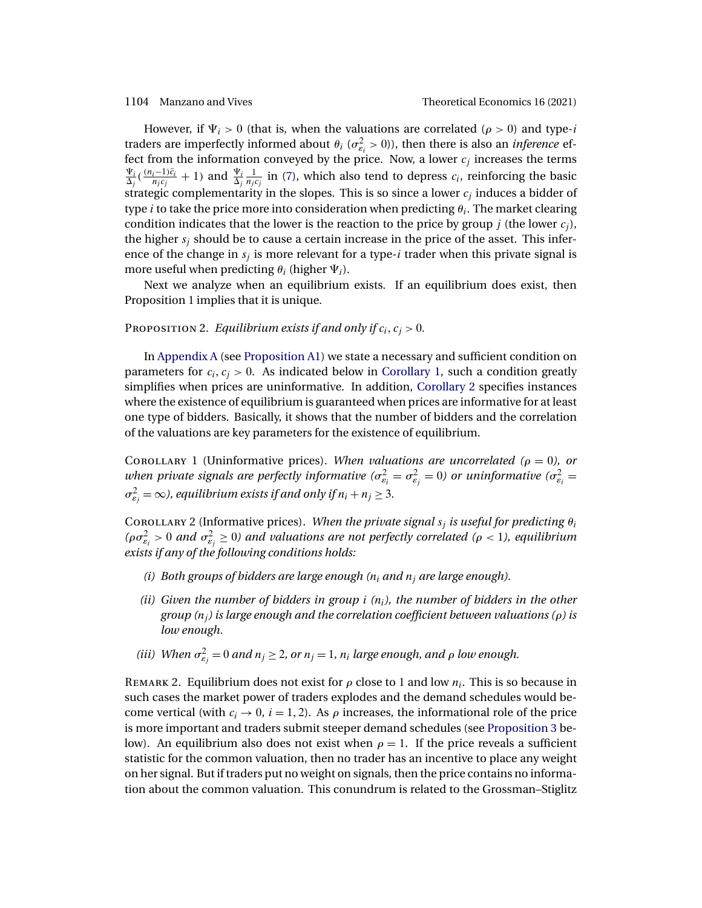<span id="page-9-0"></span>However, if  $\Psi_i > 0$  (that is, when the valuations are correlated ( $\rho > 0$ ) and type-*i* traders are imperfectly informed about  $\theta_i$  ( $\sigma_{\varepsilon_i}^2 > 0$ )), then there is also an *inference* effect from the information conveyed by the price. Now, a lower  $c_j$  increases the terms  $\Psi_i$  $\frac{\Psi_i}{\Delta_j}(\frac{(n_i-1)\bar{c}_i}{n_j c_j}+1)$  and  $\frac{\Psi_i}{\Delta_j} \frac{1}{n_j c_j}$  in [\(7\)](#page-8-0), which also tend to depress  $c_i$ , reinforcing the basic strategic complementarity in the slopes. This is so since a lower  $c_i$  induces a bidder of type *i* to take the price more into consideration when predicting  $\theta_i$ . The market clearing condition indicates that the lower is the reaction to the price by group *i* (the lower  $c_i$ ), the higher  $s_i$  should be to cause a certain increase in the price of the asset. This inference of the change in  $s_i$  is more relevant for a type-i trader when this private signal is more useful when predicting  $\theta_i$  (higher  $\Psi_i$ ).

Next we analyze when an equilibrium exists. If an equilibrium does exist, then Proposition 1 implies that it is unique.

# Proposition 2. *Equilibrium exists if and only if*  $c_i, c_j > 0$ .

In [Appendix A](#page-23-0) (see [Proposition A1\)](#page-26-0) we state a necessary and sufficient condition on parameters for  $c_i, c_j > 0$ . As indicated below in Corollary 1, such a condition greatly simplifies when prices are uninformative. In addition, Corollary 2 specifies instances where the existence of equilibrium is guaranteed when prices are informative for at least one type of bidders. Basically, it shows that the number of bidders and the correlation of the valuations are key parameters for the existence of equilibrium.

COROLLARY 1 (Uninformative prices). *When valuations are uncorrelated* ( $\rho = 0$ ), or when private signals are perfectly informative ( $\sigma_{\varepsilon_i}^2 = \sigma_{\varepsilon_j}^2 = 0$ ) or uninformative ( $\sigma_{\varepsilon_i}^2 = 0$ )  $\sigma_{\varepsilon_j}^2 = \infty$ ), equilibrium exists if and only if  $n_i + n_j \geq 3$ .

Corollary 2 (Informative prices). When the private signal  $s_j$  is useful for predicting  $\theta_i$ ( $\rho \sigma_{\varepsilon_i}^2 > 0$  and  $\sigma_{\varepsilon_j}^2 \ge 0$ ) and valuations are not perfectly correlated ( $\rho < 1$ ), equilibrium *exists if any of the following conditions holds:*

- *(i)* Both groups of bidders are large enough  $(n<sub>i</sub>$  and  $n<sub>j</sub>$  are large enough).
- *(ii)* Given the number of bidders in group *i*  $(n_i)$ , the number of bidders in the other *group (*nj*) is large enough and the correlation coefficient between valuations (*ρ*) is low enough.*
- (iii) When  $\sigma_{\varepsilon_j}^2 = 0$  and  $n_j \geq 2$ , or  $n_j = 1$ ,  $n_i$  large enough, and  $\rho$  low enough.

REMARK 2. Equilibrium does not exist for  $\rho$  close to 1 and low  $n_i$ . This is so because in such cases the market power of traders explodes and the demand schedules would become vertical (with  $c_i \rightarrow 0$ ,  $i = 1, 2$ ). As  $\rho$  increases, the informational role of the price is more important and traders submit steeper demand schedules (see [Proposition 3](#page-10-0) below). An equilibrium also does not exist when  $\rho = 1$ . If the price reveals a sufficient statistic for the common valuation, then no trader has an incentive to place any weight on her signal. But if traders put no weight on signals, then the price contains no information about the common valuation. This conundrum is related to the Grossman–Stiglitz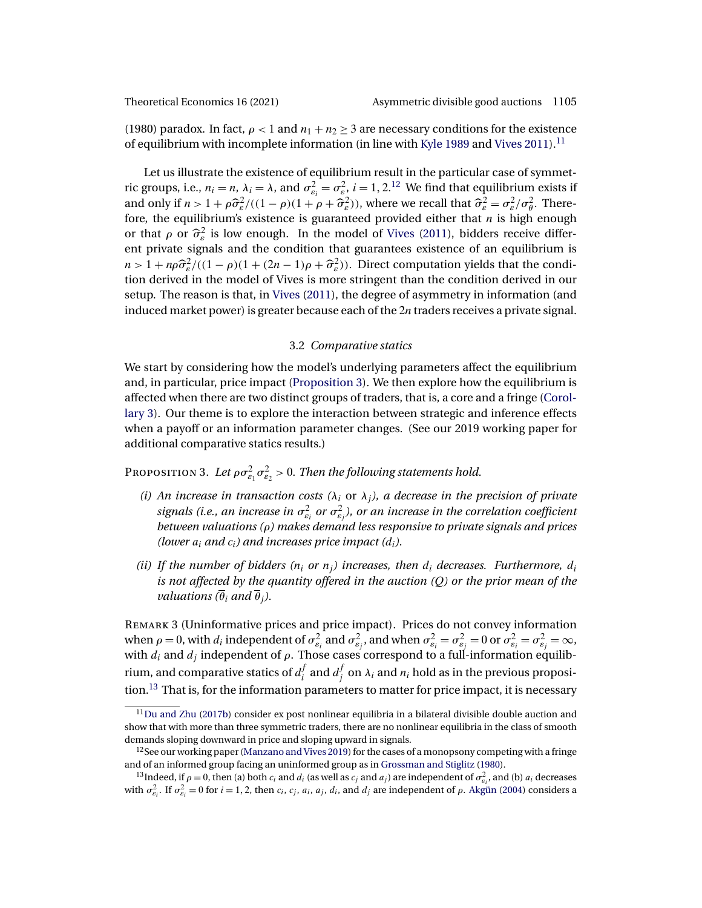<span id="page-10-0"></span>(1980) paradox. In fact,  $\rho < 1$  and  $n_1 + n_2 \geq 3$  are necessary conditions for the existence of equilibrium with incomplete information (in line with [Kyle 1989](#page-41-0) and [Vives 2011\)](#page-42-0).11

Let us illustrate the existence of equilibrium result in the particular case of symmetric groups, i.e.,  $n_i = n$ ,  $\lambda_i = \lambda$ , and  $\sigma_{\varepsilon_i}^2 = \sigma_{\varepsilon_i}^2$ ,  $i = 1, 2$ .<sup>12</sup> We find that equilibrium exists if and only if  $n > 1 + \rho \hat{\sigma}_{\varepsilon}^2/((1 - \rho)(1 + \rho + \hat{\sigma}_{\varepsilon}^2))$ , where we recall that  $\hat{\sigma}_{\varepsilon}^2 = \sigma_{\varepsilon}^2/\sigma_{\theta}^2$ . Therefore, the equilibrium's existence is guaranteed provided either that  $n$  is high enough or that  $\rho$  or  $\hat{\sigma}_{\varepsilon}^2$  is low enough. In the model of [Vives](#page-42-0) [\(2011\)](#page-42-0), bidders receive different private signals and the condition that guarantees existence of an equilibrium is  $n > 1 + n\rho \hat{\sigma}_{\varepsilon}^2/((1-\rho)(1+(2n-1)\rho + \hat{\sigma}_{\varepsilon}^2))$ . Direct computation yields that the condition derived in the model of Vives is more stringent than the condition derived in our setup. The reason is that, in [Vives](#page-42-0) [\(2011\)](#page-42-0), the degree of asymmetry in information (and induced market power) is greater because each of the 2n traders receives a private signal.

### 3.2 *Comparative statics*

We start by considering how the model's underlying parameters affect the equilibrium and, in particular, price impact (Proposition 3). We then explore how the equilibrium is affected when there are two distinct groups of traders, that is, a core and a fringe [\(Corol](#page-13-0)[lary 3\)](#page-13-0). Our theme is to explore the interaction between strategic and inference effects when a payoff or an information parameter changes. (See our 2019 working paper for additional comparative statics results.)

Proposition 3. Let  $\rho \sigma_{\varepsilon_1}^2 \sigma_{\varepsilon_2}^2 > 0$ . Then the following statements hold.

- *(i)* An increase in transaction costs  $(\lambda_i \text{ or } \lambda_j)$ , a decrease in the precision of private signals (i.e., an increase in  $\sigma_{\varepsilon_i}^2$  or  $\sigma_{\varepsilon_j}^2$ ), or an increase in the correlation coefficient *between valuations (*ρ*) makes demand less responsive to private signals and prices (lower*  $a_i$  *and*  $c_i$ *) and increases price impact*  $(d_i)$ *.*
- *(ii)* If the number of bidders  $(n_i \text{ or } n_j)$  increases, then  $d_i$  decreases. Furthermore,  $d_i$ *is not affected by the quantity offered in the auction (*Q*) or the prior mean of the valuations*  $(\overline{\theta}_i \text{ and } \overline{\theta}_i)$ .

REMARK 3 (Uninformative prices and price impact). Prices do not convey information when  $\rho=0$ , with  $d_i$  independent of  $\sigma_{\varepsilon_i}^2$  and  $\sigma_{\varepsilon_j}^2$ , and when  $\sigma_{\varepsilon_i}^2=\sigma_{\varepsilon_j}^2=0$  or  $\sigma_{\varepsilon_i}^2=\sigma_{\varepsilon_j}^2=\infty$ , with  $d_i$  and  $d_j$  independent of  $\rho$ . Those cases correspond to a full-information equilibrium, and comparative statics of  $d_i^f$  and  $d_j^f$  on  $\lambda_i$  and  $n_i$  hold as in the previous proposition.<sup>13</sup> That is, for the information parameters to matter for price impact, it is necessary

 $11$ Du and Zhu [\(2017b\)](#page-41-0) consider ex post nonlinear equilibria in a bilateral divisible double auction and show that with more than three symmetric traders, there are no nonlinear equilibria in the class of smooth demands sloping downward in price and sloping upward in signals.

 $12$ See our working paper [\(Manzano and Vives 2019\)](#page-42-0) for the cases of a monopsony competing with a fringe and of an informed group facing an uninformed group as in [Grossman and Stiglitz](#page-41-0) [\(1980\)](#page-41-0).

<sup>&</sup>lt;sup>13</sup>Indeed, if  $\rho = 0$ , then (a) both  $c_i$  and  $d_i$  (as well as  $c_j$  and  $a_j$ ) are independent of  $\sigma_{\varepsilon_i}^2$ , and (b)  $a_i$  decreases with  $\sigma_{\varepsilon_i}^2$ . If  $\sigma_{\varepsilon_i}^2 = 0$  for  $i = 1, 2$ , then  $c_i$ ,  $c_j$ ,  $a_i$ ,  $a_j$ ,  $d_i$ , and  $d_j$  are independent of  $\rho$ . [Akgün](#page-40-0) [\(2004\)](#page-40-0) considers a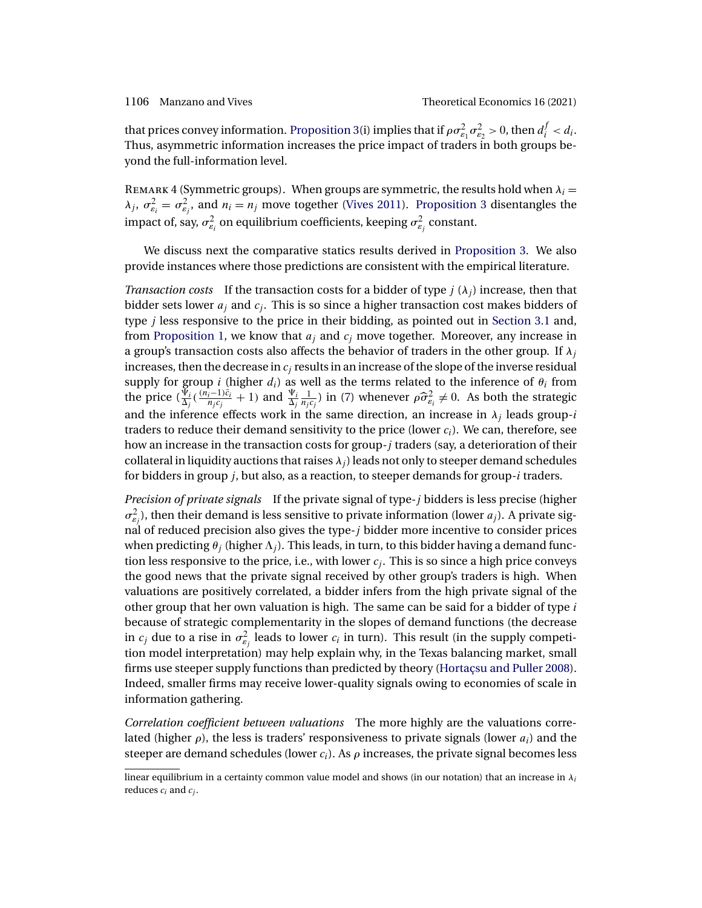<span id="page-11-0"></span>that prices convey information. [Proposition 3\(](#page-10-0)i) implies that if  $\rho \sigma_{\varepsilon_1}^2 \sigma_{\varepsilon_2}^2 > 0$ , then  $d_i^f < d_i$ . Thus, asymmetric information increases the price impact of traders in both groups beyond the full-information level.

REMARK 4 (Symmetric groups). When groups are symmetric, the results hold when  $\lambda_i =$  $\lambda_j$ ,  $\sigma_{\varepsilon_i}^2 = \sigma_{\varepsilon_j}^2$ , and  $n_i = n_j$  move together [\(Vives 2011\)](#page-42-0). [Proposition 3](#page-10-0) disentangles the impact of, say,  $\sigma_{\varepsilon_{i}}^{2}$  on equilibrium coefficients, keeping  $\sigma_{\varepsilon_{j}}^{2}$  constant.

We discuss next the comparative statics results derived in [Proposition 3.](#page-10-0) We also provide instances where those predictions are consistent with the empirical literature.

*Transaction costs* If the transaction costs for a bidder of type  $j(\lambda_i)$  increase, then that bidder sets lower  $a_j$  and  $c_j$ . This is so since a higher transaction cost makes bidders of type j less responsive to the price in their bidding, as pointed out in [Section 3.1](#page-6-0) and, from [Proposition 1,](#page-7-0) we know that  $a_i$  and  $c_j$  move together. Moreover, any increase in a group's transaction costs also affects the behavior of traders in the other group. If  $\lambda_i$ increases, then the decrease in  $c_i$  results in an increase of the slope of the inverse residual supply for group i (higher  $d_i$ ) as well as the terms related to the inference of  $\theta_i$  from the price  $(\frac{\bar{\Psi}_i}{\Delta_j}(\frac{(n_i-1)\bar{c}_i}{n_jc_j}+1)$  and  $\frac{\Psi_i}{\Delta_j} \frac{1}{n_jc_j})$  in [\(7\)](#page-8-0) whenever  $\rho \hat{\sigma}_{\varepsilon_i}^2 \neq 0$ . As both the strategic and the inference effects work in the same direction, an increase in  $\lambda_i$  leads group-*i* traders to reduce their demand sensitivity to the price (lower  $c_i$ ). We can, therefore, see how an increase in the transaction costs for group*-*j traders (say, a deterioration of their collateral in liquidity auctions that raises  $\lambda_i$ ) leads not only to steeper demand schedules for bidders in group j, but also, as a reaction, to steeper demands for group*-*i traders.

*Precision of private signals* If the private signal of type-j bidders is less precise (higher  $\sigma_{\varepsilon_j}^2$ ), then their demand is less sensitive to private information (lower  $a_j$ ). A private signal of reduced precision also gives the type- $j$  bidder more incentive to consider prices when predicting  $\theta_i$  (higher  $\Lambda_i$ ). This leads, in turn, to this bidder having a demand function less responsive to the price, i.e., with lower  $c_j$ . This is so since a high price conveys the good news that the private signal received by other group's traders is high. When valuations are positively correlated, a bidder infers from the high private signal of the other group that her own valuation is high. The same can be said for a bidder of type  $i$ because of strategic complementarity in the slopes of demand functions (the decrease in  $c_j$  due to a rise in  $\sigma_{\varepsilon_j}^2$  leads to lower  $c_i$  in turn). This result (in the supply competition model interpretation) may help explain why, in the Texas balancing market, small firms use steeper supply functions than predicted by theory [\(Hortaçsu and Puller 2008\)](#page-41-0). Indeed, smaller firms may receive lower-quality signals owing to economies of scale in information gathering.

*Correlation coefficient between valuations* The more highly are the valuations correlated (higher  $\rho$ ), the less is traders' responsiveness to private signals (lower  $a_i$ ) and the steeper are demand schedules (lower  $c_i$ ). As  $\rho$  increases, the private signal becomes less

linear equilibrium in a certainty common value model and shows (in our notation) that an increase in  $\lambda_i$ reduces  $c_i$  and  $c_i$ .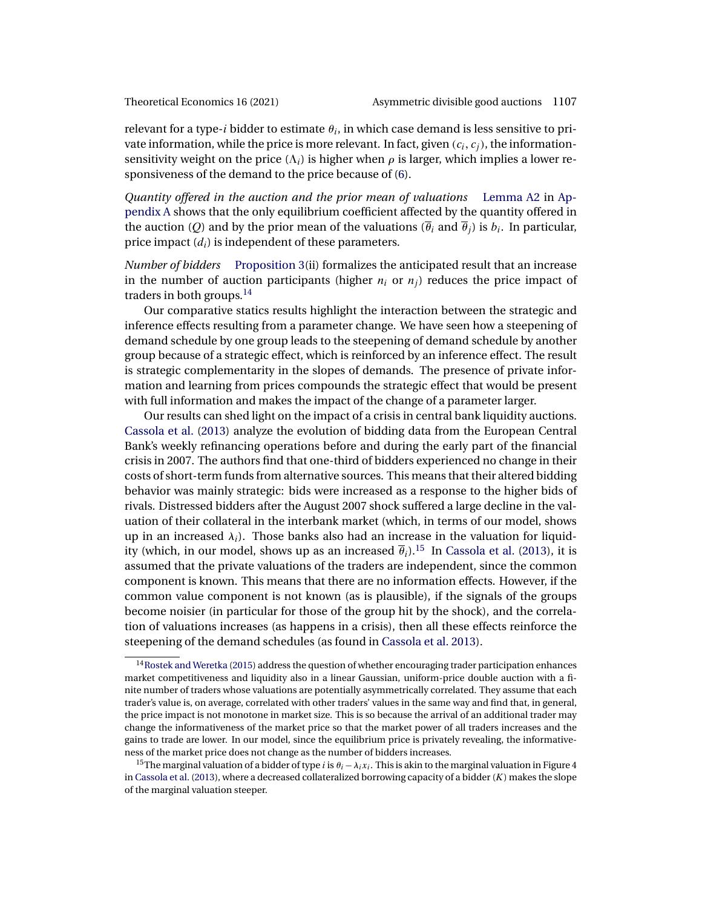<span id="page-12-0"></span>

relevant for a type-i bidder to estimate  $\theta_i$ , in which case demand is less sensitive to private information, while the price is more relevant. In fact, given  $(c_i, c_j)$ , the informationsensitivity weight on the price  $(\Lambda_i)$  is higher when  $\rho$  is larger, which implies a lower responsiveness of the demand to the price because of [\(6\)](#page-7-0).

*Quantity offered in the auction and the prior mean of valuations* [Lemma A2](#page-24-0) in [Ap](#page-23-0)[pendix A](#page-23-0) shows that the only equilibrium coefficient affected by the quantity offered in the auction (Q) and by the prior mean of the valuations ( $\overline{\theta}_i$  and  $\overline{\theta}_j$ ) is  $b_i$ . In particular, price impact  $(d_i)$  is independent of these parameters.

*Number of bidders* [Proposition 3\(](#page-10-0)ii) formalizes the anticipated result that an increase in the number of auction participants (higher  $n_i$  or  $n_j$ ) reduces the price impact of traders in both groups. $^{14}$ 

Our comparative statics results highlight the interaction between the strategic and inference effects resulting from a parameter change. We have seen how a steepening of demand schedule by one group leads to the steepening of demand schedule by another group because of a strategic effect, which is reinforced by an inference effect. The result is strategic complementarity in the slopes of demands. The presence of private information and learning from prices compounds the strategic effect that would be present with full information and makes the impact of the change of a parameter larger.

Our results can shed light on the impact of a crisis in central bank liquidity auctions. [Cassola et al.](#page-40-0) [\(2013\)](#page-40-0) analyze the evolution of bidding data from the European Central Bank's weekly refinancing operations before and during the early part of the financial crisis in 2007. The authors find that one-third of bidders experienced no change in their costs of short-term funds from alternative sources. This means that their altered bidding behavior was mainly strategic: bids were increased as a response to the higher bids of rivals. Distressed bidders after the August 2007 shock suffered a large decline in the valuation of their collateral in the interbank market (which, in terms of our model, shows up in an increased  $\lambda_i$ ). Those banks also had an increase in the valuation for liquidity (which, in our model, shows up as an increased  $\bar{\theta}_i$ ).<sup>15</sup> In [Cassola et al.](#page-40-0) [\(2013\)](#page-40-0), it is assumed that the private valuations of the traders are independent, since the common component is known. This means that there are no information effects. However, if the common value component is not known (as is plausible), if the signals of the groups become noisier (in particular for those of the group hit by the shock), and the correlation of valuations increases (as happens in a crisis), then all these effects reinforce the steepening of the demand schedules (as found in [Cassola et al. 2013\)](#page-40-0).

 $14}$ Rostek and Weretka [\(2015\)](#page-42-0) address the question of whether encouraging trader participation enhances market competitiveness and liquidity also in a linear Gaussian, uniform-price double auction with a finite number of traders whose valuations are potentially asymmetrically correlated. They assume that each trader's value is, on average, correlated with other traders' values in the same way and find that, in general, the price impact is not monotone in market size. This is so because the arrival of an additional trader may change the informativeness of the market price so that the market power of all traders increases and the gains to trade are lower. In our model, since the equilibrium price is privately revealing, the informativeness of the market price does not change as the number of bidders increases.

<sup>&</sup>lt;sup>15</sup>The marginal valuation of a bidder of type *i* is  $\theta_i - \lambda_i x_i$ . This is akin to the marginal valuation in Figure 4 in [Cassola et al.](#page-40-0) [\(2013\)](#page-40-0), where a decreased collateralized borrowing capacity of a bidder  $(K)$  makes the slope of the marginal valuation steeper.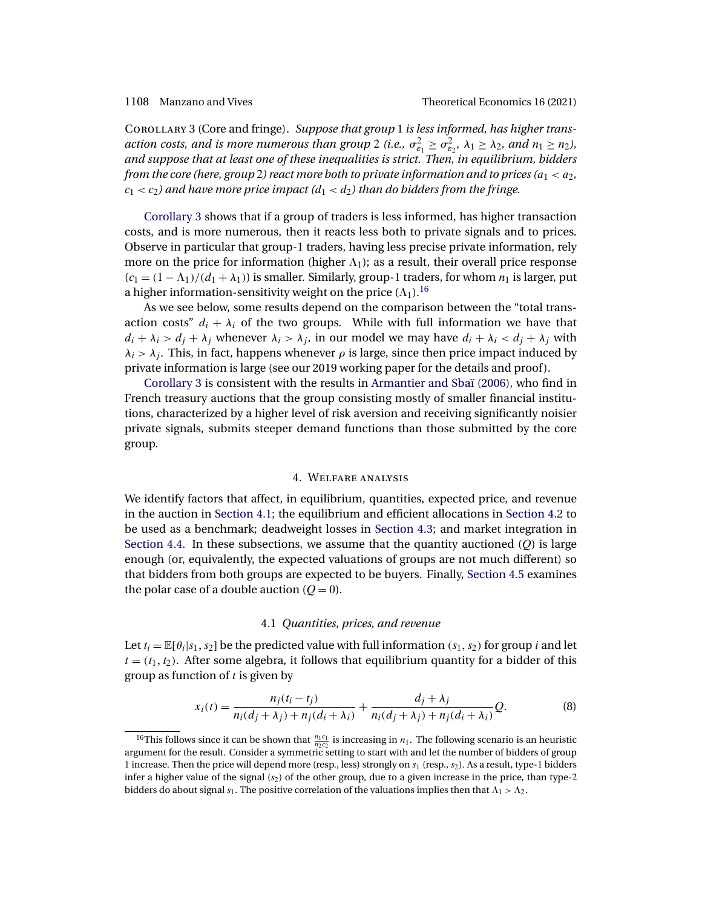<span id="page-13-0"></span>Corollary 3 (Core and fringe). *Suppose that group* 1 *is less informed, has higher trans*action costs, and is more numerous than group 2 (i.e.,  $\sigma_{\varepsilon_1}^2 \geq \sigma_{\varepsilon_2}^2$ ,  $\lambda_1 \geq \lambda_2$ , and  $n_1 \geq n_2$ ), *and suppose that at least one of these inequalities is strict. Then, in equilibrium, bidders from the core (here, group* 2) *react more both to private information and to prices*  $(a_1 < a_2)$ ,  $c_1 < c_2$ ) and have more price impact  $(d_1 < d_2)$  than do bidders from the fringe.

Corollary 3 shows that if a group of traders is less informed, has higher transaction costs, and is more numerous, then it reacts less both to private signals and to prices. Observe in particular that group-1 traders, having less precise private information, rely more on the price for information (higher  $\Lambda_1$ ); as a result, their overall price response  $(c_1 = (1 - \Lambda_1)/(d_1 + \lambda_1))$  is smaller. Similarly, group-1 traders, for whom  $n_1$  is larger, put a higher information-sensitivity weight on the price  $(\Lambda_1)$ .<sup>16</sup>

As we see below, some results depend on the comparison between the "total transaction costs"  $d_i + \lambda_i$  of the two groups. While with full information we have that  $d_i + \lambda_i > d_j + \lambda_j$  whenever  $\lambda_i > \lambda_j$ , in our model we may have  $d_i + \lambda_i < d_j + \lambda_j$  with  $\lambda_i > \lambda_j$ . This, in fact, happens whenever  $\rho$  is large, since then price impact induced by private information is large (see our 2019 working paper for the details and proof).

Corollary 3 is consistent with the results in [Armantier and Sbaï](#page-40-0) [\(2006\)](#page-40-0), who find in French treasury auctions that the group consisting mostly of smaller financial institutions, characterized by a higher level of risk aversion and receiving significantly noisier private signals, submits steeper demand functions than those submitted by the core group.

### 4. Welfare analysis

We identify factors that affect, in equilibrium, quantities, expected price, and revenue in the auction in Section 4.1; the equilibrium and efficient allocations in [Section 4.2](#page-14-0) to be used as a benchmark; deadweight losses in [Section 4.3;](#page-17-0) and market integration in [Section 4.4.](#page-19-0) In these subsections, we assume that the quantity auctioned  $(Q)$  is large enough (or, equivalently, the expected valuations of groups are not much different) so that bidders from both groups are expected to be buyers. Finally, [Section 4.5](#page-21-0) examines the polar case of a double auction  $(Q = 0)$ .

### 4.1 *Quantities, prices, and revenue*

Let  $t_i = \mathbb{E}[\theta_i|s_1, s_2]$  be the predicted value with full information  $(s_1, s_2)$  for group i and let  $t = (t_1, t_2)$ . After some algebra, it follows that equilibrium quantity for a bidder of this group as function of  $t$  is given by

$$
x_i(t) = \frac{n_j(t_i - t_j)}{n_i(d_j + \lambda_j) + n_j(d_i + \lambda_i)} + \frac{d_j + \lambda_j}{n_i(d_j + \lambda_j) + n_j(d_i + \lambda_i)}Q.
$$
 (8)

<sup>&</sup>lt;sup>16</sup>This follows since it can be shown that  $\frac{n_1c_1}{n_2c_2}$  is increasing in  $n_1$ . The following scenario is an heuristic argument for the result. Consider a symmetric setting to start with and let the number of bidders of group 1 increase. Then the price will depend more (resp., less) strongly on  $s_1$  (resp.,  $s_2$ ). As a result, type-1 bidders infer a higher value of the signal  $(s<sub>2</sub>)$  of the other group, due to a given increase in the price, than type-2 bidders do about signal  $s_1$ . The positive correlation of the valuations implies then that  $\Lambda_1 > \Lambda_2$ .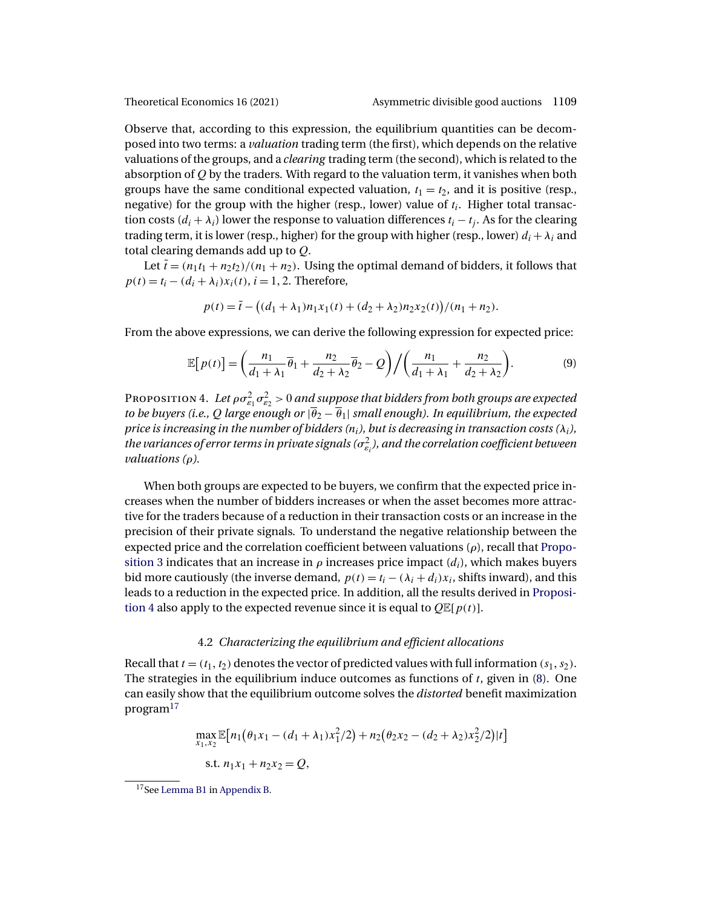<span id="page-14-0"></span>

Observe that, according to this expression, the equilibrium quantities can be decomposed into two terms: a *valuation* trading term (the first), which depends on the relative valuations of the groups, and a *clearing* trading term (the second), which is related to the absorption of  $Q$  by the traders. With regard to the valuation term, it vanishes when both groups have the same conditional expected valuation,  $t_1 = t_2$ , and it is positive (resp., negative) for the group with the higher (resp., lower) value of  $t_i$ . Higher total transaction costs  $(d_i + \lambda_i)$  lower the response to valuation differences  $t_i - t_j$ . As for the clearing trading term, it is lower (resp., higher) for the group with higher (resp., lower)  $d_i + \lambda_i$  and total clearing demands add up to Q.

Let  $\tilde{t} = (n_1t_1 + n_2t_2)/(n_1 + n_2)$ . Using the optimal demand of bidders, it follows that  $p(t) = t_i - (d_i + \lambda_i)x_i(t), i = 1, 2.$  Therefore,

$$
p(t) = \tilde{t} - ((d_1 + \lambda_1)n_1x_1(t) + (d_2 + \lambda_2)n_2x_2(t))/(n_1 + n_2).
$$

From the above expressions, we can derive the following expression for expected price:

$$
\mathbb{E}\big[p(t)\big] = \left(\frac{n_1}{d_1 + \lambda_1}\overline{\theta}_1 + \frac{n_2}{d_2 + \lambda_2}\overline{\theta}_2 - Q\right) / \left(\frac{n_1}{d_1 + \lambda_1} + \frac{n_2}{d_2 + \lambda_2}\right). \tag{9}
$$

Proposition 4. Let  $\rho \sigma_{\varepsilon_1}^2 \sigma_{\varepsilon_2}^2 > 0$  and suppose that bidders from both groups are expected *to be buyers (i.e., Q large enough or*  $|\overline{\theta}_2 - \overline{\theta}_1|$  *small enough). In equilibrium, the expected price is increasing in the number of bidders*  $(n_i)$ *, but is decreasing in transaction costs*  $(\lambda_i)$ , the variances of error terms in private signals ( $\sigma_{\varepsilon_i}^2$ ), and the correlation coefficient between *valuations (*ρ*).*

When both groups are expected to be buyers, we confirm that the expected price increases when the number of bidders increases or when the asset becomes more attractive for the traders because of a reduction in their transaction costs or an increase in the precision of their private signals. To understand the negative relationship between the expected price and the correlation coefficient between valuations  $(\rho)$ , recall that [Propo](#page-10-0)[sition 3](#page-10-0) indicates that an increase in  $\rho$  increases price impact  $(d_i)$ , which makes buyers bid more cautiously (the inverse demand,  $p(t) = t_i - (\lambda_i + d_i)x_i$ , shifts inward), and this leads to a reduction in the expected price. In addition, all the results derived in Proposition 4 also apply to the expected revenue since it is equal to  $Q \mathbb{E}[p(t)]$ .

### 4.2 *Characterizing the equilibrium and efficient allocations*

Recall that  $t = (t_1, t_2)$  denotes the vector of predicted values with full information  $(s_1, s_2)$ . The strategies in the equilibrium induce outcomes as functions of  $t$ , given in [\(8\)](#page-13-0). One can easily show that the equilibrium outcome solves the *distorted* benefit maximization program<sup>17</sup>

$$
\max_{x_1, x_2} \mathbb{E}[n_1(\theta_1 x_1 - (d_1 + \lambda_1)x_1^2/2) + n_2(\theta_2 x_2 - (d_2 + \lambda_2)x_2^2/2)|t]
$$
  
s.t.  $n_1x_1 + n_2x_2 = Q$ ,

<sup>17</sup>See [Lemma B1](#page-36-0) in [Appendix B.](#page-34-0)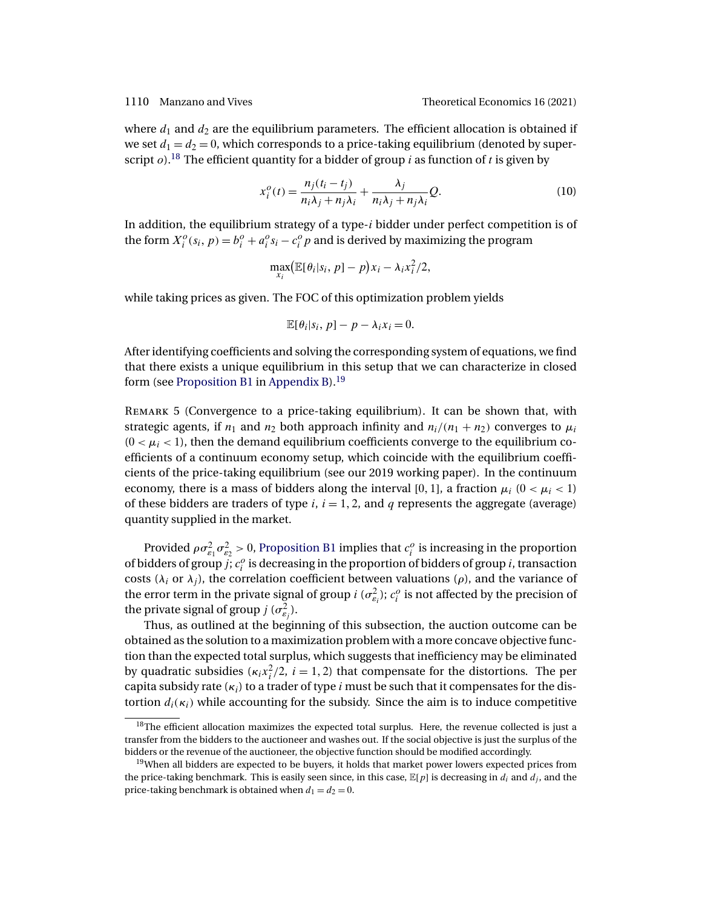<span id="page-15-0"></span>where  $d_1$  and  $d_2$  are the equilibrium parameters. The efficient allocation is obtained if we set  $d_1 = d_2 = 0$ , which corresponds to a price-taking equilibrium (denoted by superscript  $o$ ).<sup>18</sup> The efficient quantity for a bidder of group *i* as function of *t* is given by

$$
x_i^o(t) = \frac{n_j(t_i - t_j)}{n_i \lambda_j + n_j \lambda_i} + \frac{\lambda_j}{n_i \lambda_j + n_j \lambda_i} Q.
$$
 (10)

In addition, the equilibrium strategy of a type- $i$  bidder under perfect competition is of the form  $X_i^o(s_i, p) = b_i^o + a_i^o s_i - c_i^o p$  and is derived by maximizing the program

$$
\max_{x_i} (\mathbb{E}[\theta_i|s_i, p] - p)x_i - \lambda_i x_i^2/2,
$$

while taking prices as given. The FOC of this optimization problem yields

$$
\mathbb{E}[\theta_i|s_i, p] - p - \lambda_i x_i = 0.
$$

After identifying coefficients and solving the corresponding system of equations, we find that there exists a unique equilibrium in this setup that we can characterize in closed form (see [Proposition B1](#page-36-0) in [Appendix B\)](#page-34-0).19

Remark 5 (Convergence to a price-taking equilibrium). It can be shown that, with strategic agents, if  $n_1$  and  $n_2$  both approach infinity and  $n_i/(n_1 + n_2)$  converges to  $\mu_i$  $(0 < \mu_i < 1)$ , then the demand equilibrium coefficients converge to the equilibrium coefficients of a continuum economy setup, which coincide with the equilibrium coefficients of the price-taking equilibrium (see our 2019 working paper). In the continuum economy, there is a mass of bidders along the interval [0, 1], a fraction  $\mu_i$  (0 <  $\mu_i$  < 1) of these bidders are traders of type  $i, i = 1, 2$ , and  $q$  represents the aggregate (average) quantity supplied in the market.

Provided  $\rho \sigma_{\varepsilon_1}^2 \sigma_{\varepsilon_2}^2 > 0$ , [Proposition B1](#page-36-0) implies that  $c_i^o$  is increasing in the proportion of bidders of group  $j$ ;  $c_i^o$  is decreasing in the proportion of bidders of group  $i$ , transaction costs ( $\lambda_i$  or  $\lambda_j$ ), the correlation coefficient between valuations ( $\rho$ ), and the variance of the error term in the private signal of group  $i(\sigma_{\varepsilon_i}^2)$ ;  $c_i^o$  is not affected by the precision of the private signal of group  $j$  ( $\sigma_{\varepsilon_j}^2$ ).

Thus, as outlined at the beginning of this subsection, the auction outcome can be obtained as the solution to a maximization problem with a more concave objective function than the expected total surplus, which suggests that inefficiency may be eliminated by quadratic subsidies  $(\kappa_i x_i^2/2, i = 1, 2)$  that compensate for the distortions. The per capita subsidy rate  $(\kappa_i)$  to a trader of type i must be such that it compensates for the distortion  $d_i(\kappa_i)$  while accounting for the subsidy. Since the aim is to induce competitive

 $18$ The efficient allocation maximizes the expected total surplus. Here, the revenue collected is just a transfer from the bidders to the auctioneer and washes out. If the social objective is just the surplus of the bidders or the revenue of the auctioneer, the objective function should be modified accordingly.

<sup>&</sup>lt;sup>19</sup>When all bidders are expected to be buyers, it holds that market power lowers expected prices from the price-taking benchmark. This is easily seen since, in this case,  $\mathbb{E}[p]$  is decreasing in  $d_i$  and  $d_j$ , and the price-taking benchmark is obtained when  $d_1 = d_2 = 0$ .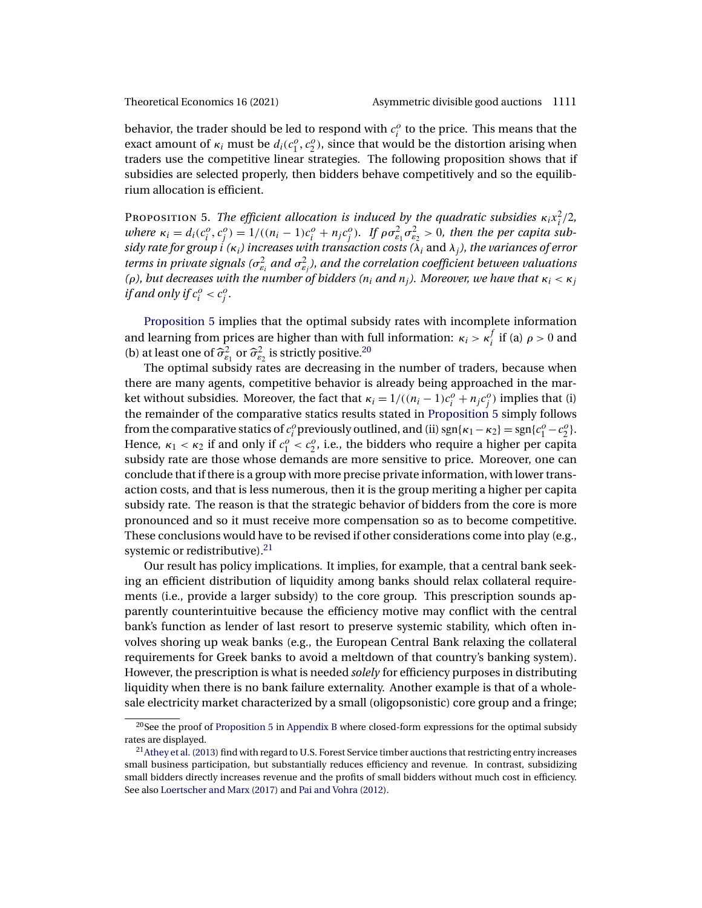<span id="page-16-0"></span>behavior, the trader should be led to respond with  $c_i^o$  to the price. This means that the exact amount of  $\kappa_i$  must be  $d_i(c_1^o, c_2^o)$ , since that would be the distortion arising when traders use the competitive linear strategies. The following proposition shows that if subsidies are selected properly, then bidders behave competitively and so the equilibrium allocation is efficient.

Proposition 5. The efficient allocation is induced by the quadratic subsidies  $\kappa_i x_i^2/2$ , where  $\kappa_i = d_i(c_i^o, c_j^o) = 1/((n_i - 1)c_i^o + n_jc_j^o)$ . If  $\rho \sigma_{\varepsilon_1}^2 \sigma_{\varepsilon_2}^2 > 0$ , then the per capita sub*sidy rate for group* i *(*κi*) increases with transaction costs (*λi and λj*), the variances of error* terms in private signals ( $\sigma_{\varepsilon_i}^2$  and  $\sigma_{\varepsilon_j}^2$ ), and the correlation coefficient between valuations *(ρ), but decreases with the number of bidders (* $n_i$  *and*  $n_j$ *). Moreover, we have that*  $κ_i < κ_j$ *if and only if*  $c_i^o < c_j^o$ .

Proposition 5 implies that the optimal subsidy rates with incomplete information and learning from prices are higher than with full information:  $\kappa_i > \kappa_i^f$  if (a)  $\rho > 0$  and (b) at least one of  $\hat{\sigma}_{\varepsilon_1}^2$  or  $\hat{\sigma}_{\varepsilon_2}^2$  is strictly positive.<sup>20</sup>

The optimal subsidy rates are decreasing in the number of traders, because when there are many agents, competitive behavior is already being approached in the market without subsidies. Moreover, the fact that  $\kappa_i = 1/((n_i - 1)c_i^o + n_j c_j^o)$  implies that (i) the remainder of the comparative statics results stated in Proposition 5 simply follows from the comparative statics of  $c_i^o$  previously outlined, and (ii) sgn{ $\kappa_1 - \kappa_2$ } = sgn{ $c_1^o - c_2^o$ }. Hence,  $\kappa_1 < \kappa_2$  if and only if  $c_1^o < c_2^o$ , i.e., the bidders who require a higher per capita subsidy rate are those whose demands are more sensitive to price. Moreover, one can conclude that if there is a group with more precise private information, with lower transaction costs, and that is less numerous, then it is the group meriting a higher per capita subsidy rate. The reason is that the strategic behavior of bidders from the core is more pronounced and so it must receive more compensation so as to become competitive. These conclusions would have to be revised if other considerations come into play (e.g., systemic or redistributive). $21$ 

Our result has policy implications. It implies, for example, that a central bank seeking an efficient distribution of liquidity among banks should relax collateral requirements (i.e., provide a larger subsidy) to the core group. This prescription sounds apparently counterintuitive because the efficiency motive may conflict with the central bank's function as lender of last resort to preserve systemic stability, which often involves shoring up weak banks (e.g., the European Central Bank relaxing the collateral requirements for Greek banks to avoid a meltdown of that country's banking system). However, the prescription is what is needed *solely* for efficiency purposes in distributing liquidity when there is no bank failure externality. Another example is that of a wholesale electricity market characterized by a small (oligopsonistic) core group and a fringe;

 $20$ See the proof of Proposition 5 in [Appendix B](#page-34-0) where closed-form expressions for the optimal subsidy rates are displayed.

 $^{21}$ Athey et al. [\(2013\)](#page-40-0) find with regard to U.S. Forest Service timber auctions that restricting entry increases small business participation, but substantially reduces efficiency and revenue. In contrast, subsidizing small bidders directly increases revenue and the profits of small bidders without much cost in efficiency. See also [Loertscher and Marx](#page-41-0) [\(2017\)](#page-41-0) and [Pai and Vohra](#page-42-0) [\(2012\)](#page-42-0).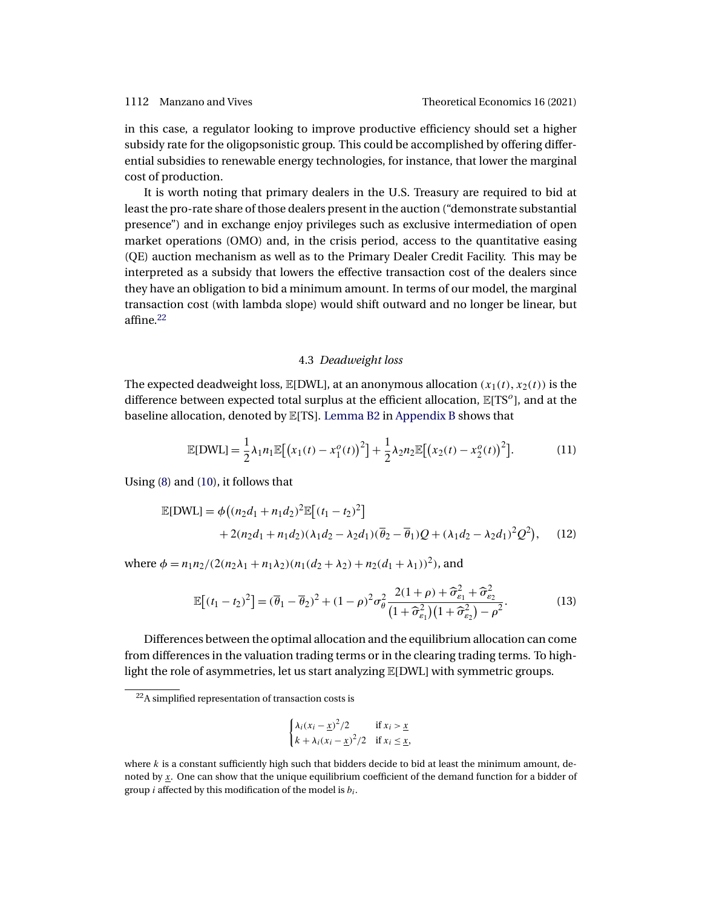<span id="page-17-0"></span>in this case, a regulator looking to improve productive efficiency should set a higher subsidy rate for the oligopsonistic group. This could be accomplished by offering differential subsidies to renewable energy technologies, for instance, that lower the marginal cost of production.

It is worth noting that primary dealers in the U.S. Treasury are required to bid at least the pro-rate share of those dealers present in the auction ("demonstrate substantial presence") and in exchange enjoy privileges such as exclusive intermediation of open market operations (OMO) and, in the crisis period, access to the quantitative easing (QE) auction mechanism as well as to the Primary Dealer Credit Facility. This may be interpreted as a subsidy that lowers the effective transaction cost of the dealers since they have an obligation to bid a minimum amount. In terms of our model, the marginal transaction cost (with lambda slope) would shift outward and no longer be linear, but affine.<sup>22</sup>

# 4.3 *Deadweight loss*

The expected deadweight loss,  $\mathbb{E}[\text{DWL}]$ , at an anonymous allocation  $(x_1(t), x_2(t))$  is the difference between expected total surplus at the efficient allocation,  $\mathbb{E}[TS^o]$ , and at the baseline allocation, denoted by E[TS]. [Lemma B2](#page-38-0) in [Appendix B](#page-34-0) shows that

$$
\mathbb{E}[DWL] = \frac{1}{2}\lambda_1 n_1 \mathbb{E}[(x_1(t) - x_1^o(t))^2] + \frac{1}{2}\lambda_2 n_2 \mathbb{E}[(x_2(t) - x_2^o(t))^2].
$$
 (11)

Using [\(8\)](#page-13-0) and [\(10\)](#page-15-0), it follows that

$$
\mathbb{E}[DWL] = \phi((n_2d_1 + n_1d_2)^2 \mathbb{E}[(t_1 - t_2)^2]
$$
  
+ 2(n\_2d\_1 + n\_1d\_2)(\lambda\_1d\_2 - \lambda\_2d\_1)(\overline{\theta}\_2 - \overline{\theta}\_1)Q + (\lambda\_1d\_2 - \lambda\_2d\_1)^2Q^2), (12)

where  $\phi = n_1 n_2 / (2(n_2 \lambda_1 + n_1 \lambda_2)(n_1(d_2 + \lambda_2) + n_2(d_1 + \lambda_1))^2)$ , and

$$
\mathbb{E}\left[ (t_1 - t_2)^2 \right] = (\overline{\theta}_1 - \overline{\theta}_2)^2 + (1 - \rho)^2 \sigma_\theta^2 \frac{2(1 + \rho) + \widehat{\sigma}_{\varepsilon_1}^2 + \widehat{\sigma}_{\varepsilon_2}^2}{\left( 1 + \widehat{\sigma}_{\varepsilon_1}^2 \right) \left( 1 + \widehat{\sigma}_{\varepsilon_2}^2 \right) - \rho^2}.
$$
 (13)

Differences between the optimal allocation and the equilibrium allocation can come from differences in the valuation trading terms or in the clearing trading terms. To highlight the role of asymmetries, let us start analyzing E[DWL] with symmetric groups.

$$
\begin{cases} \lambda_i (x_i - \underline{x})^2 / 2 & \text{if } x_i > \underline{x} \\ k + \lambda_i (x_i - \underline{x})^2 / 2 & \text{if } x_i \le \underline{x}, \end{cases}
$$

<sup>22</sup>A simplified representation of transaction costs is

where  $k$  is a constant sufficiently high such that bidders decide to bid at least the minimum amount, denoted by x. One can show that the unique equilibrium coefficient of the demand function for a bidder of group *i* affected by this modification of the model is  $b_i$ .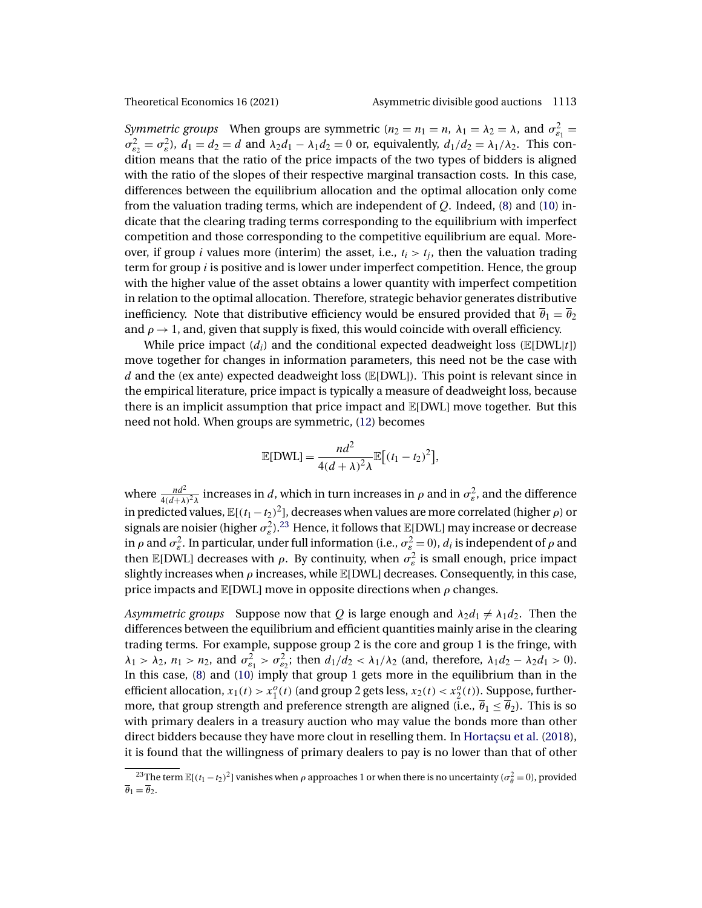<span id="page-18-0"></span>

*Symmetric groups* When groups are symmetric  $(n_2 = n_1 = n, \lambda_1 = \lambda_2 = \lambda)$ , and  $\sigma_{\epsilon_1}^2 =$  $\sigma_{\varepsilon_2}^2 = \sigma_{\varepsilon}^2$ ,  $d_1 = d_2 = d$  and  $\lambda_2 d_1 - \lambda_1 d_2 = 0$  or, equivalently,  $d_1/d_2 = \lambda_1/\lambda_2$ . This condition means that the ratio of the price impacts of the two types of bidders is aligned with the ratio of the slopes of their respective marginal transaction costs. In this case, differences between the equilibrium allocation and the optimal allocation only come from the valuation trading terms, which are independent of  $Q$ . Indeed, [\(8\)](#page-13-0) and [\(10\)](#page-15-0) indicate that the clearing trading terms corresponding to the equilibrium with imperfect competition and those corresponding to the competitive equilibrium are equal. Moreover, if group *i* values more (interim) the asset, i.e.,  $t_i > t_j$ , then the valuation trading term for group i is positive and is lower under imperfect competition. Hence, the group with the higher value of the asset obtains a lower quantity with imperfect competition in relation to the optimal allocation. Therefore, strategic behavior generates distributive inefficiency. Note that distributive efficiency would be ensured provided that  $\overline{\theta}_1 = \overline{\theta}_2$ and  $\rho \rightarrow 1$ , and, given that supply is fixed, this would coincide with overall efficiency.

While price impact  $(d_i)$  and the conditional expected deadweight loss ( $\mathbb{E}[DWL|t]$ ) move together for changes in information parameters, this need not be the case with d and the (ex ante) expected deadweight loss  $(E[DWL])$ . This point is relevant since in the empirical literature, price impact is typically a measure of deadweight loss, because there is an implicit assumption that price impact and E[DWL] move together. But this need not hold. When groups are symmetric, [\(12\)](#page-17-0) becomes

$$
\mathbb{E}[DWL] = \frac{nd^2}{4(d+\lambda)^2 \lambda} \mathbb{E}[(t_1 - t_2)^2],
$$

where  $\frac{nd^2}{4(d+\lambda)^2\lambda}$  increases in d, which in turn increases in  $\rho$  and in  $\sigma_{\varepsilon}^2$ , and the difference in predicted values,  $\mathbb{E}[(t_1 - t_2)^2]$ , decreases when values are more correlated (higher  $\rho$ ) or signals are noisier (higher  $\sigma_{\varepsilon}^2$ ).<sup>23</sup> Hence, it follows that  $\mathbb{E}[\text{DWL}]$  may increase or decrease in  $\rho$  and  $\sigma_{\varepsilon}^2$ . In particular, under full information (i.e.,  $\sigma_{\varepsilon}^2=0$ ),  $d_i$  is independent of  $\rho$  and then  $\mathbb{E}[DWL]$  decreases with  $\rho$ . By continuity, when  $\sigma_{\varepsilon}^2$  is small enough, price impact slightly increases when  $\rho$  increases, while  $\mathbb{E}[DWL]$  decreases. Consequently, in this case, price impacts and  $\mathbb{E}[DWL]$  move in opposite directions when  $\rho$  changes.

*Asymmetric groups* Suppose now that Q is large enough and  $\lambda_2 d_1 \neq \lambda_1 d_2$ . Then the differences between the equilibrium and efficient quantities mainly arise in the clearing trading terms. For example, suppose group 2 is the core and group 1 is the fringe, with  $\lambda_1 > \lambda_2$ ,  $n_1 > n_2$ , and  $\sigma_{\varepsilon_1}^2 > \sigma_{\varepsilon_2}^2$ ; then  $d_1/d_2 < \lambda_1/\lambda_2$  (and, therefore,  $\lambda_1 d_2 - \lambda_2 d_1 > 0$ ). In this case,  $(8)$  and  $(10)$  imply that group 1 gets more in the equilibrium than in the efficient allocation,  $x_1(t) > x_1^o(t)$  (and group 2 gets less,  $x_2(t) < x_2^o(t)$ ). Suppose, furthermore, that group strength and preference strength are aligned (i.e.,  $\overline{\theta}_1 \leq \overline{\theta}_2$ ). This is so with primary dealers in a treasury auction who may value the bonds more than other direct bidders because they have more clout in reselling them. In [Hortaçsu et al.](#page-41-0) [\(2018\)](#page-41-0), it is found that the willingness of primary dealers to pay is no lower than that of other

<sup>&</sup>lt;sup>23</sup>The term  $\mathbb{E}[(t_1-t_2)^2]$  vanishes when  $\rho$  approaches 1 or when there is no uncertainty ( $\sigma_{\theta}^2 = 0$ ), provided  $\overline{\theta}_1 = \overline{\theta}_2.$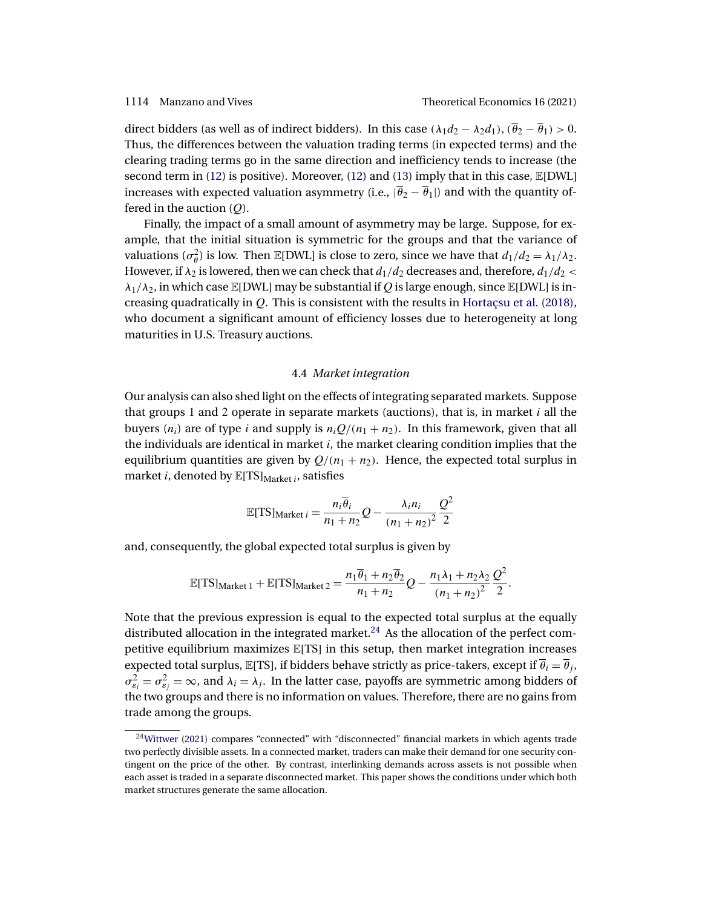<span id="page-19-0"></span>direct bidders (as well as of indirect bidders). In this case  $(\lambda_1 d_2 - \lambda_2 d_1), (\overline{\theta}_2 - \overline{\theta}_1) > 0$ . Thus, the differences between the valuation trading terms (in expected terms) and the clearing trading terms go in the same direction and inefficiency tends to increase (the second term in [\(12\)](#page-17-0) is positive). Moreover, (12) and [\(13\)](#page-17-0) imply that in this case,  $\mathbb{E}[DWL]$ increases with expected valuation asymmetry (i.e.,  $|\overline{\theta}_2 - \overline{\theta}_1|$ ) and with the quantity offered in the auction  $(Q)$ .

Finally, the impact of a small amount of asymmetry may be large. Suppose, for example, that the initial situation is symmetric for the groups and that the variance of valuations  $(\sigma_{\theta}^2)$  is low. Then E[DWL] is close to zero, since we have that  $d_1/d_2 = \lambda_1/\lambda_2$ . However, if  $\lambda_2$  is lowered, then we can check that  $d_1/d_2$  decreases and, therefore,  $d_1/d_2$  <  $\lambda_1/\lambda_2$ , in which case  $\mathbb{E}[DWL]$  may be substantial if Q is large enough, since  $\mathbb{E}[DWL]$  is increasing quadratically in Q. This is consistent with the results in [Hortaçsu et al.](#page-41-0) [\(2018\)](#page-41-0), who document a significant amount of efficiency losses due to heterogeneity at long maturities in U.S. Treasury auctions.

### 4.4 *Market integration*

Our analysis can also shed light on the effects of integrating separated markets. Suppose that groups 1 and 2 operate in separate markets (auctions), that is, in market  $i$  all the buyers ( $n_i$ ) are of type i and supply is  $n_iQ/(n_1 + n_2)$ . In this framework, given that all the individuals are identical in market  $i$ , the market clearing condition implies that the equilibrium quantities are given by  $Q/(n_1 + n_2)$ . Hence, the expected total surplus in market *i*, denoted by  $\mathbb{E}[TS]_{Market}$  *i*, satisfies

$$
\mathbb{E}[TS]_{\text{Market }i} = \frac{n_i \overline{\theta}_i}{n_1 + n_2} Q - \frac{\lambda_i n_i}{(n_1 + n_2)^2} \frac{Q^2}{2}
$$

and, consequently, the global expected total surplus is given by

$$
\mathbb{E}[TS]_{\text{Market 1}} + \mathbb{E}[TS]_{\text{Market 2}} = \frac{n_1 \overline{\theta}_1 + n_2 \overline{\theta}_2}{n_1 + n_2} Q - \frac{n_1 \lambda_1 + n_2 \lambda_2}{(n_1 + n_2)^2} \frac{Q^2}{2}.
$$

Note that the previous expression is equal to the expected total surplus at the equally distributed allocation in the integrated market.<sup>24</sup> As the allocation of the perfect competitive equilibrium maximizes E[TS] in this setup, then market integration increases expected total surplus, E[TS], if bidders behave strictly as price-takers, except if  $\overline{\theta}_i = \overline{\theta}_j$ ,  $\sigma_{\varepsilon_i}^2 = \sigma_{\varepsilon_j}^2 = \infty$ , and  $\lambda_i = \lambda_j$ . In the latter case, payoffs are symmetric among bidders of the two groups and there is no information on values. Therefore, there are no gains from trade among the groups.

 $24$ Wittwer [\(2021\)](#page-42-0) compares "connected" with "disconnected" financial markets in which agents trade two perfectly divisible assets. In a connected market, traders can make their demand for one security contingent on the price of the other. By contrast, interlinking demands across assets is not possible when each asset is traded in a separate disconnected market. This paper shows the conditions under which both market structures generate the same allocation.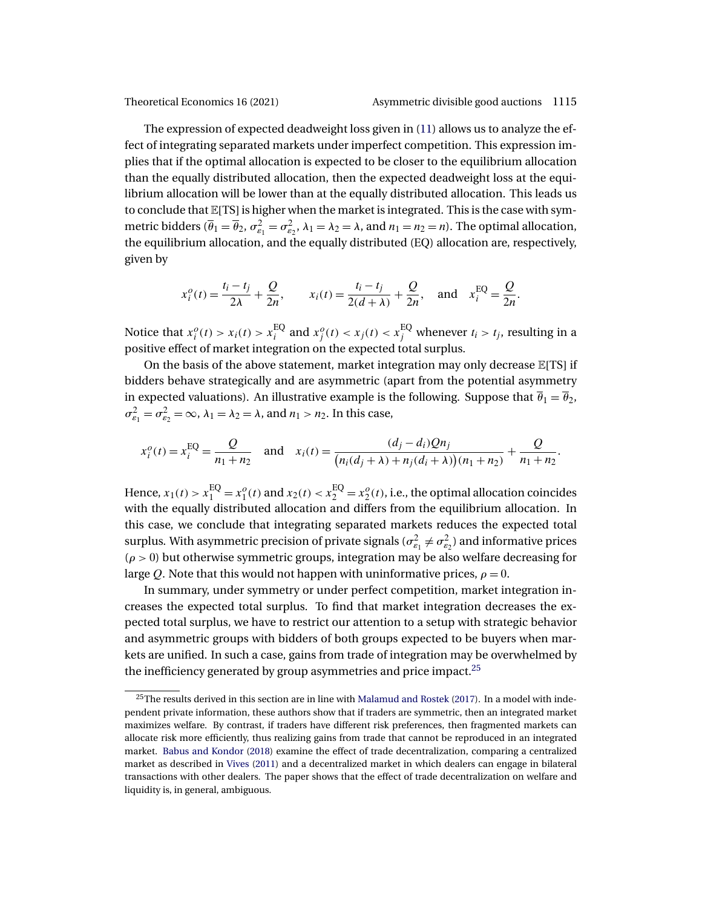<span id="page-20-0"></span>

The expression of expected deadweight loss given in [\(11\)](#page-17-0) allows us to analyze the effect of integrating separated markets under imperfect competition. This expression implies that if the optimal allocation is expected to be closer to the equilibrium allocation than the equally distributed allocation, then the expected deadweight loss at the equilibrium allocation will be lower than at the equally distributed allocation. This leads us to conclude that  $\mathbb{E}[TS]$  is higher when the market is integrated. This is the case with symmetric bidders ( $\overline{\theta}_1 = \overline{\theta}_2$ ,  $\sigma_{\varepsilon_1}^2 = \sigma_{\varepsilon_2}^2$ ,  $\lambda_1 = \lambda_2 = \lambda$ , and  $n_1 = n_2 = n$ ). The optimal allocation, the equilibrium allocation, and the equally distributed (EQ) allocation are, respectively, given by

$$
x_i^o(t) = \frac{t_i - t_j}{2\lambda} + \frac{Q}{2n}
$$
,  $x_i(t) = \frac{t_i - t_j}{2(d + \lambda)} + \frac{Q}{2n}$ , and  $x_i^{EQ} = \frac{Q}{2n}$ .

Notice that  $x_i^o(t) > x_i(t) > x_i^{\text{EQ}}$  and  $x_j^o(t) < x_j(t) < x_j^{\text{EQ}}$  whenever  $t_i > t_j$ , resulting in a positive effect of market integration on the expected total surplus.

On the basis of the above statement, market integration may only decrease  $E[TS]$  if bidders behave strategically and are asymmetric (apart from the potential asymmetry in expected valuations). An illustrative example is the following. Suppose that  $\overline{\theta}_1 = \overline{\theta}_2$ ,  $\sigma_{\varepsilon_1}^2 = \sigma_{\varepsilon_2}^2 = \infty$ ,  $\lambda_1 = \lambda_2 = \lambda$ , and  $n_1 > n_2$ . In this case,

$$
x_i^o(t) = x_i^{EQ} = \frac{Q}{n_1 + n_2} \quad \text{and} \quad x_i(t) = \frac{(d_j - d_i)Qn_j}{(n_i(d_j + \lambda) + n_j(d_i + \lambda))(n_1 + n_2)} + \frac{Q}{n_1 + n_2}.
$$

Hence,  $x_1(t) > x_1^{EQ} = x_1^o(t)$  and  $x_2(t) < x_2^{EQ} = x_2^o(t)$ , i.e., the optimal allocation coincides with the equally distributed allocation and differs from the equilibrium allocation. In this case, we conclude that integrating separated markets reduces the expected total surplus. With asymmetric precision of private signals ( $\sigma_{\varepsilon_1}^2 \neq \sigma_{\varepsilon_2}^2$ ) and informative prices  $(\rho > 0)$  but otherwise symmetric groups, integration may be also welfare decreasing for large Q. Note that this would not happen with uninformative prices,  $\rho = 0$ .

In summary, under symmetry or under perfect competition, market integration increases the expected total surplus. To find that market integration decreases the expected total surplus, we have to restrict our attention to a setup with strategic behavior and asymmetric groups with bidders of both groups expected to be buyers when markets are unified. In such a case, gains from trade of integration may be overwhelmed by the inefficiency generated by group asymmetries and price impact.<sup>25</sup>

<sup>&</sup>lt;sup>25</sup>The results derived in this section are in line with [Malamud and Rostek](#page-41-0) [\(2017\)](#page-41-0). In a model with independent private information, these authors show that if traders are symmetric, then an integrated market maximizes welfare. By contrast, if traders have different risk preferences, then fragmented markets can allocate risk more efficiently, thus realizing gains from trade that cannot be reproduced in an integrated market. [Babus and Kondor](#page-40-0) [\(2018\)](#page-40-0) examine the effect of trade decentralization, comparing a centralized market as described in [Vives](#page-42-0) [\(2011\)](#page-42-0) and a decentralized market in which dealers can engage in bilateral transactions with other dealers. The paper shows that the effect of trade decentralization on welfare and liquidity is, in general, ambiguous.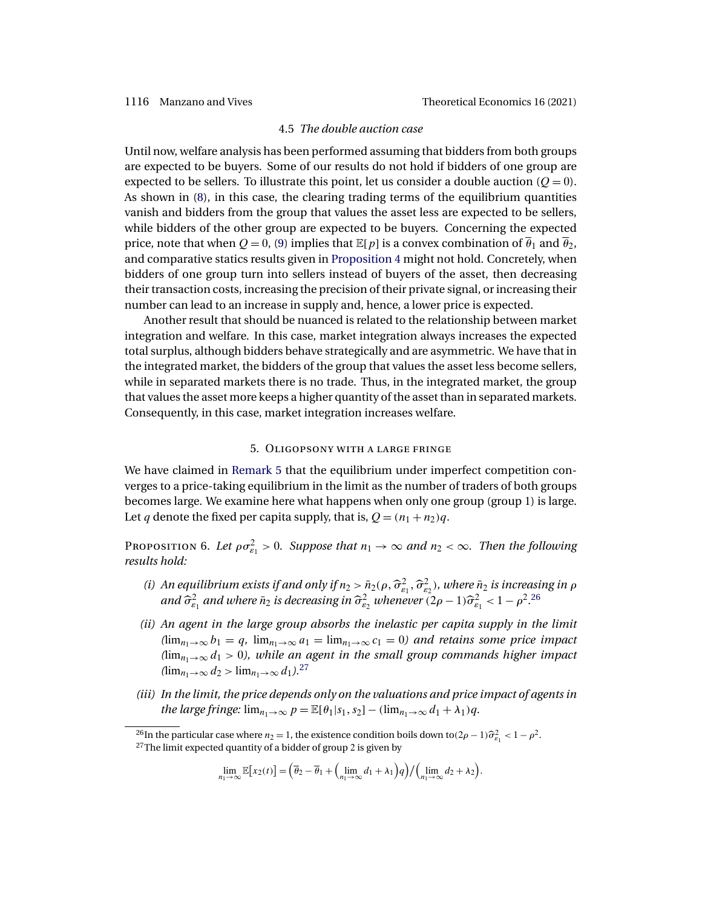### 4.5 *The double auction case*

<span id="page-21-0"></span>Until now, welfare analysis has been performed assuming that bidders from both groups are expected to be buyers. Some of our results do not hold if bidders of one group are expected to be sellers. To illustrate this point, let us consider a double auction ( $Q = 0$ ). As shown in [\(8\)](#page-13-0), in this case, the clearing trading terms of the equilibrium quantities vanish and bidders from the group that values the asset less are expected to be sellers, while bidders of the other group are expected to be buyers. Concerning the expected price, note that when  $Q = 0$ , [\(9\)](#page-14-0) implies that  $\mathbb{E}[p]$  is a convex combination of  $\overline{\theta}_1$  and  $\overline{\theta}_2$ , and comparative statics results given in [Proposition 4](#page-14-0) might not hold. Concretely, when bidders of one group turn into sellers instead of buyers of the asset, then decreasing their transaction costs, increasing the precision of their private signal, or increasing their number can lead to an increase in supply and, hence, a lower price is expected.

Another result that should be nuanced is related to the relationship between market integration and welfare. In this case, market integration always increases the expected total surplus, although bidders behave strategically and are asymmetric. We have that in the integrated market, the bidders of the group that values the asset less become sellers, while in separated markets there is no trade. Thus, in the integrated market, the group that values the asset more keeps a higher quantity of the asset than in separated markets. Consequently, in this case, market integration increases welfare.

# 5. Oligopsony with a large fringe

We have claimed in [Remark 5](#page-15-0) that the equilibrium under imperfect competition converges to a price-taking equilibrium in the limit as the number of traders of both groups becomes large. We examine here what happens when only one group (group 1) is large. Let q denote the fixed per capita supply, that is,  $Q = (n_1 + n_2)q$ .

Proposition 6. Let  $\rho \sigma_{\varepsilon_1}^2 > 0$ . Suppose that  $n_1 \to \infty$  and  $n_2 < \infty$ . Then the following *results hold:*

- (i) An equilibrium exists if and only if  $n_2 > \bar{n}_2(\rho, \hat{\sigma}_{\varepsilon_1}^2, \hat{\sigma}_{\varepsilon_2}^2)$ , where  $\bar{n}_2$  is increasing in  $\rho$ and  $\widehat{\sigma}^2_{\varepsilon_1}$  and where  $\bar{n}_2$  is decreasing in  $\widehat{\sigma}^2_{\varepsilon_2}$  whenever  $(2\rho-1)\widehat{\sigma}^2_{\varepsilon_1} < 1-\rho^2.26$
- *(ii) An agent in the large group absorbs the inelastic per capita supply in the limit*  $(\lim_{n_1\to\infty}b_1=q, \lim_{n_1\to\infty}a_1=\lim_{n_1\to\infty}c_1=0)$  and retains some price impact  $(\lim_{n_1\to\infty}d_1>0)$ , while an agent in the small group commands higher impact  $(\lim_{n_1\to\infty}d_2> \lim_{n_1\to\infty}d_1).^{27}$
- *(iii) In the limit, the price depends only on the valuations and price impact of agents in the large fringe:*  $\lim_{n_1 \to \infty} p = \mathbb{E}[\theta_1 | s_1, s_2] - (\lim_{n_1 \to \infty} d_1 + \lambda_1)q$ .

$$
\lim_{n_1\to\infty}\mathbb{E}[x_2(t)] = \left(\overline{\theta}_2 - \overline{\theta}_1 + \left(\lim_{n_1\to\infty}d_1 + \lambda_1\right)q\right) / \left(\lim_{n_1\to\infty}d_2 + \lambda_2\right).
$$

<sup>&</sup>lt;sup>26</sup>In the particular case where  $n_2 = 1$ , the existence condition boils down to(2 $\rho - 1$ ) $\widehat{\sigma}_{e_1}^2 < 1 - \rho^2$ .<br><sup>27</sup>The limit expected quantity of a bidder of group 2 is given by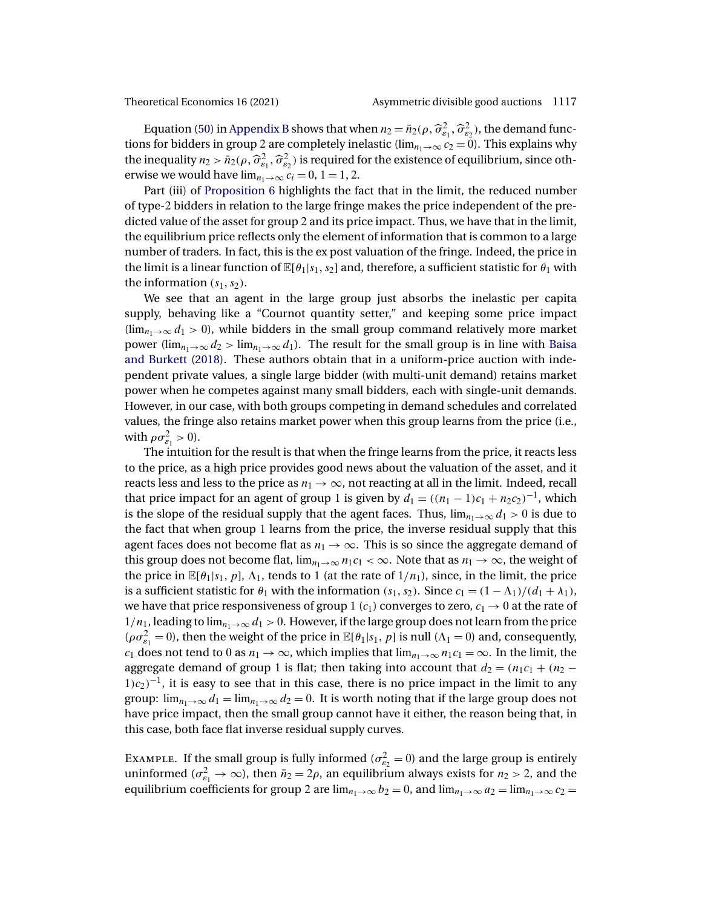<span id="page-22-0"></span>

Equation [\(50\)](#page-39-0) in [Appendix B](#page-34-0) shows that when  $n_2 = \bar{n}_2(\rho, \hat{\sigma}_{\varepsilon_1}^2, \hat{\sigma}_{\varepsilon_2}^2)$ , the demand functions for bidders in group 2 are completely inelastic (lim<sub>n+→∞</sub>  $c_2 = 0$ ). This explains why the inequality  $n_2 > \bar{n}_2(\rho, \hat{\sigma}_{\varepsilon_1}^2, \hat{\sigma}_{\varepsilon_2}^2)$  is required for the existence of equilibrium, since otherwise we would have  $\lim_{n_1\to\infty} c_i = 0, 1 = 1, 2$ .

Part (iii) of [Proposition 6](#page-21-0) highlights the fact that in the limit, the reduced number of type-2 bidders in relation to the large fringe makes the price independent of the predicted value of the asset for group 2 and its price impact. Thus, we have that in the limit, the equilibrium price reflects only the element of information that is common to a large number of traders. In fact, this is the ex post valuation of the fringe. Indeed, the price in the limit is a linear function of  $\mathbb{E}[\theta_1|s_1,s_2]$  and, therefore, a sufficient statistic for  $\theta_1$  with the information  $(s_1, s_2)$ .

We see that an agent in the large group just absorbs the inelastic per capita supply, behaving like a "Cournot quantity setter," and keeping some price impact  $(\lim_{n\to\infty}d_1>0)$ , while bidders in the small group command relatively more market power (lim<sub>n1→∞</sub>  $d_2$  > lim<sub>n1→∞</sub>  $d_1$ ). The result for the small group is in line with [Baisa](#page-40-0) [and Burkett](#page-40-0) [\(2018\)](#page-40-0). These authors obtain that in a uniform-price auction with independent private values, a single large bidder (with multi-unit demand) retains market power when he competes against many small bidders, each with single-unit demands. However, in our case, with both groups competing in demand schedules and correlated values, the fringe also retains market power when this group learns from the price (i.e., with  $\rho \sigma_{\varepsilon_1}^2 > 0$ ).

The intuition for the result is that when the fringe learns from the price, it reacts less to the price, as a high price provides good news about the valuation of the asset, and it reacts less and less to the price as  $n_1 \rightarrow \infty$ , not reacting at all in the limit. Indeed, recall that price impact for an agent of group 1 is given by  $d_1 = ((n_1 - 1)c_1 + n_2c_2)^{-1}$ , which is the slope of the residual supply that the agent faces. Thus,  $\lim_{n\to\infty} d_1 > 0$  is due to the fact that when group 1 learns from the price, the inverse residual supply that this agent faces does not become flat as  $n_1 \rightarrow \infty$ . This is so since the aggregate demand of this group does not become flat,  $\lim_{n_1\to\infty} n_1c_1 < \infty$ . Note that as  $n_1 \to \infty$ , the weight of the price in  $\mathbb{E}[\theta_1|s_1, p]$ ,  $\Lambda_1$ , tends to 1 (at the rate of  $1/n_1$ ), since, in the limit, the price is a sufficient statistic for  $\theta_1$  with the information  $(s_1, s_2)$ . Since  $c_1 = (1 - \Lambda_1)/(d_1 + \lambda_1)$ , we have that price responsiveness of group 1  $(c_1)$  converges to zero,  $c_1 \rightarrow 0$  at the rate of  $1/n_1$ , leading to  $\lim_{n_1\to\infty} d_1 > 0$ . However, if the large group does not learn from the price  $(\rho \sigma_{\varepsilon_1}^2 = 0)$ , then the weight of the price in  $\mathbb{E}[\theta_1|s_1, p]$  is null  $(\Lambda_1 = 0)$  and, consequently, c<sub>1</sub> does not tend to 0 as  $n_1 \to \infty$ , which implies that  $\lim_{n_1 \to \infty} n_1c_1 = \infty$ . In the limit, the aggregate demand of group 1 is flat; then taking into account that  $d_2 = (n_1c_1 + (n_2 1/c<sub>2</sub>$ )<sup>-1</sup>, it is easy to see that in this case, there is no price impact in the limit to any group:  $\lim_{n_1\to\infty}d_1 = \lim_{n_1\to\infty}d_2 = 0$ . It is worth noting that if the large group does not have price impact, then the small group cannot have it either, the reason being that, in this case, both face flat inverse residual supply curves.

EXAMPLE. If the small group is fully informed ( $\sigma_{\epsilon_2}^2 = 0$ ) and the large group is entirely uninformed ( $\sigma_{\varepsilon_1}^2 \to \infty$ ), then  $\bar{n}_2 = 2\rho$ , an equilibrium always exists for  $n_2 > 2$ , and the equilibrium coefficients for group 2 are  $\lim_{n_1\to\infty} b_2 = 0$ , and  $\lim_{n_1\to\infty} a_2 = \lim_{n_1\to\infty} c_2 =$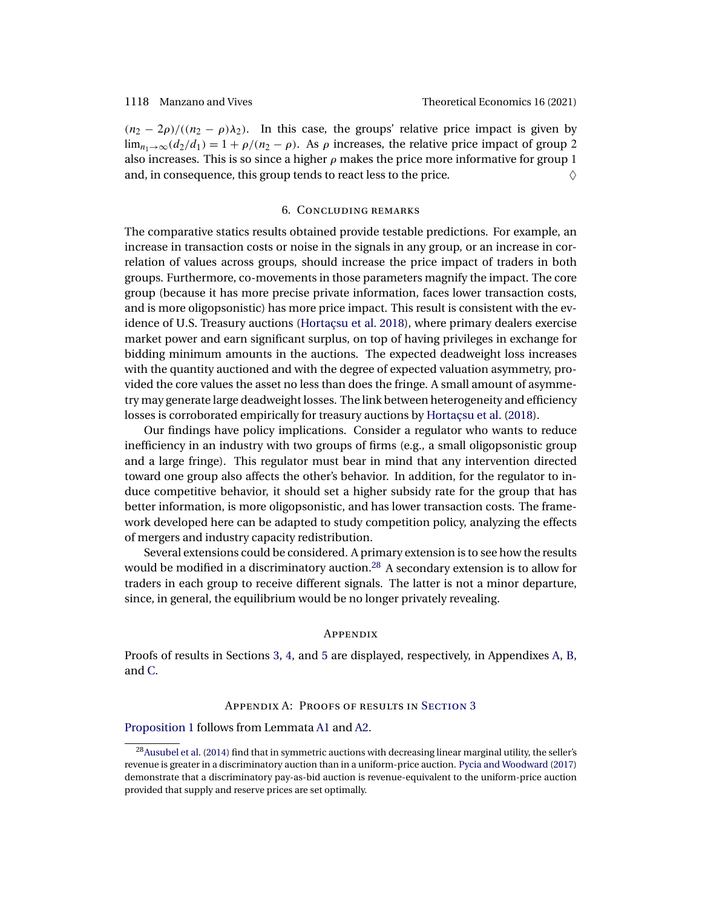<span id="page-23-0"></span> $(n_2 - 2\rho) / ((n_2 - \rho)\lambda_2)$ . In this case, the groups' relative price impact is given by  $\lim_{n_1\to\infty}(d_2/d_1) = 1 + \rho/(n_2 - \rho)$ . As  $\rho$  increases, the relative price impact of group 2 also increases. This is so since a higher  $\rho$  makes the price more informative for group 1 and, in consequence, this group tends to react less to the price.  $\Diamond$ 

# 6. Concluding remarks

The comparative statics results obtained provide testable predictions. For example, an increase in transaction costs or noise in the signals in any group, or an increase in correlation of values across groups, should increase the price impact of traders in both groups. Furthermore, co-movements in those parameters magnify the impact. The core group (because it has more precise private information, faces lower transaction costs, and is more oligopsonistic) has more price impact. This result is consistent with the evidence of U.S. Treasury auctions [\(Hortaçsu et al. 2018\)](#page-41-0), where primary dealers exercise market power and earn significant surplus, on top of having privileges in exchange for bidding minimum amounts in the auctions. The expected deadweight loss increases with the quantity auctioned and with the degree of expected valuation asymmetry, provided the core values the asset no less than does the fringe. A small amount of asymmetry may generate large deadweight losses. The link between heterogeneity and efficiency losses is corroborated empirically for treasury auctions by [Hortaçsu et al.](#page-41-0) [\(2018\)](#page-41-0).

Our findings have policy implications. Consider a regulator who wants to reduce inefficiency in an industry with two groups of firms (e.g., a small oligopsonistic group and a large fringe). This regulator must bear in mind that any intervention directed toward one group also affects the other's behavior. In addition, for the regulator to induce competitive behavior, it should set a higher subsidy rate for the group that has better information, is more oligopsonistic, and has lower transaction costs. The framework developed here can be adapted to study competition policy, analyzing the effects of mergers and industry capacity redistribution.

Several extensions could be considered. A primary extension is to see how the results would be modified in a discriminatory auction.28 A secondary extension is to allow for traders in each group to receive different signals. The latter is not a minor departure, since, in general, the equilibrium would be no longer privately revealing.

### **APPENDIX**

Proofs of results in Sections [3,](#page-5-0) [4,](#page-13-0) and [5](#page-21-0) are displayed, respectively, in Appendixes A, [B,](#page-34-0) and [C.](#page-39-0)

# Appendix A: Proofs of results in S[ection](#page-5-0) 3

[Proposition 1](#page-7-0) follows from Lemmata [A1](#page-24-0) and [A2.](#page-24-0)

 $28$ Ausubel et al. [\(2014\)](#page-40-0) find that in symmetric auctions with decreasing linear marginal utility, the seller's revenue is greater in a discriminatory auction than in a uniform-price auction. [Pycia and Woodward](#page-42-0) [\(2017\)](#page-42-0) demonstrate that a discriminatory pay-as-bid auction is revenue-equivalent to the uniform-price auction provided that supply and reserve prices are set optimally.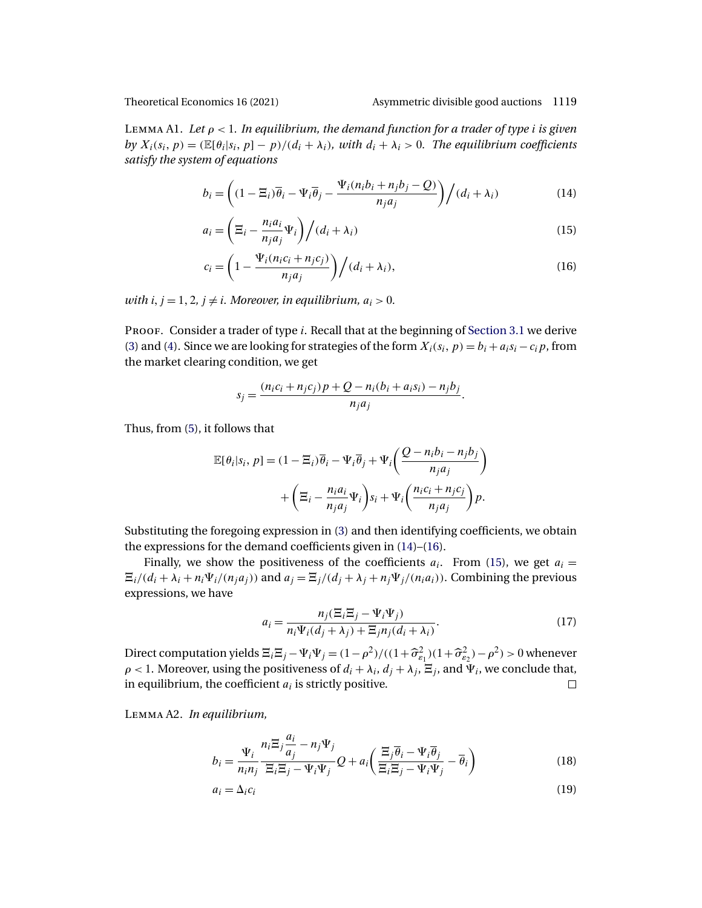### <span id="page-24-0"></span>Theoretical Economics 16 (2021) Asymmetric divisible good auctions 1119

Lemma A1. *Let* ρ < 1*. In equilibrium, the demand function for a trader of type* i *is given* by  $X_i(s_i, p) = \frac{\mathbb{E}[\theta_i|s_i, p] - p}{d_i + \lambda_i}$ , with  $d_i + \lambda_i > 0$ . The equilibrium coefficients *satisfy the system of equations*

$$
b_i = \left( (1 - \Xi_i)\overline{\theta}_i - \Psi_i \overline{\theta}_j - \frac{\Psi_i(n_i b_i + n_j b_j - Q)}{n_j a_j} \right) / (d_i + \lambda_i)
$$
(14)

$$
a_i = \left(\Xi_i - \frac{n_i a_i}{n_j a_j} \Psi_i\right) / (d_i + \lambda_i)
$$
\n(15)

$$
c_i = \left(1 - \frac{\Psi_i(n_i c_i + n_j c_j)}{n_j a_j}\right) / (d_i + \lambda_i),\tag{16}
$$

*with*  $i, j = 1, 2, j \neq i$ . Moreover, in equilibrium,  $a_i > 0$ .

PROOF. Consider a trader of type *i*. Recall that at the beginning of [Section 3.1](#page-6-0) we derive [\(3\)](#page-6-0) and [\(4\)](#page-6-0). Since we are looking for strategies of the form  $X_i(s_i, p) = b_i + a_i s_i - c_i p$ , from the market clearing condition, we get

$$
s_j = \frac{(n_i c_i + n_j c_j) p + Q - n_i (b_i + a_i s_i) - n_j b_j}{n_j a_j}.
$$

Thus, from [\(5\)](#page-6-0), it follows that

$$
\mathbb{E}[\theta_i|s_i, p] = (1 - \Xi_i)\overline{\theta}_i - \Psi_i\overline{\theta}_j + \Psi_i\left(\frac{Q - n_i b_i - n_j b_j}{n_j a_j}\right) + \left(\Xi_i - \frac{n_i a_i}{n_j a_j}\Psi_i\right)s_i + \Psi_i\left(\frac{n_i c_i + n_j c_j}{n_j a_j}\right)p.
$$

Substituting the foregoing expression in [\(3\)](#page-6-0) and then identifying coefficients, we obtain the expressions for the demand coefficients given in (14)–(16).

Finally, we show the positiveness of the coefficients  $a_i$ . From (15), we get  $a_i =$  $\Xi_i/(d_i + \lambda_i + n_i \Psi_i/(n_j a_j))$  and  $a_j = \Xi_j/(d_j + \lambda_j + n_j \Psi_j/(n_i a_i))$ . Combining the previous expressions, we have

$$
a_i = \frac{n_j(\Xi_i \Xi_j - \Psi_i \Psi_j)}{n_i \Psi_i (d_j + \lambda_j) + \Xi_j n_j (d_i + \lambda_i)}.
$$
\n(17)

Direct computation yields  $\Xi_i \Xi_j - \Psi_i \Psi_j = (1 - \rho^2) / ((1 + \widehat{\sigma}_{\varepsilon_1}^2)(1 + \widehat{\sigma}_{\varepsilon_2}^2) - \rho^2) > 0$  whenever  $\rho$  < 1. Moreover, using the positiveness of  $d_i + \lambda_i$ ,  $d_j + \lambda_j$ ,  $\Xi_j$ , and  $\Psi_i$ , we conclude that, in equilibrium, the coefficient  $a_i$  is strictly positive.  $\Box$ 

Lemma A2. *In equilibrium,*

$$
b_i = \frac{\Psi_i}{n_i n_j} \frac{n_i \Xi_j \frac{a_i}{a_j} - n_j \Psi_j}{\Xi_i \Xi_j - \Psi_i \Psi_j} Q + a_i \left( \frac{\Xi_j \overline{\theta}_i - \Psi_i \overline{\theta}_j}{\Xi_i \Xi_j - \Psi_i \Psi_j} - \overline{\theta}_i \right)
$$
(18)

$$
a_i = \Delta_i c_i \tag{19}
$$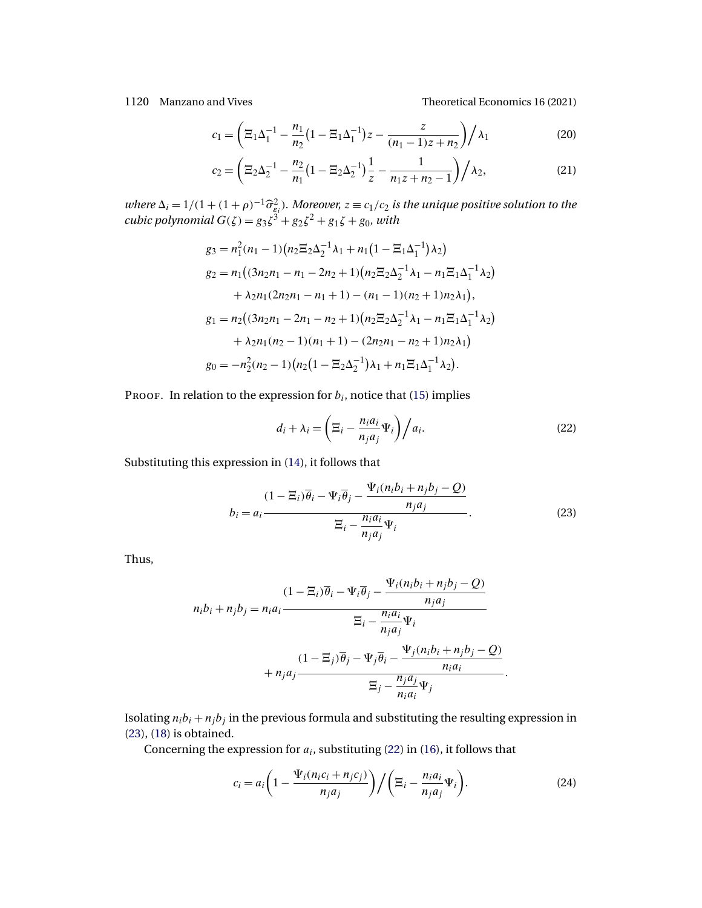<span id="page-25-0"></span>1120 Manzano and Vives Theoretical Economics 16 (2021)

$$
c_1 = \left(\Xi_1 \Delta_1^{-1} - \frac{n_1}{n_2} \left(1 - \Xi_1 \Delta_1^{-1}\right) z - \frac{z}{(n_1 - 1)z + n_2}\right) / \lambda_1\tag{20}
$$

$$
c_2 = \left(\Xi_2 \Delta_2^{-1} - \frac{n_2}{n_1} \left(1 - \Xi_2 \Delta_2^{-1}\right) \frac{1}{z} - \frac{1}{n_1 z + n_2 - 1}\right) / \lambda_2,\tag{21}
$$

*where*  $\Delta_i = 1/(1 + (1 + \rho)^{-1} \hat{\sigma}_{\varepsilon_i}^2)$ . Moreover,  $z = c_1/c_2$  is the unique positive solution to the *cubic polynomial*  $G(\zeta) = g_3 \zeta^3 + g_2 \zeta^2 + g_1 \zeta + g_0$ *, with* 

$$
g_3 = n_1^2(n_1 - 1)(n_2 \Xi_2 \Delta_2^{-1} \lambda_1 + n_1(1 - \Xi_1 \Delta_1^{-1}) \lambda_2)
$$
  
\n
$$
g_2 = n_1((3n_2n_1 - n_1 - 2n_2 + 1)(n_2 \Xi_2 \Delta_2^{-1} \lambda_1 - n_1 \Xi_1 \Delta_1^{-1} \lambda_2)
$$
  
\n
$$
+ \lambda_2 n_1(2n_2n_1 - n_1 + 1) - (n_1 - 1)(n_2 + 1)n_2 \lambda_1),
$$
  
\n
$$
g_1 = n_2((3n_2n_1 - 2n_1 - n_2 + 1)(n_2 \Xi_2 \Delta_2^{-1} \lambda_1 - n_1 \Xi_1 \Delta_1^{-1} \lambda_2)
$$
  
\n
$$
+ \lambda_2 n_1(n_2 - 1)(n_1 + 1) - (2n_2n_1 - n_2 + 1)n_2 \lambda_1)
$$
  
\n
$$
g_0 = -n_2^2(n_2 - 1)(n_2(1 - \Xi_2 \Delta_2^{-1}) \lambda_1 + n_1 \Xi_1 \Delta_1^{-1} \lambda_2).
$$

PROOF. In relation to the expression for  $b_i$ , notice that [\(15\)](#page-24-0) implies

$$
d_i + \lambda_i = \left(\Xi_i - \frac{n_i a_i}{n_j a_j} \Psi_i\right) / a_i.
$$
 (22)

Substituting this expression in [\(14\)](#page-24-0), it follows that

$$
b_i = a_i \frac{(1 - \Xi_i)\overline{\theta}_i - \Psi_i \overline{\theta}_j - \frac{\Psi_i(n_i b_i + n_j b_j - Q)}{n_j a_j}}{\Xi_i - \frac{n_i a_i}{n_j a_j} \Psi_i}.
$$
(23)

Thus,

$$
(1 - \Xi_i)\overline{\theta}_i - \Psi_i \overline{\theta}_j - \frac{\Psi_i(n_i b_i + n_j b_j - Q)}{n_j a_j}
$$
  

$$
\Xi_i - \frac{n_i a_i}{n_j a_j} \Psi_i
$$
  

$$
(1 - \Xi_j)\overline{\theta}_j - \Psi_j \overline{\theta}_i - \frac{\Psi_j(n_i b_i + n_j b_j - Q)}{n_i a_i}
$$
  

$$
\Xi_j - \frac{n_j a_j}{n_i a_i} \Psi_j
$$

Isolating  $n_i b_i + n_j b_j$  in the previous formula and substituting the resulting expression in (23), [\(18\)](#page-24-0) is obtained.

Concerning the expression for  $a_i$ , substituting (22) in [\(16\)](#page-24-0), it follows that

$$
c_i = a_i \left( 1 - \frac{\Psi_i(n_i c_i + n_j c_j)}{n_j a_j} \right) / \left( \Xi_i - \frac{n_i a_i}{n_j a_j} \Psi_i \right).
$$
 (24)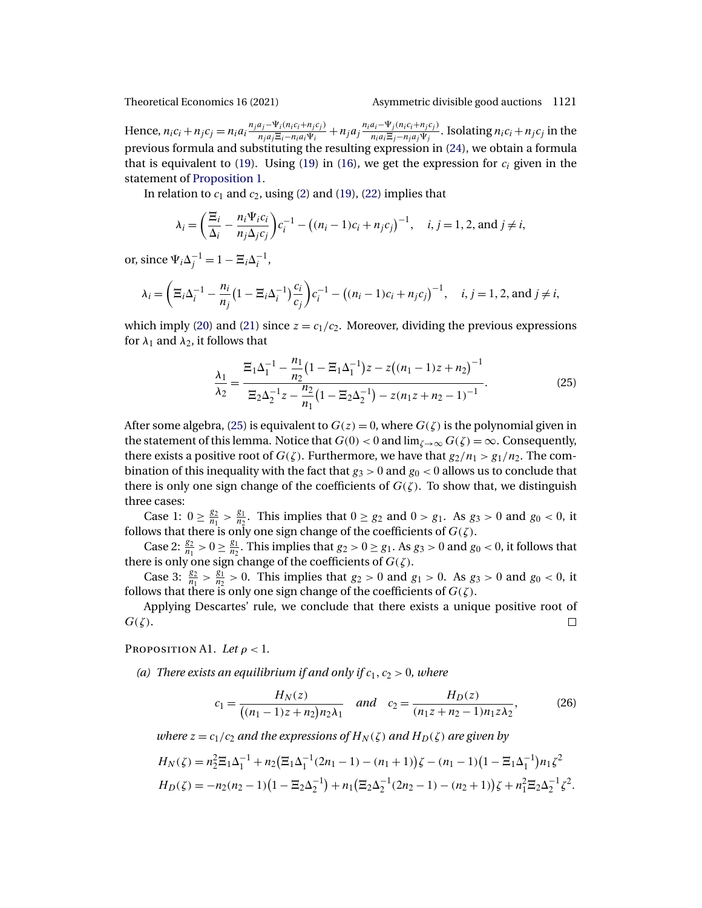<span id="page-26-0"></span>

Hence,  $n_i c_i + n_j c_j = n_i a_i \frac{n_j a_j - \Psi_i (n_i c_i + n_j c_j)}{n_i a_i \Xi_i - n_i a_i \Psi_i}$  $\frac{a_j-\Psi_i(n_ic_i+n_jc_j)}{n_ja_j\Xi_i-n_ia_i\Psi_i}+n_ja_j\frac{n_ia_i-\Psi_j(n_ic_i+n_jc_j)}{n_ia_i\Xi_j-n_ja_j\Psi_j}$  $\frac{a_i - \Psi_j(n_i c_i + n_j c_j)}{n_i a_i \Xi_j - n_j a_j \Psi_j}$ . Isolating  $n_i c_i + n_j c_j$  in the previous formula and substituting the resulting expression in [\(24\)](#page-25-0), we obtain a formula that is equivalent to [\(19\)](#page-24-0). Using (19) in [\(16\)](#page-24-0), we get the expression for  $c_i$  given in the statement of [Proposition 1.](#page-7-0)

In relation to  $c_1$  and  $c_2$ , using [\(2\)](#page-6-0) and [\(19\)](#page-24-0), [\(22\)](#page-25-0) implies that

$$
\lambda_i = \left(\frac{\Xi_i}{\Delta_i} - \frac{n_i \Psi_i c_i}{n_j \Delta_j c_j}\right) c_i^{-1} - \left((n_i - 1)c_i + n_j c_j\right)^{-1}, \quad i, j = 1, 2, \text{ and } j \neq i,
$$

or, since  $\Psi_i \Delta_j^{-1} = 1 - \Xi_i \Delta_i^{-1}$ ,

$$
\lambda_i = \left(\Xi_i \Delta_i^{-1} - \frac{n_i}{n_j} \left(1 - \Xi_i \Delta_i^{-1}\right) \frac{c_i}{c_j}\right) c_i^{-1} - \left((n_i - 1)c_i + n_j c_j\right)^{-1}, \quad i, j = 1, 2, \text{ and } j \neq i,
$$

which imply [\(20\)](#page-25-0) and [\(21\)](#page-25-0) since  $z = c_1/c_2$ . Moreover, dividing the previous expressions for  $\lambda_1$  and  $\lambda_2$ , it follows that

$$
\frac{\lambda_1}{\lambda_2} = \frac{\Xi_1 \Delta_1^{-1} - \frac{n_1}{n_2} (1 - \Xi_1 \Delta_1^{-1}) z - z ((n_1 - 1)z + n_2)^{-1}}{\Xi_2 \Delta_2^{-1} z - \frac{n_2}{n_1} (1 - \Xi_2 \Delta_2^{-1}) - z (n_1 z + n_2 - 1)^{-1}}.
$$
(25)

After some algebra, (25) is equivalent to  $G(z) = 0$ , where  $G(\zeta)$  is the polynomial given in the statement of this lemma. Notice that  $G(0) < 0$  and  $\lim_{\zeta \to \infty} G(\zeta) = \infty$ . Consequently, there exists a positive root of  $G(\zeta)$ . Furthermore, we have that  $g_2/n_1 > g_1/n_2$ . The combination of this inequality with the fact that  $g_3 > 0$  and  $g_0 < 0$  allows us to conclude that there is only one sign change of the coefficients of  $G(\zeta)$ . To show that, we distinguish three cases:

Case 1:  $0 \ge \frac{g_2}{n_1} > \frac{g_1}{n_2}$ . This implies that  $0 \ge g_2$  and  $0 > g_1$ . As  $g_3 > 0$  and  $g_0 < 0$ , it follows that there is only one sign change of the coefficients of  $G(\zeta).$ 

Case 2:  $\frac{g_2}{n_1} > 0 \ge \frac{g_1}{n_2}$ . This implies that  $g_2 > 0 \ge g_1$ . As  $g_3 > 0$  and  $g_0 < 0$ , it follows that there is only one sign change of the coefficients of  $G(\zeta)$ .

Case 3:  $\frac{g_2}{n_1} > \frac{g_1}{n_2} > 0$ . This implies that  $g_2 > 0$  and  $g_1 > 0$ . As  $g_3 > 0$  and  $g_0 < 0$ , it follows that there is only one sign change of the coefficients of  $G(\zeta)$ .

Applying Descartes' rule, we conclude that there exists a unique positive root of  $G(\zeta)$ .  $\Box$ 

PROPOSITION A1. *Let*  $\rho < 1$ .

(a) There exists an equilibrium if and only if  $c_1, c_2 > 0$ , where

$$
c_1 = \frac{H_N(z)}{((n_1 - 1)z + n_2)n_2\lambda_1} \quad and \quad c_2 = \frac{H_D(z)}{(n_1z + n_2 - 1)n_1z\lambda_2},
$$
(26)

*where*  $z = c_1/c_2$  *and the expressions of*  $H_N(\zeta)$  *and*  $H_D(\zeta)$  *are given by* 

$$
H_N(\zeta) = n_2^2 \Xi_1 \Delta_1^{-1} + n_2 (\Xi_1 \Delta_1^{-1} (2n_1 - 1) - (n_1 + 1)) \zeta - (n_1 - 1)(1 - \Xi_1 \Delta_1^{-1}) n_1 \zeta^2
$$
  
\n
$$
H_D(\zeta) = -n_2(n_2 - 1)(1 - \Xi_2 \Delta_2^{-1}) + n_1 (\Xi_2 \Delta_2^{-1} (2n_2 - 1) - (n_2 + 1)) \zeta + n_1^2 \Xi_2 \Delta_2^{-1} \zeta^2.
$$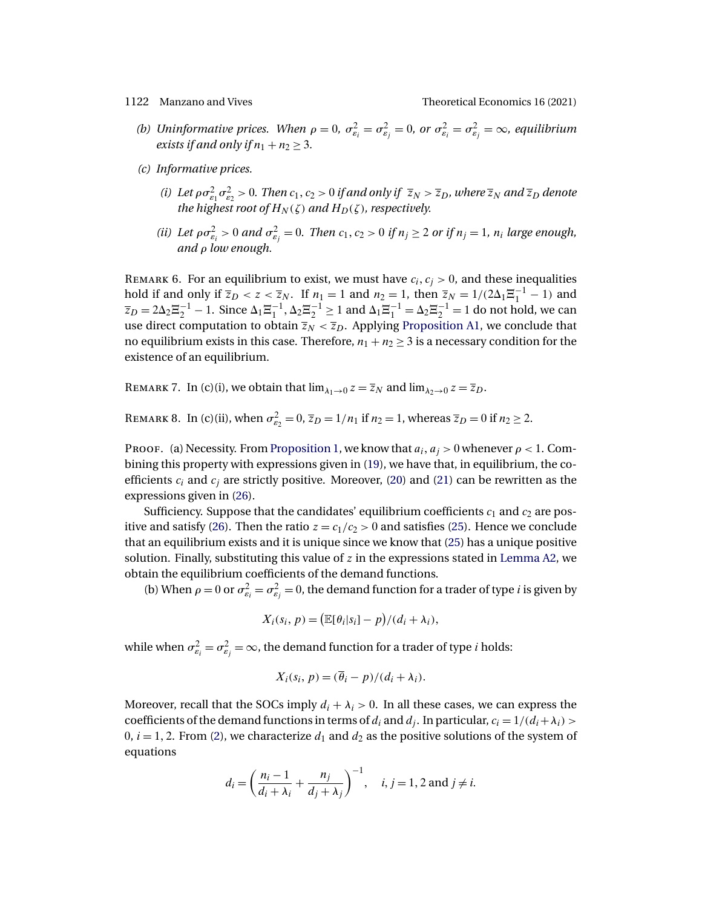- (b) Uninformative prices. When  $\rho = 0$ ,  $\sigma_{\varepsilon_i}^2 = \sigma_{\varepsilon_j}^2 = 0$ , or  $\sigma_{\varepsilon_i}^2 = \sigma_{\varepsilon_j}^2 = \infty$ , equilibrium *exists if and only if*  $n_1 + n_2 \geq 3$ .
- *(c) Informative prices.*
	- (*i*) Let  $\rho \sigma_{\varepsilon_1}^2 \sigma_{\varepsilon_2}^2 > 0$ . Then  $c_1, c_2 > 0$  if and only if  $\overline{z}_N > \overline{z}_D$ , where  $\overline{z}_N$  and  $\overline{z}_D$  denote *the highest root of*  $H_N(\zeta)$  *and*  $H_D(\zeta)$ *, respectively.*
	- (*ii*) Let  $\rho \sigma_{\varepsilon_i}^2 > 0$  and  $\sigma_{\varepsilon_j}^2 = 0$ . Then  $c_1, c_2 > 0$  if  $n_j \ge 2$  or if  $n_j = 1$ ,  $n_i$  large enough, *and* ρ *low enough.*

REMARK 6. For an equilibrium to exist, we must have  $c_i, c_j > 0$ , and these inequalities hold if and only if  $\overline{z}_D < z < \overline{z}_N$ . If  $n_1 = 1$  and  $n_2 = 1$ , then  $\overline{z}_N = 1/(2\Delta_1 \Xi_1^{-1} - 1)$  and  $\overline{z}_D = 2\Delta_2 \Xi_2^{-1} - 1$ . Since  $\Delta_1 \Xi_1^{-1}$ ,  $\Delta_2 \Xi_2^{-1} \ge 1$  and  $\Delta_1 \Xi_1^{-1} = \Delta_2 \Xi_2^{-1} = 1$  do not hold, we can use direct computation to obtain  $\overline{z}_N < \overline{z}_D$ . Applying [Proposition A1,](#page-26-0) we conclude that no equilibrium exists in this case. Therefore,  $n_1 + n_2 \geq 3$  is a necessary condition for the existence of an equilibrium.

REMARK 7. In (c)(i), we obtain that  $\lim_{\lambda_1\to 0} z = \overline{z}_N$  and  $\lim_{\lambda_2\to 0} z = \overline{z}_D$ .

REMARK 8. In (c)(ii), when  $\sigma_{\varepsilon_2}^2 = 0$ ,  $\overline{z}_D = 1/n_1$  if  $n_2 = 1$ , whereas  $\overline{z}_D = 0$  if  $n_2 \ge 2$ .

Proof. (a) Necessity. From [Proposition 1,](#page-7-0) we know that  $a_i, a_j > 0$  whenever  $\rho < 1$ . Combining this property with expressions given in [\(19\)](#page-24-0), we have that, in equilibrium, the coefficients  $c_i$  and  $c_j$  are strictly positive. Moreover, [\(20\)](#page-25-0) and [\(21\)](#page-25-0) can be rewritten as the expressions given in [\(26\)](#page-26-0).

Sufficiency. Suppose that the candidates' equilibrium coefficients  $c_1$  and  $c_2$  are pos-itive and satisfy [\(26\)](#page-26-0). Then the ratio  $z = c_1/c_2 > 0$  and satisfies [\(25\)](#page-26-0). Hence we conclude that an equilibrium exists and it is unique since we know that [\(25\)](#page-26-0) has a unique positive solution. Finally, substituting this value of  $z$  in the expressions stated in [Lemma A2,](#page-24-0) we obtain the equilibrium coefficients of the demand functions.

(b) When  $\rho = 0$  or  $\sigma_{\varepsilon_i}^2 = \sigma_{\varepsilon_j}^2 = 0$ , the demand function for a trader of type *i* is given by

$$
X_i(s_i, p) = \big(\mathbb{E}[\theta_i|s_i] - p\big)/(d_i + \lambda_i),
$$

while when  $\sigma_{\varepsilon_i}^2 = \sigma_{\varepsilon_j}^2 = \infty$ , the demand function for a trader of type  $i$  holds:

$$
X_i(s_i, p) = (\overline{\theta}_i - p)/(d_i + \lambda_i).
$$

Moreover, recall that the SOCs imply  $d_i + \lambda_i > 0$ . In all these cases, we can express the coefficients of the demand functions in terms of  $d_i$  and  $d_j$ . In particular,  $c_i = 1/(d_i + \lambda_i) >$  $0, i = 1, 2$ . From [\(2\)](#page-6-0), we characterize  $d_1$  and  $d_2$  as the positive solutions of the system of equations

$$
d_i = \left(\frac{n_i - 1}{d_i + \lambda_i} + \frac{n_j}{d_j + \lambda_j}\right)^{-1}
$$
, *i*, *j* = 1, 2 and *j*  $\neq$  *i*.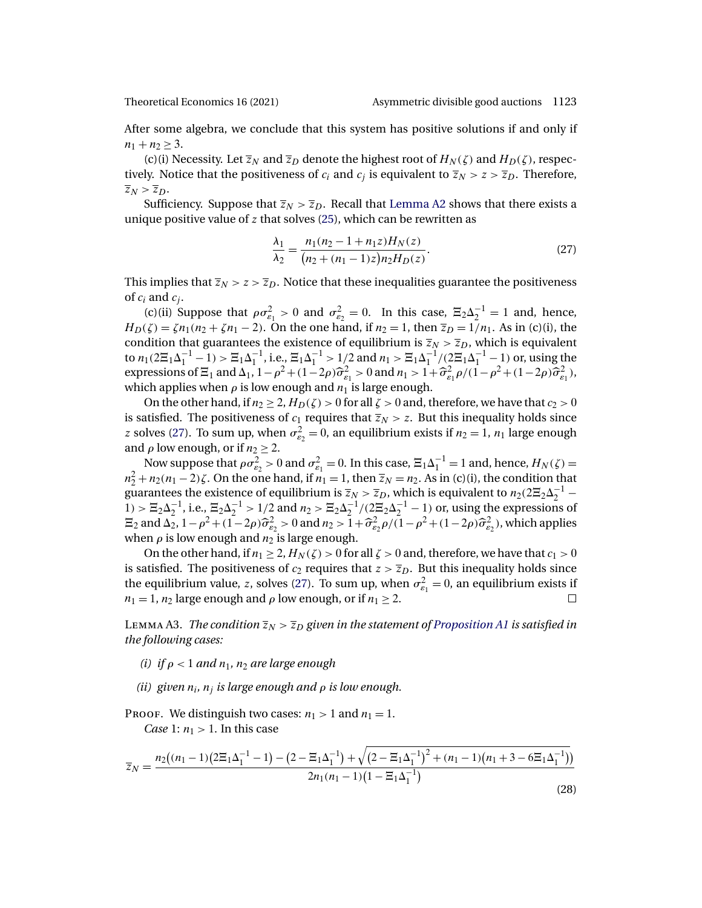<span id="page-28-0"></span>

After some algebra, we conclude that this system has positive solutions if and only if  $n_1 + n_2 \geq 3$ .

(c)(i) Necessity. Let  $\overline{z}_N$  and  $\overline{z}_D$  denote the highest root of  $H_N(\zeta)$  and  $H_D(\zeta)$ , respectively. Notice that the positiveness of  $c_i$  and  $c_j$  is equivalent to  $\overline{z}_N > z > \overline{z}_D$ . Therefore,  $\overline{z}_N > \overline{z}_D.$ 

Sufficiency. Suppose that  $\overline{z}_N > \overline{z}_D$ . Recall that [Lemma A2](#page-24-0) shows that there exists a unique positive value of  $z$  that solves [\(25\)](#page-26-0), which can be rewritten as

$$
\frac{\lambda_1}{\lambda_2} = \frac{n_1(n_2 - 1 + n_1 z)H_N(z)}{(n_2 + (n_1 - 1)z)n_2H_D(z)}.
$$
\n(27)

This implies that  $\overline{z}_N > z > \overline{z}_D$ . Notice that these inequalities guarantee the positiveness of  $c_i$  and  $c_i$ .

(c)(ii) Suppose that  $\rho \sigma_{\varepsilon_1}^2 > 0$  and  $\sigma_{\varepsilon_2}^2 = 0$ . In this case,  $\Xi_2 \Delta_2^{-1} = 1$  and, hence,  $H_D(\zeta) = \zeta n_1(n_2 + \zeta n_1 - 2)$ . On the one hand, if  $n_2 = 1$ , then  $\overline{z}_D = 1/n_1$ . As in (c)(i), the condition that guarantees the existence of equilibrium is  $\overline{z}_N > \overline{z}_D$ , which is equivalent to  $n_1(2\Xi_1\Delta_1^{-1}-1)>\Xi_1\Delta_1^{-1}$ , i.e.,  $\Xi_1\Delta_1^{-1}>1/2$  and  $n_1>\Xi_1\Delta_1^{-1}/(2\Xi_1\Delta_1^{-1}-1)$  or, using the expressions of  $\Xi_1$  and  $\Delta_1$ ,  $1-\rho^2 + (1-2\rho)\hat{\sigma}_{\varepsilon_1}^2 > 0$  and  $n_1 > 1+\hat{\sigma}_{\varepsilon_1}^2 \rho/(1-\rho^2+(1-2\rho)\hat{\sigma}_{\varepsilon_1}^2)$ , which applies when  $\rho$  is low enough and  $n_1$  is large enough.

On the other hand, if  $n_2 \geq 2$ ,  $H_D(\zeta) > 0$  for all  $\zeta > 0$  and, therefore, we have that  $c_2 > 0$ is satisfied. The positiveness of  $c_1$  requires that  $\overline{z}_N > z$ . But this inequality holds since z solves (27). To sum up, when  $\sigma_{\varepsilon_2}^2 = 0$ , an equilibrium exists if  $n_2 = 1$ ,  $n_1$  large enough and  $\rho$  low enough, or if  $n_2 \geq 2$ .

Now suppose that  $\rho \sigma_{\varepsilon_2}^2 > 0$  and  $\sigma_{\varepsilon_1}^2 = 0$ . In this case,  $\Xi_1 \Delta_1^{-1} = 1$  and, hence,  $H_N(\zeta) = 0$  $n_2^2 + n_2(n_1 - 2)\zeta$ . On the one hand, if  $n_1 = 1$ , then  $\overline{z}_N = n_2$ . As in (c)(i), the condition that guarantees the existence of equilibrium is  $\overline{z}_N > \overline{z}_D$ , which is equivalent to  $n_2(2\overline{z}_2\Delta_2^{-1}$ 1) >  $\Xi_2 \Delta_2^{-1}$ , i.e.,  $\Xi_2 \Delta_2^{-1}$  > 1/2 and  $n_2 > \Xi_2 \Delta_2^{-1}$ /( $2\Xi_2 \Delta_2^{-1}$  - 1) or, using the expressions of  $\Xi_2$  and  $\Delta_2$ ,  $1-\rho^2+(1-2\rho)\widehat{\sigma}_{\epsilon_2}^2 > 0$  and  $n_2 > 1+\widehat{\sigma}_{\epsilon_2}^2\rho/(1-\rho^2+(1-2\rho)\widehat{\sigma}_{\epsilon_2}^2)$ , which applies when  $\rho$  is low enough and  $n_2$  is large enough.

On the other hand, if  $n_1 \geq 2$ ,  $H_N(\zeta) > 0$  for all  $\zeta > 0$  and, therefore, we have that  $c_1 > 0$ is satisfied. The positiveness of  $c_2$  requires that  $z > \overline{z}_D$ . But this inequality holds since the equilibrium value, z, solves (27). To sum up, when  $\sigma_{\varepsilon_1}^2 = 0$ , an equilibrium exists if  $n_1 = 1$ ,  $n_2$  large enough and  $\rho$  low enough, or if  $n_1 \geq 2$ .

LEMMA A3. *The condition*  $\overline{z}_N > \overline{z}_D$  *given in the statement of [Proposition A1](#page-26-0) is satisfied in the following cases:*

*(i)* if  $\rho < 1$  *and*  $n_1$ *,*  $n_2$  *are large enough* 

*(ii)* given  $n_i$ ,  $n_j$  *is large enough and*  $\rho$  *is low enough.* 

PROOF. We distinguish two cases:  $n_1 > 1$  and  $n_1 = 1$ .

*Case* 1:  $n_1 > 1$ . In this case

$$
\overline{z}_N = \frac{n_2\left((n_1 - 1)\left(2\Xi_1\Delta_1^{-1} - 1\right) - \left(2 - \Xi_1\Delta_1^{-1}\right) + \sqrt{\left(2 - \Xi_1\Delta_1^{-1}\right)^2 + (n_1 - 1)\left(n_1 + 3 - 6\Xi_1\Delta_1^{-1}\right)}\right)}{2n_1(n_1 - 1)\left(1 - \Xi_1\Delta_1^{-1}\right)}
$$
(28)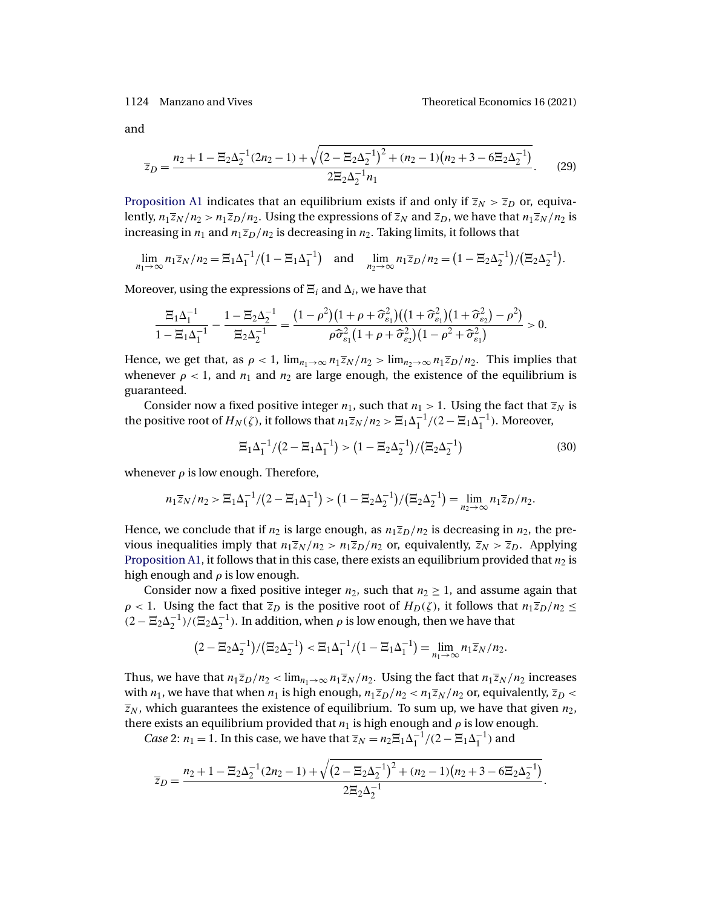<span id="page-29-0"></span>

and

$$
\overline{z}_D = \frac{n_2 + 1 - \Xi_2 \Delta_2^{-1} (2n_2 - 1) + \sqrt{\left(2 - \Xi_2 \Delta_2^{-1}\right)^2 + (n_2 - 1)\left(n_2 + 3 - 6\Xi_2 \Delta_2^{-1}\right)}}{2\Xi_2 \Delta_2^{-1} n_1}.
$$
 (29)

[Proposition A1](#page-26-0) indicates that an equilibrium exists if and only if  $\overline{z}_N > \overline{z}_D$  or, equivalently,  $n_1\overline{z}_N/n_2 > n_1\overline{z}_D/n_2$ . Using the expressions of  $\overline{z}_N$  and  $\overline{z}_D$ , we have that  $n_1\overline{z}_N/n_2$  is increasing in  $n_1$  and  $n_1\overline{z}_D/n_2$  is decreasing in  $n_2$ . Taking limits, it follows that

$$
\lim_{n_1 \to \infty} n_1 \overline{z}_N / n_2 = \Xi_1 \Delta_1^{-1} / (1 - \Xi_1 \Delta_1^{-1}) \quad \text{and} \quad \lim_{n_2 \to \infty} n_1 \overline{z}_D / n_2 = (1 - \Xi_2 \Delta_2^{-1}) / (\Xi_2 \Delta_2^{-1}).
$$

Moreover, using the expressions of  $\Xi_i$  and  $\Delta_i$ , we have that

$$
\frac{\Xi_1\Delta_1^{-1}}{1-\Xi_1\Delta_1^{-1}}-\frac{1-\Xi_2\Delta_2^{-1}}{\Xi_2\Delta_2^{-1}}=\frac{(1-\rho^2)(1+\rho+\widehat{\sigma}_{\varepsilon_1}^2)\big((1+\widehat{\sigma}_{\varepsilon_1}^2)\big(1+\widehat{\sigma}_{\varepsilon_2}^2\big)-\rho^2\big)}{\rho\widehat{\sigma}_{\varepsilon_1}^2(1+\rho+\widehat{\sigma}_{\varepsilon_2}^2)\big(1-\rho^2+\widehat{\sigma}_{\varepsilon_1}^2\big)} > 0.
$$

Hence, we get that, as  $\rho < 1$ ,  $\lim_{n_1 \to \infty} n_1 \overline{z}_N / n_2 > \lim_{n_2 \to \infty} n_1 \overline{z}_D / n_2$ . This implies that whenever  $\rho < 1$ , and  $n_1$  and  $n_2$  are large enough, the existence of the equilibrium is guaranteed.

Consider now a fixed positive integer  $n_1$ , such that  $n_1 > 1$ . Using the fact that  $\overline{z}_N$  is the positive root of  $H_N(\zeta)$ , it follows that  $n_1\overline{z}_N/n_2 > \Xi_1\Delta_1^{-1}/(2-\Xi_1\Delta_1^{-1})$ . Moreover,

$$
\Xi_1 \Delta_1^{-1} / (2 - \Xi_1 \Delta_1^{-1}) > (1 - \Xi_2 \Delta_2^{-1}) / (\Xi_2 \Delta_2^{-1})
$$
\n(30)

whenever  $\rho$  is low enough. Therefore,

$$
n_1\overline{z}_N/n_2 > \Xi_1\Delta_1^{-1}/(2-\Xi_1\Delta_1^{-1}) > (1-\Xi_2\Delta_2^{-1})/(\Xi_2\Delta_2^{-1}) = \lim_{n_2\to\infty} n_1\overline{z}_D/n_2.
$$

Hence, we conclude that if  $n_2$  is large enough, as  $n_1\overline{z_D}/n_2$  is decreasing in  $n_2$ , the previous inequalities imply that  $n_1\overline{z}_N / n_2 > n_1\overline{z}_D / n_2$  or, equivalently,  $\overline{z}_N > \overline{z}_D$ . Applying [Proposition A1,](#page-26-0) it follows that in this case, there exists an equilibrium provided that  $n_2$  is high enough and  $\rho$  is low enough.

Consider now a fixed positive integer  $n_2$ , such that  $n_2 \geq 1$ , and assume again that  $\rho$  < 1. Using the fact that  $\overline{z}_D$  is the positive root of  $H_D(\zeta)$ , it follows that  $n_1\overline{z}_D/n_2 \leq$  $(2 - \mathbb{E}_2 \Delta_2^{-1})/(\mathbb{E}_2 \Delta_2^{-1})$ . In addition, when  $\rho$  is low enough, then we have that

$$
(2 - \Xi_2 \Delta_2^{-1}) / (\Xi_2 \Delta_2^{-1}) < \Xi_1 \Delta_1^{-1} / (1 - \Xi_1 \Delta_1^{-1}) = \lim_{n_1 \to \infty} n_1 \overline{z}_N / n_2.
$$

Thus, we have that  $n_1\overline{z}_D/n_2 < \lim_{n_1\to\infty} n_1\overline{z}_N/n_2$ . Using the fact that  $n_1\overline{z}_N/n_2$  increases with  $n_1$ , we have that when  $n_1$  is high enough,  $n_1\overline{z}_D/n_2 < n_1\overline{z}_N/n_2$  or, equivalently,  $\overline{z}_D <$  $\overline{z}_N$ , which guarantees the existence of equilibrium. To sum up, we have that given  $n_2$ , there exists an equilibrium provided that  $n_1$  is high enough and  $\rho$  is low enough.

*Case* 2:  $n_1 = 1$ . In this case, we have that  $\overline{z}_N = n_2 \Xi_1 \Delta_1^{-1} / (2 - \Xi_1 \Delta_1^{-1})$  and

$$
\overline{z}_D = \frac{n_2 + 1 - \Xi_2 \Delta_2^{-1} (2n_2 - 1) + \sqrt{\left(2 - \Xi_2 \Delta_2^{-1}\right)^2 + (n_2 - 1) \left(n_2 + 3 - 6 \Xi_2 \Delta_2^{-1}\right)}}{2 \Xi_2 \Delta_2^{-1}}.
$$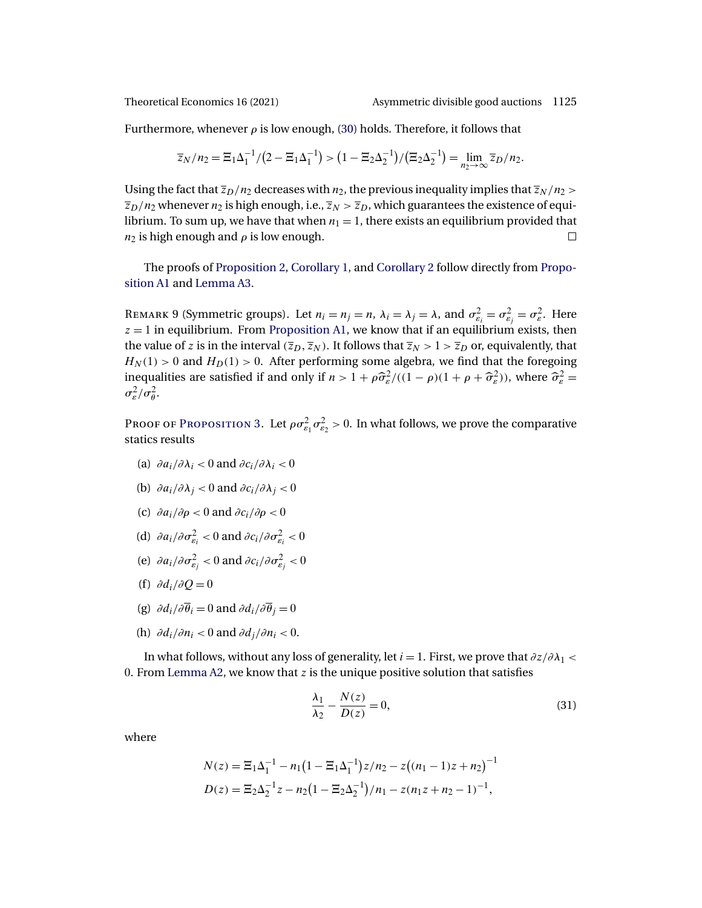<span id="page-30-0"></span>

Furthermore, whenever  $\rho$  is low enough, [\(30\)](#page-29-0) holds. Therefore, it follows that

$$
\overline{z}_N/n_2 = \Xi_1 \Delta_1^{-1} / (2 - \Xi_1 \Delta_1^{-1}) > (1 - \Xi_2 \Delta_2^{-1}) / (\Xi_2 \Delta_2^{-1}) = \lim_{n_2 \to \infty} \overline{z}_D/n_2.
$$

Using the fact that  $\overline{z}_D/n_2$  decreases with  $n_2$ , the previous inequality implies that  $\overline{z}_N/n_2$  $\overline{z}_D/n_2$  whenever  $n_2$  is high enough, i.e.,  $\overline{z}_N > \overline{z}_D$ , which guarantees the existence of equilibrium. To sum up, we have that when  $n_1 = 1$ , there exists an equilibrium provided that  $n_2$  is high enough and  $\rho$  is low enough.  $\Box$ 

The proofs of [Proposition 2,](#page-9-0) [Corollary 1,](#page-9-0) and [Corollary 2](#page-9-0) follow directly from [Propo](#page-26-0)[sition A1](#page-26-0) and [Lemma A3.](#page-28-0)

REMARK 9 (Symmetric groups). Let  $n_i = n_j = n$ ,  $\lambda_i = \lambda_j = \lambda$ , and  $\sigma_{\varepsilon_i}^2 = \sigma_{\varepsilon_j}^2 = \sigma_{\varepsilon}^2$ . Here  $z = 1$  in equilibrium. From [Proposition A1,](#page-26-0) we know that if an equilibrium exists, then the value of z is in the interval  $(\overline{z}_D, \overline{z}_N)$ . It follows that  $\overline{z}_N > 1 > \overline{z}_D$  or, equivalently, that  $H_N(1) > 0$  and  $H_D(1) > 0$ . After performing some algebra, we find that the foregoing inequalities are satisfied if and only if  $n > 1 + \rho \hat{\sigma}_{\varepsilon}^2/((1 - \rho)(1 + \rho + \hat{\sigma}_{\varepsilon}^2))$ , where  $\hat{\sigma}_{\varepsilon}^2 =$  $\sigma_{\varepsilon}^2/\sigma_{\theta}^2$ .

Proof of P[roposition](#page-10-0) 3. Let  $\rho \sigma_{\varepsilon_1}^2 \sigma_{\varepsilon_2}^2 > 0$ . In what follows, we prove the comparative statics results

- (a)  $\partial a_i/\partial \lambda_i < 0$  and  $\partial c_i/\partial \lambda_i < 0$
- (b)  $\partial a_i/\partial \lambda_i < 0$  and  $\partial c_i/\partial \lambda_i < 0$
- (c)  $\partial a_i/\partial \rho < 0$  and  $\partial c_i/\partial \rho < 0$
- (d)  $\partial a_i / \partial \sigma_{\varepsilon_i}^2 < 0$  and  $\partial c_i / \partial \sigma_{\varepsilon_i}^2 < 0$
- (e)  $\partial a_i / \partial \sigma_{\varepsilon_j}^2 < 0$  and  $\partial c_i / \partial \sigma_{\varepsilon_j}^2 < 0$
- (f)  $\partial d_i/\partial O = 0$
- (g)  $\partial d_i/\partial \overline{\theta}_i = 0$  and  $\partial d_i/\partial \overline{\theta}_i = 0$
- (h)  $\partial d_i/\partial n_i < 0$  and  $\partial d_j/\partial n_i < 0$ .

In what follows, without any loss of generality, let  $i = 1$ . First, we prove that  $\partial z/\partial \lambda_1$  < 0. From [Lemma A2,](#page-24-0) we know that  $z$  is the unique positive solution that satisfies

$$
\frac{\lambda_1}{\lambda_2} - \frac{N(z)}{D(z)} = 0,\tag{31}
$$

where

$$
N(z) = \mathbb{E}_1 \Delta_1^{-1} - n_1 (1 - \mathbb{E}_1 \Delta_1^{-1}) z / n_2 - z ((n_1 - 1)z + n_2)^{-1}
$$
  

$$
D(z) = \mathbb{E}_2 \Delta_2^{-1} z - n_2 (1 - \mathbb{E}_2 \Delta_2^{-1}) / n_1 - z (n_1 z + n_2 - 1)^{-1},
$$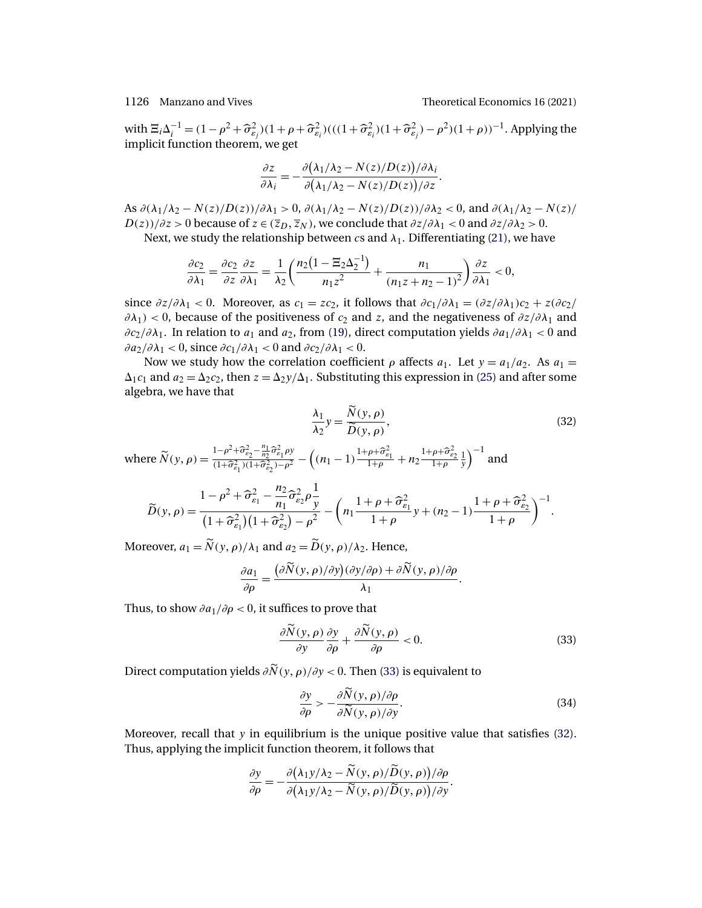<span id="page-31-0"></span>with  $\Xi_i \Delta_i^{-1} = (1 - \rho^2 + \hat{\sigma}_{\varepsilon_i}^2)(1 + \rho + \hat{\sigma}_{\varepsilon_i}^2)((1 + \hat{\sigma}_{\varepsilon_i}^2)(1 + \hat{\sigma}_{\varepsilon_i}^2) - \rho^2)(1 + \rho))^{-1}$ . Applying the implicit function theorem, we get

$$
\frac{\partial z}{\partial \lambda_i} = -\frac{\partial (\lambda_1/\lambda_2 - N(z)/D(z))/\partial \lambda_i}{\partial (\lambda_1/\lambda_2 - N(z)/D(z))/\partial z}.
$$

As  $\partial(\lambda_1/\lambda_2 - N(z)/D(z))/\partial\lambda_1 > 0$ ,  $\partial(\lambda_1/\lambda_2 - N(z)/D(z))/\partial\lambda_2 < 0$ , and  $\partial(\lambda_1/\lambda_2 - N(z)/D(z))/\partial\lambda_1$  $D(z))/\partial z > 0$  because of  $z \in (\overline{z}_D, \overline{z}_N)$ , we conclude that  $\partial z/\partial \lambda_1 < 0$  and  $\partial z/\partial \lambda_2 > 0$ .

Next, we study the relationship between cs and  $\lambda_1$ . Differentiating [\(21\)](#page-25-0), we have

$$
\frac{\partial c_2}{\partial \lambda_1} = \frac{\partial c_2}{\partial z} \frac{\partial z}{\partial \lambda_1} = \frac{1}{\lambda_2} \left( \frac{n_2 \left( 1 - \Xi_2 \Delta_2^{-1} \right)}{n_1 z^2} + \frac{n_1}{\left( n_1 z + n_2 - 1 \right)^2} \right) \frac{\partial z}{\partial \lambda_1} < 0,
$$

since  $\partial z/\partial \lambda_1 < 0$ . Moreover, as  $c_1 = zc_2$ , it follows that  $\partial c_1/\partial \lambda_1 = (\partial z/\partial \lambda_1)c_2 + z(\partial c_2/\partial \lambda_1)c_1$  $\partial \lambda_1$ ) < 0, because of the positiveness of  $c_2$  and z, and the negativeness of  $\partial z/\partial \lambda_1$  and  $\partial c_2/\partial \lambda_1$ . In relation to  $a_1$  and  $a_2$ , from [\(19\)](#page-24-0), direct computation yields  $\partial a_1/\partial \lambda_1 < 0$  and  $\frac{\partial a_2}{\partial \lambda_1}$  < 0, since  $\frac{\partial c_1}{\partial \lambda_1}$  < 0 and  $\frac{\partial c_2}{\partial \lambda_1}$  < 0.

Now we study how the correlation coefficient  $\rho$  affects  $a_1$ . Let  $y = a_1/a_2$ . As  $a_1 =$  $\Delta_1 c_1$  and  $a_2 = \Delta_2 c_2$ , then  $z = \Delta_2 y/\Delta_1$ . Substituting this expression in [\(25\)](#page-26-0) and after some algebra, we have that

$$
\frac{\lambda_1}{\lambda_2} y = \frac{\tilde{N}(y, \rho)}{\tilde{D}(y, \rho)},
$$
\n(32)

.

where  $\widetilde{N}(y, \rho) = \frac{1 - \rho^2 + \widehat{\sigma}_{\varepsilon_2}^2 - \frac{n_1}{n_2} \widehat{\sigma}_{\varepsilon_1}^2 \rho y}{(1 + \widehat{\sigma}_{\varepsilon_2}^2)(1 + \widehat{\sigma}_{\varepsilon_2}^2) - \rho^2}$  $\frac{1-\rho^2+\widehat{\sigma}_{\varepsilon_2}^2-\frac{n_1}{n_2}\widehat{\sigma}_{\varepsilon_1}^2\rho y}{(1+\widehat{\sigma}_{\varepsilon_1}^2)(1+\widehat{\sigma}_{\varepsilon_2}^2)-\rho^2} - \left((n_1-1)\frac{1+\rho+\widehat{\sigma}_{\varepsilon_1}^2}{1+\rho}+n_2\frac{1+\rho+\widehat{\sigma}_{\varepsilon_2}^2}{1+\rho}\frac{1}{y}\right)$  $\int^{-1}$  and

$$
\widetilde{D}(y,\rho) = \frac{1 - \rho^2 + \widehat{\sigma}_{\varepsilon_1}^2 - \frac{n_2}{n_1} \widehat{\sigma}_{\varepsilon_2}^2 \rho \frac{1}{y}}{(1 + \widehat{\sigma}_{\varepsilon_1}^2)(1 + \widehat{\sigma}_{\varepsilon_2}^2) - \rho^2} - \left(n_1 \frac{1 + \rho + \widehat{\sigma}_{\varepsilon_1}^2}{1 + \rho} y + (n_2 - 1) \frac{1 + \rho + \widehat{\sigma}_{\varepsilon_2}^2}{1 + \rho}\right)^{-1}
$$

Moreover,  $a_1 = N(y, \rho)/\lambda_1$  and  $a_2 = D(y, \rho)/\lambda_2$ . Hence,

$$
\frac{\partial a_1}{\partial \rho} = \frac{(\partial \widetilde{N}(y, \rho)/\partial y)(\partial y/\partial \rho) + \partial \widetilde{N}(y, \rho)/\partial \rho}{\lambda_1}.
$$

Thus, to show  $\partial a_1/\partial \rho < 0$ , it suffices to prove that

$$
\frac{\partial \tilde{N}(y,\rho)}{\partial y}\frac{\partial y}{\partial \rho} + \frac{\partial \tilde{N}(y,\rho)}{\partial \rho} < 0. \tag{33}
$$

Direct computation yields  $\partial N(y, \rho)/\partial y < 0$ . Then (33) is equivalent to

$$
\frac{\partial y}{\partial \rho} > -\frac{\partial \tilde{N}(y, \rho)/\partial \rho}{\partial \tilde{N}(y, \rho)/\partial y}.
$$
 (34)

Moreover, recall that  $y$  in equilibrium is the unique positive value that satisfies (32). Thus, applying the implicit function theorem, it follows that

$$
\frac{\partial y}{\partial \rho} = -\frac{\partial (\lambda_1 y/\lambda_2 - \widetilde{N}(y, \rho)/\widetilde{D}(y, \rho))/\partial \rho}{\partial (\lambda_1 y/\lambda_2 - \widetilde{N}(y, \rho)/\widetilde{D}(y, \rho))/\partial y}.
$$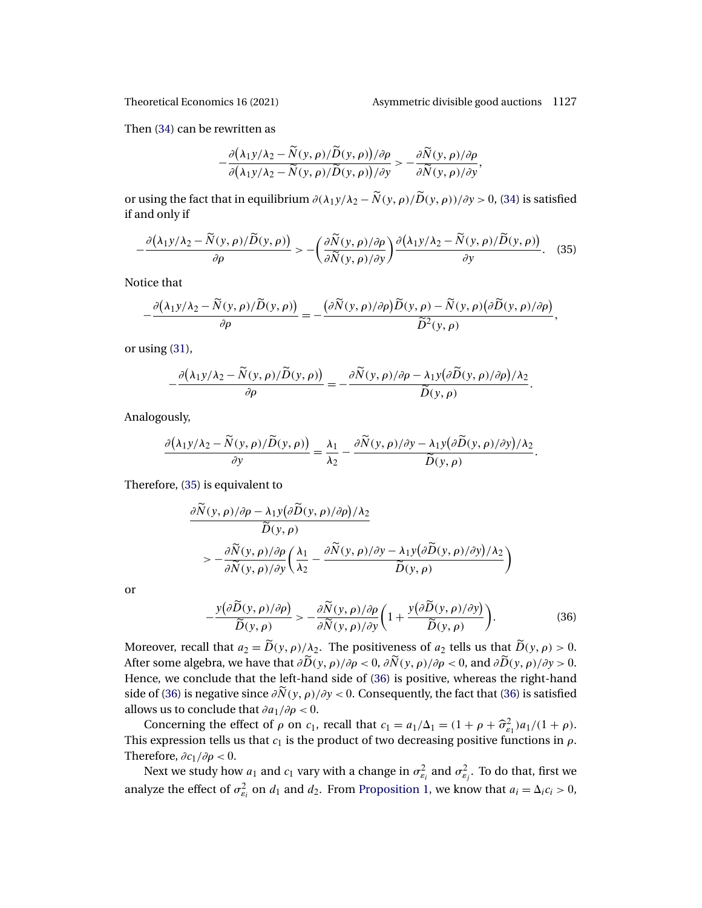Then [\(34\)](#page-31-0) can be rewritten as

$$
-\frac{\partial (\lambda_1 y/\lambda_2 - \widetilde{N}(y,\rho)/\widetilde{D}(y,\rho))/\partial \rho}{\partial (\lambda_1 y/\lambda_2 - \widetilde{N}(y,\rho)/\widetilde{D}(y,\rho))/\partial y} > -\frac{\partial \widetilde{N}(y,\rho)/\partial \rho}{\partial \widetilde{N}(y,\rho)/\partial y},
$$

or using the fact that in equilibrium  $\partial(\lambda_1 y/\lambda_2 - \tilde{N}(y, \rho)/\tilde{D}(y, \rho))/\partial y > 0$ , [\(34\)](#page-31-0) is satisfied if and only if

$$
-\frac{\partial(\lambda_1 y/\lambda_2 - \widetilde{N}(y,\rho)/\widetilde{D}(y,\rho))}{\partial \rho} > -\left(\frac{\partial \widetilde{N}(y,\rho)/\partial \rho}{\partial \widetilde{N}(y,\rho)/\partial y}\right) \frac{\partial(\lambda_1 y/\lambda_2 - \widetilde{N}(y,\rho)/\widetilde{D}(y,\rho))}{\partial y}.
$$
 (35)

Notice that

$$
-\frac{\partial (\lambda_1 y/\lambda_2 - \widetilde{N}(y,\rho)/\widetilde{D}(y,\rho))}{\partial \rho} = -\frac{(\partial \widetilde{N}(y,\rho)/\partial \rho)\widetilde{D}(y,\rho) - \widetilde{N}(y,\rho)(\partial \widetilde{D}(y,\rho)/\partial \rho)}{\widetilde{D}^2(y,\rho)},
$$

or using [\(31\)](#page-30-0),

$$
-\frac{\partial (\lambda_1 y/\lambda_2 - \widetilde{N}(y,\rho)/\widetilde{D}(y,\rho))}{\partial \rho} = -\frac{\partial \widetilde{N}(y,\rho)/\partial \rho - \lambda_1 y(\partial \widetilde{D}(y,\rho)/\partial \rho)/\lambda_2}{\widetilde{D}(y,\rho)}.
$$

Analogously,

$$
\frac{\partial (\lambda_1 y/\lambda_2 - \widetilde{N}(y,\rho)/\widetilde{D}(y,\rho))}{\partial y} = \frac{\lambda_1}{\lambda_2} - \frac{\partial \widetilde{N}(y,\rho)/\partial y - \lambda_1 y(\partial \widetilde{D}(y,\rho)/\partial y)/\lambda_2}{\widetilde{D}(y,\rho)}.
$$

Therefore, (35) is equivalent to

$$
\frac{\partial \widetilde{N}(y,\rho)/\partial \rho - \lambda_1 y (\partial \widetilde{D}(y,\rho)/\partial \rho)/\lambda_2}{\widetilde{D}(y,\rho)} \n> - \frac{\partial \widetilde{N}(y,\rho)/\partial \rho}{\partial \widetilde{N}(y,\rho)/\partial y} \left( \frac{\lambda_1}{\lambda_2} - \frac{\partial \widetilde{N}(y,\rho)/\partial y - \lambda_1 y (\partial \widetilde{D}(y,\rho)/\partial y)/\lambda_2}{\widetilde{D}(y,\rho)} \right)
$$

or

$$
-\frac{y(\partial \widetilde{D}(y,\rho)/\partial \rho)}{\widetilde{D}(y,\rho)} > -\frac{\partial \widetilde{N}(y,\rho)/\partial \rho}{\partial \widetilde{N}(y,\rho)/\partial y} \bigg(1 + \frac{y(\partial \widetilde{D}(y,\rho)/\partial y)}{\widetilde{D}(y,\rho)}\bigg). \tag{36}
$$

Moreover, recall that  $a_2 = D(y, \rho)/\lambda_2$ . The positiveness of  $a_2$  tells us that  $D(y, \rho) > 0$ . After some algebra, we have that  $\partial D(y, \rho) / \partial \rho < 0$ ,  $\partial N(y, \rho) / \partial \rho < 0$ , and  $\partial D(y, \rho) / \partial y > 0$ . Hence, we conclude that the left-hand side of (36) is positive, whereas the right-hand side of (36) is negative since  $\partial N(y, \rho)/\partial y < 0$ . Consequently, the fact that (36) is satisfied allows us to conclude that  $\partial a_1/\partial \rho < 0$ .

Concerning the effect of  $\rho$  on  $c_1$ , recall that  $c_1 = a_1/\Delta_1 = (1 + \rho + \widehat{\sigma}_{\varepsilon_1}^2)a_1/(1 + \rho)$ . This expression tells us that  $c_1$  is the product of two decreasing positive functions in  $\rho$ . Therefore,  $\partial c_1/\partial \rho < 0$ .

Next we study how  $a_1$  and  $c_1$  vary with a change in  $\sigma_{\varepsilon_i}^2$  and  $\sigma_{\varepsilon_j}^2$ . To do that, first we analyze the effect of  $\sigma_{\varepsilon_i}^2$  on  $d_1$  and  $d_2$ . From [Proposition 1,](#page-7-0) we know that  $a_i = \Delta_i c_i > 0$ ,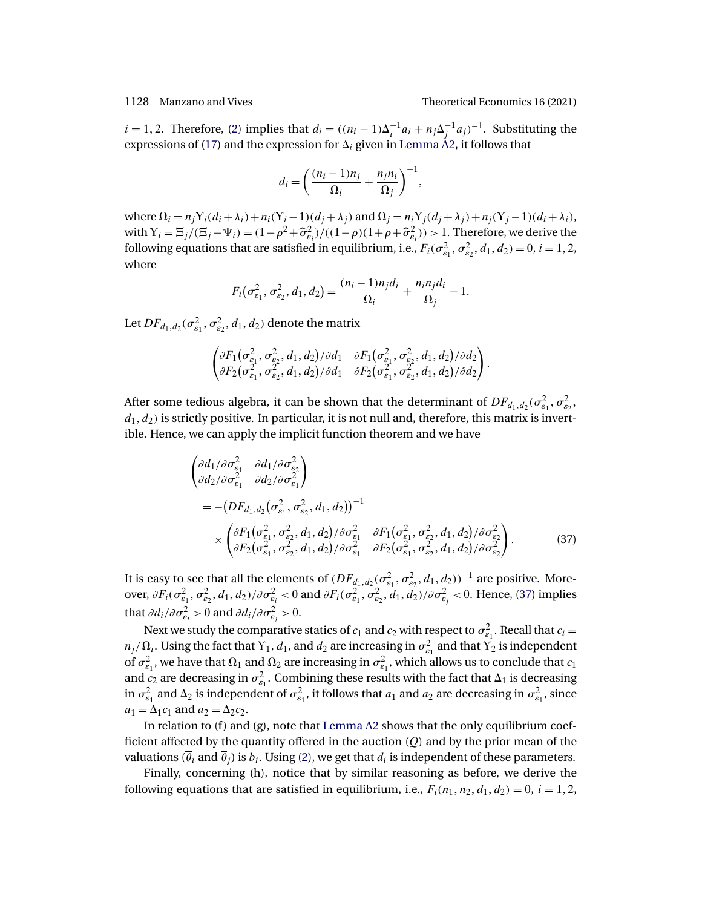$\ddot{\phantom{0}}$ 

 $i = 1, 2$ . Therefore, [\(2\)](#page-6-0) implies that  $d_i = ((n_i - 1)\Delta_i^{-1}a_i + n_j\Delta_j^{-1}a_j)^{-1}$ . Substituting the expressions of [\(17\)](#page-24-0) and the expression for  $\Delta_i$  given in [Lemma A2,](#page-24-0) it follows that

$$
d_i = \left(\frac{(n_i - 1)n_j}{\Omega_i} + \frac{n_j n_i}{\Omega_j}\right)^{-1},
$$

where  $\Omega_i = n_j Y_i(d_i + \lambda_i) + n_i(Y_i - 1)(d_i + \lambda_i)$  and  $\Omega_j = n_i Y_j(d_j + \lambda_j) + n_j(Y_j - 1)(d_i + \lambda_i)$ , with  $Y_i = \mathbb{E}_j/(\mathbb{E}_j - \Psi_i) = (1 - \rho^2 + \widehat{\sigma}_{\varepsilon_i}^2)/((1 - \rho)(1 + \rho + \widehat{\sigma}_{\varepsilon_i}^2)) > 1$ . Therefore, we derive the following equations that are satisfied in equilibrium, i.e.,  $F_i(\sigma_{\varepsilon_1}^2, \sigma_{\varepsilon_2}^2, d_1, d_2) = 0$ ,  $i = 1, 2$ , where

$$
F_i(\sigma_{\varepsilon_1}^2, \sigma_{\varepsilon_2}^2, d_1, d_2) = \frac{(n_i - 1)n_j d_i}{\Omega_i} + \frac{n_i n_j d_i}{\Omega_j} - 1.
$$

Let  $\mathit{DF}_{d_1, d_2}(\sigma^2_{\varepsilon_1}, \sigma^2_{\varepsilon_2}, d_1, d_2)$  denote the matrix

$$
\begin{pmatrix} \partial F_1(\sigma_{\varepsilon_1}^2,\sigma_{\varepsilon_2}^2,d_1,d_2)/\partial d_1 & \partial F_1(\sigma_{\varepsilon_1}^2,\sigma_{\varepsilon_2}^2,d_1,d_2)/\partial d_2 \\ \partial F_2(\sigma_{\varepsilon_1}^2,\sigma_{\varepsilon_2}^2,d_1,d_2)/\partial d_1 & \partial F_2(\sigma_{\varepsilon_1}^2,\sigma_{\varepsilon_2}^2,d_1,d_2)/\partial d_2 \end{pmatrix}
$$

After some tedious algebra, it can be shown that the determinant of  $DF_{d_1, d_2}(\sigma_{\varepsilon_1}^2, \sigma_{\varepsilon_2}^2,$  $d_1, d_2$ ) is strictly positive. In particular, it is not null and, therefore, this matrix is invertible. Hence, we can apply the implicit function theorem and we have

$$
\begin{aligned}\n\left(\frac{\partial d_1}{\partial \sigma_{\varepsilon_1}^2} \frac{\partial d_1}{\partial \sigma_{\varepsilon_2}^2}\right) &= -(DF_{d_1, d_2}(\sigma_{\varepsilon_1}^2, \sigma_{\varepsilon_2}^2, d_1, d_2))^{-1} \\
&= -(DF_{d_1, d_2}(\sigma_{\varepsilon_1}^2, \sigma_{\varepsilon_2}^2, d_1, d_2))^{-1} \\
&\times \left(\frac{\partial F_1(\sigma_{\varepsilon_1}^2, \sigma_{\varepsilon_2}^2, d_1, d_2)}{\partial F_2(\sigma_{\varepsilon_1}^2, \sigma_{\varepsilon_2}^2, d_1, d_2)}\right) \frac{\partial F_1(\sigma_{\varepsilon_1}^2, \sigma_{\varepsilon_2}^2, d_1, d_2)}{\partial F_2(\sigma_{\varepsilon_1}^2, \sigma_{\varepsilon_2}^2, d_1, d_2)}\frac{\partial F_2(\sigma_{\varepsilon_1}^2, \sigma_{\varepsilon_2}^2, d_1, d_2)}{\partial F_2(\sigma_{\varepsilon_1}^2, \sigma_{\varepsilon_2}^2, d_1, d_2)}.\n\end{aligned} \tag{37}
$$

It is easy to see that all the elements of  $(DF_{d_1,d_2}(\sigma_{\epsilon_1}^2, \sigma_{\epsilon_2}^2, d_1, d_2))^{-1}$  are positive. Moreover,  $\partial F_i(\sigma_{\varepsilon_1}^2,\sigma_{\varepsilon_2}^2,d_1,d_2)/\partial \sigma_{\varepsilon_i}^2 < 0$  and  $\partial F_i(\sigma_{\varepsilon_1}^2,\sigma_{\varepsilon_2}^2,d_1,d_2)/\partial \sigma_{\varepsilon_j}^2 < 0$ . Hence, (37) implies that  $\partial d_i/\partial \sigma_{\varepsilon_i}^2 > 0$  and  $\partial d_i/\partial \sigma_{\varepsilon_j}^2 > 0$ .

Next we study the comparative statics of  $c_1$  and  $c_2$  with respect to  $\sigma_{\varepsilon_1}^2$ . Recall that  $c_i =$  $n_j/\Omega_i$ . Using the fact that  $Y_1$ ,  $d_1$ , and  $d_2$  are increasing in  $\sigma_{\varepsilon_1}^2$  and that  $Y_2$  is independent of  $\sigma_{\varepsilon_1}^2$ , we have that  $\Omega_1$  and  $\Omega_2$  are increasing in  $\sigma_{\varepsilon_1}^2$ , which allows us to conclude that  $c_1$ and  $c_2$  are decreasing in  $\sigma_{\epsilon_1}^2$ . Combining these results with the fact that  $\Delta_1$  is decreasing in  $\sigma_{\varepsilon_1}^2$  and  $\Delta_2$  is independent of  $\sigma_{\varepsilon_1}^2$ , it follows that  $a_1$  and  $a_2$  are decreasing in  $\sigma_{\varepsilon_1}^2$ , since  $a_1 = \Delta_1 c_1$  and  $a_2 = \Delta_2 c_2$ .

In relation to (f) and (g), note that [Lemma A2](#page-24-0) shows that the only equilibrium coefficient affected by the quantity offered in the auction  $(Q)$  and by the prior mean of the valuations  $(\overline{\theta}_i$  and  $\overline{\theta}_i$ ) is  $b_i$ . Using [\(2\)](#page-6-0), we get that  $d_i$  is independent of these parameters.

Finally, concerning (h), notice that by similar reasoning as before, we derive the following equations that are satisfied in equilibrium, i.e.,  $F_i(n_1, n_2, d_1, d_2) = 0$ ,  $i = 1, 2$ ,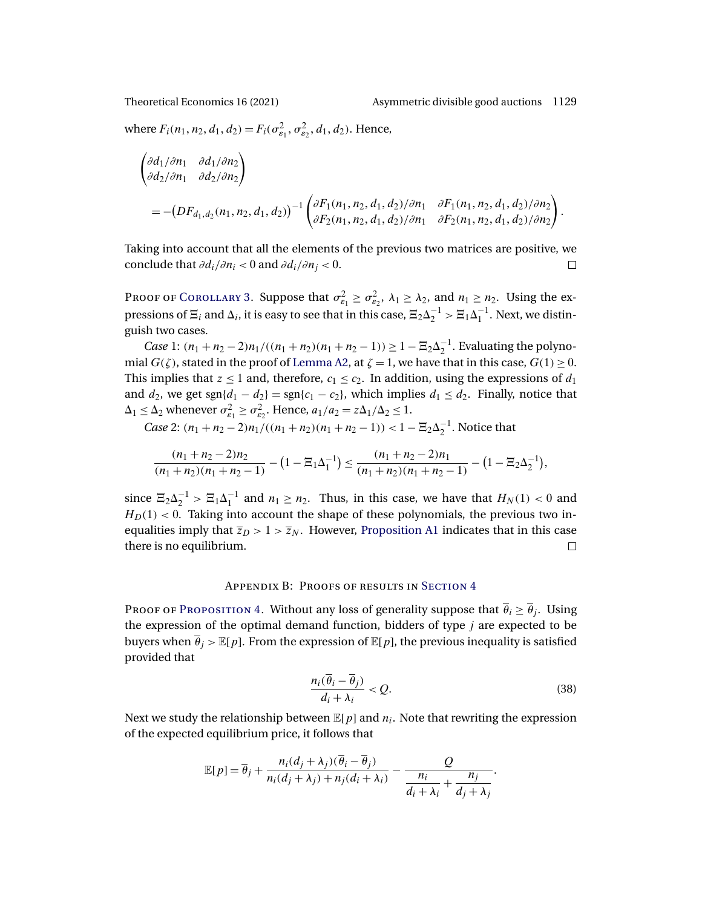<span id="page-34-0"></span>

where  $F_i(n_1, n_2, d_1, d_2) = F_i(\sigma_{\varepsilon_1}^2, \sigma_{\varepsilon_2}^2, d_1, d_2)$ . Hence,

$$
\begin{aligned}\n\left(\begin{matrix}\n\frac{\partial d_1}{\partial n_1} & \frac{\partial d_1}{\partial n_2} \\
\frac{\partial d_2}{\partial n_1} & \frac{\partial d_2}{\partial n_2}\n\end{matrix}\right) \\
= -(DF_{d_1, d_2}(n_1, n_2, d_1, d_2))^{-1} \left(\begin{matrix}\n\frac{\partial F_1(n_1, n_2, d_1, d_2)}{\partial n_1} & \frac{\partial F_1(n_1, n_2, d_1, d_2)}{\partial n_2} \\
\frac{\partial F_2(n_1, n_2, d_1, d_2)}{\partial n_1} & \frac{\partial F_2(n_1, n_2, d_1, d_2)}{\partial n_2}\n\end{matrix}\right).\n\end{aligned}
$$

Taking into account that all the elements of the previous two matrices are positive, we conclude that  $\partial d_i/\partial n_i < 0$  and  $\partial d_i/\partial n_i < 0$ .  $\Box$ 

PROOF OF COROLLARY 3. Suppose that  $\sigma_{\varepsilon_1}^2 \ge \sigma_{\varepsilon_2}^2$ ,  $\lambda_1 \ge \lambda_2$ , and  $n_1 \ge n_2$ . Using the expressions of  $\Xi_i$  and  $\Delta_i$ , it is easy to see that in this case,  $\Xi_2\Delta_2^{-1} > \Xi_1\Delta_1^{-1}$ . Next, we distinguish two cases.

*Case* 1:  $(n_1 + n_2 - 2)n_1/((n_1 + n_2)(n_1 + n_2 - 1)) \ge 1 - \Xi_2 \Delta_2^{-1}$ . Evaluating the polynomial  $G(\zeta)$ , stated in the proof of [Lemma A2,](#page-24-0) at  $\zeta = 1$ , we have that in this case,  $G(1) \ge 0$ . This implies that  $z \leq 1$  and, therefore,  $c_1 \leq c_2$ . In addition, using the expressions of  $d_1$ and  $d_2$ , we get sgn{ $d_1 - d_2$ } = sgn{ $c_1 - c_2$ }, which implies  $d_1 \leq d_2$ . Finally, notice that  $\Delta_1 \leq \Delta_2$  whenever  $\sigma_{\varepsilon_1}^2 \geq \sigma_{\varepsilon_2}^2$ . Hence,  $a_1/a_2 = z\Delta_1/\Delta_2 \leq 1$ .

*Case* 2:  $(n_1 + n_2 - 2)n_1/((n_1 + n_2)(n_1 + n_2 - 1)) < 1 - \Xi_2 \Delta_2^{-1}$ . Notice that

$$
\frac{(n_1+n_2-2)n_2}{(n_1+n_2)(n_1+n_2-1)}-(1-\Xi_1\Delta_1^{-1})\leq \frac{(n_1+n_2-2)n_1}{(n_1+n_2)(n_1+n_2-1)}-(1-\Xi_2\Delta_2^{-1}),
$$

since  $\Xi_2 \Delta_2^{-1} > \Xi_1 \Delta_1^{-1}$  and  $n_1 \ge n_2$ . Thus, in this case, we have that  $H_N(1) < 0$  and  $H<sub>D</sub>(1) < 0$ . Taking into account the shape of these polynomials, the previous two inequalities imply that  $\overline{z}_D > 1 > \overline{z}_N$ . However, [Proposition A1](#page-26-0) indicates that in this case there is no equilibrium.  $\Box$ 

# Appendix B: Proofs of results in S[ection](#page-13-0) 4

PROOF OF PROPOSITION 4. Without any loss of generality suppose that  $\overline{\theta}_i \geq \overline{\theta}_i$ . Using the expression of the optimal demand function, bidders of type  $j$  are expected to be buyers when  $\overline{\theta}_j > \mathbb{E}[p]$ . From the expression of  $\mathbb{E}[p]$ , the previous inequality is satisfied provided that

$$
\frac{n_i(\overline{\theta}_i - \overline{\theta}_j)}{d_i + \lambda_i} < Q. \tag{38}
$$

Next we study the relationship between  $\mathbb{E}[p]$  and  $n_i$ . Note that rewriting the expression of the expected equilibrium price, it follows that

$$
\mathbb{E}[p] = \overline{\theta}_j + \frac{n_i(d_j + \lambda_j)(\overline{\theta}_i - \overline{\theta}_j)}{n_i(d_j + \lambda_j) + n_j(d_i + \lambda_i)} - \frac{Q}{\frac{n_i}{d_i + \lambda_i} + \frac{n_j}{d_j + \lambda_j}}.
$$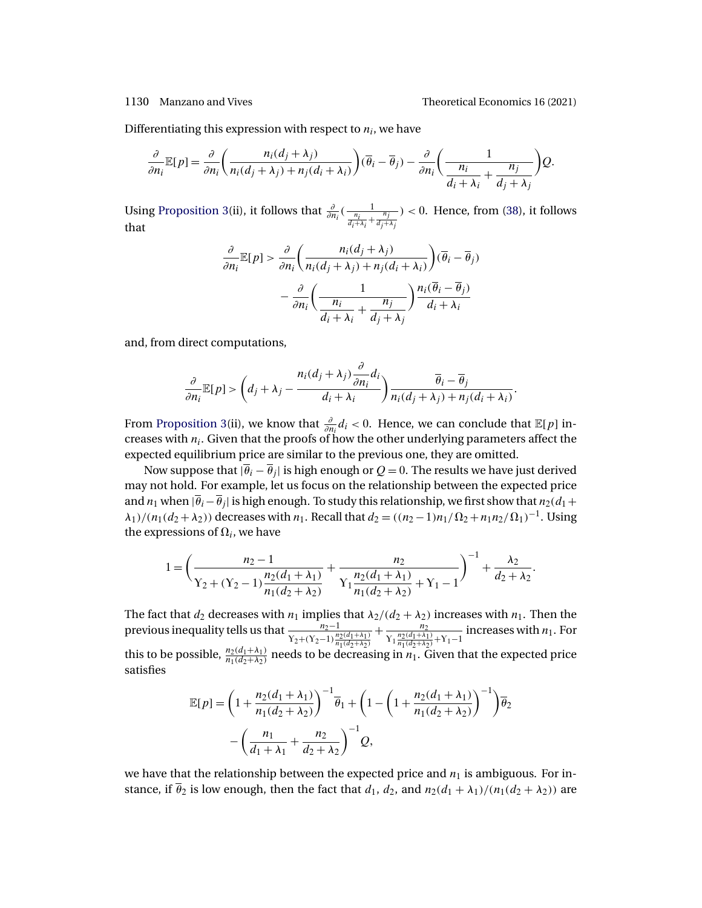Differentiating this expression with respect to  $n_i$ , we have

$$
\frac{\partial}{\partial n_i} \mathbb{E}[p] = \frac{\partial}{\partial n_i} \left( \frac{n_i(d_j + \lambda_j)}{n_i(d_j + \lambda_j) + n_j(d_i + \lambda_i)} \right) (\overline{\theta}_i - \overline{\theta}_j) - \frac{\partial}{\partial n_i} \left( \frac{1}{\frac{n_i}{d_i + \lambda_i} + \frac{n_j}{d_j + \lambda_j}} \right) Q.
$$

Using [Proposition 3\(](#page-10-0)ii), it follows that  $\frac{\partial}{\partial n_i}(\frac{1}{\frac{n_i}{d_i+\lambda_i}+\frac{n_j}{d_j+\lambda_j}})$  $) < 0$ . Hence, from  $(38)$ , it follows that

$$
\frac{\partial}{\partial n_i} \mathbb{E}[p] > \frac{\partial}{\partial n_i} \left( \frac{n_i(d_j + \lambda_j)}{n_i(d_j + \lambda_j) + n_j(d_i + \lambda_i)} \right) (\overline{\theta}_i - \overline{\theta}_j) \\
- \frac{\partial}{\partial n_i} \left( \frac{1}{\frac{n_i}{d_i + \lambda_i} + \frac{n_j}{d_j + \lambda_j}} \right) \frac{n_i(\overline{\theta}_i - \overline{\theta}_j)}{d_i + \lambda_i}
$$

and, from direct computations,

$$
\frac{\partial}{\partial n_i} \mathbb{E}[p] > \left(d_j + \lambda_j - \frac{n_i(d_j + \lambda_j) \frac{\partial}{\partial n_i} d_i}{d_i + \lambda_i}\right) \frac{\overline{\theta}_i - \overline{\theta}_j}{n_i(d_j + \lambda_j) + n_j(d_i + \lambda_i)}.
$$

From [Proposition 3\(](#page-10-0)ii), we know that  $\frac{\partial}{\partial n_i}d_i < 0$ . Hence, we can conclude that  $\mathbb{E}[p]$  increases with  $n_i$ . Given that the proofs of how the other underlying parameters affect the expected equilibrium price are similar to the previous one, they are omitted.

Now suppose that  $|\overline{\theta}_i - \overline{\theta}_j|$  is high enough or  $Q = 0$ . The results we have just derived may not hold. For example, let us focus on the relationship between the expected price and  $n_1$  when  $|\overline{\theta}_i-\overline{\theta}_j|$  is high enough. To study this relationship, we first show that  $n_2(d_1+$  $\lambda_1$ /( $n_1(d_2 + \lambda_2)$ ) decreases with  $n_1$ . Recall that  $d_2 = ((n_2 - 1)n_1/\Omega_2 + n_1n_2/\Omega_1)^{-1}$ . Using the expressions of  $\Omega_i$ , we have

$$
1 = \left(\frac{n_2 - 1}{\gamma_2 + (\gamma_2 - 1)\frac{n_2(d_1 + \lambda_1)}{n_1(d_2 + \lambda_2)}} + \frac{n_2}{\gamma_1 \frac{n_2(d_1 + \lambda_1)}{n_1(d_2 + \lambda_2)} + \gamma_1 - 1}\right)^{-1} + \frac{\lambda_2}{d_2 + \lambda_2}.
$$

The fact that  $d_2$  decreases with  $n_1$  implies that  $\lambda_2/(d_2 + \lambda_2)$  increases with  $n_1$ . Then the previous inequality tells us that  $\frac{n_2-1}{\gamma_2+(\gamma_2-1)\frac{n_2(d_1+\lambda_1)}{n_1(d_2+\lambda_2)}}$  $+\frac{n_2}{\ln (d_1 + \lambda_2)}$  $Y_1 \frac{n_2(d_1+\lambda_1)}{n_1(d_2+\lambda_2)} + Y_1 - 1$ increases with  $n_1$ . For this to be possible,  $\frac{n_2(d_1+\lambda_1)}{n_1(d_2+\lambda_2)}$  needs to be decreasing in  $n_1$ . Given that the expected price satisfies

$$
\mathbb{E}[p] = \left(1 + \frac{n_2(d_1 + \lambda_1)}{n_1(d_2 + \lambda_2)}\right)^{-1} \overline{\theta}_1 + \left(1 - \left(1 + \frac{n_2(d_1 + \lambda_1)}{n_1(d_2 + \lambda_2)}\right)^{-1}\right) \overline{\theta}_2
$$

$$
- \left(\frac{n_1}{d_1 + \lambda_1} + \frac{n_2}{d_2 + \lambda_2}\right)^{-1} Q,
$$

we have that the relationship between the expected price and  $n_1$  is ambiguous. For instance, if  $\bar{\theta}_2$  is low enough, then the fact that  $d_1$ ,  $d_2$ , and  $n_2(d_1 + \lambda_1)/(n_1(d_2 + \lambda_2))$  are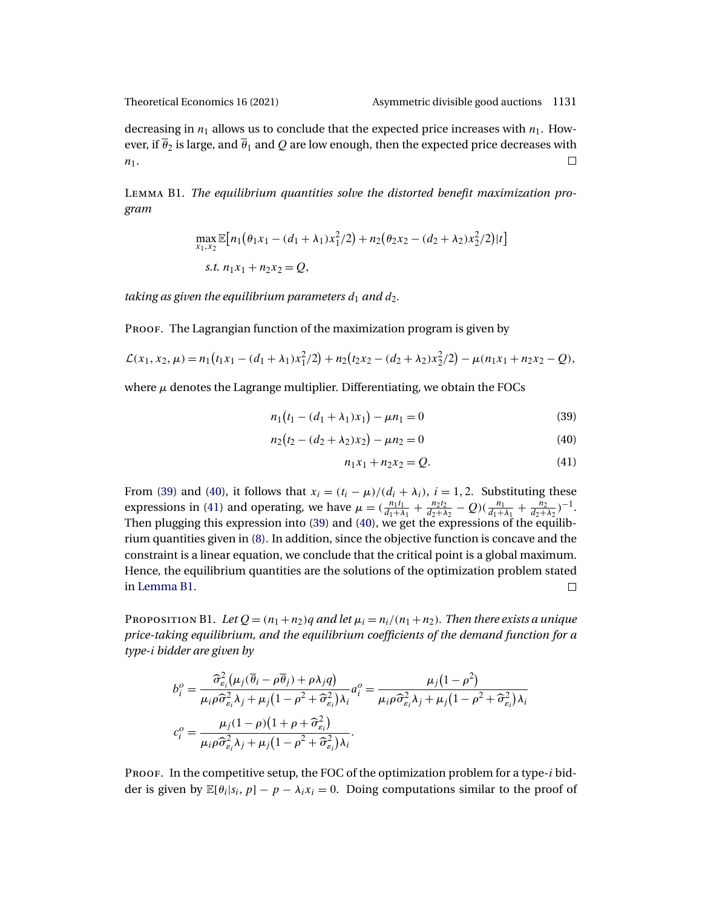<span id="page-36-0"></span>

decreasing in  $n_1$  allows us to conclude that the expected price increases with  $n_1$ . However, if  $\overline{\theta}_2$  is large, and  $\overline{\theta}_1$  and Q are low enough, then the expected price decreases with  $n_1$ .  $\Box$ 

Lemma B1. *The equilibrium quantities solve the distorted benefit maximization program*

$$
\max_{x_1, x_2} \mathbb{E}[n_1(\theta_1 x_1 - (d_1 + \lambda_1)x_1^2/2) + n_2(\theta_2 x_2 - (d_2 + \lambda_2)x_2^2/2)|t]
$$
  
s.t.  $n_1x_1 + n_2x_2 = Q$ ,

*taking as given the equilibrium parameters*  $d_1$  *and*  $d_2$ *.* 

PROOF. The Lagrangian function of the maximization program is given by

$$
\mathcal{L}(x_1, x_2, \mu) = n_1(t_1x_1 - (d_1 + \lambda_1)x_1^2/2) + n_2(t_2x_2 - (d_2 + \lambda_2)x_2^2/2) - \mu(n_1x_1 + n_2x_2 - Q),
$$

where  $\mu$  denotes the Lagrange multiplier. Differentiating, we obtain the FOCs

$$
n_1(t_1 - (d_1 + \lambda_1)x_1) - \mu n_1 = 0 \tag{39}
$$

$$
n_2(t_2 - (d_2 + \lambda_2)x_2) - \mu n_2 = 0 \tag{40}
$$

$$
n_1x_1 + n_2x_2 = Q.
$$
 (41)

From (39) and (40), it follows that  $x_i = (t_i - \mu)/(d_i + \lambda_i)$ ,  $i = 1, 2$ . Substituting these expressions in (41) and operating, we have  $\mu = (\frac{n_1 t_1}{d_1 + \lambda_1} + \frac{n_2 t_2}{d_2 + \lambda_2} - Q)(\frac{n_1}{d_1 + \lambda_1} + \frac{n_2}{d_2 + \lambda_2})^{-1}$ . Then plugging this expression into (39) and (40), we get the expressions of the equilibrium quantities given in [\(8\)](#page-13-0). In addition, since the objective function is concave and the constraint is a linear equation, we conclude that the critical point is a global maximum. Hence, the equilibrium quantities are the solutions of the optimization problem stated in Lemma B1.  $\Box$ 

PROPOSITION B1. Let  $Q = (n_1 + n_2)q$  *and let*  $\mu_i = n_i/(n_1 + n_2)$ . Then there exists a unique *price-taking equilibrium, and the equilibrium coefficients of the demand function for a type-*i *bidder are given by*

$$
b_i^o = \frac{\widehat{\sigma}_{\varepsilon_i}^2 (\mu_j (\overline{\theta}_i - \rho \overline{\theta}_j) + \rho \lambda_j q)}{\mu_i \rho \widehat{\sigma}_{\varepsilon_i}^2 \lambda_j + \mu_j (1 - \rho^2 + \widehat{\sigma}_{\varepsilon_i}^2) \lambda_i} a_i^o = \frac{\mu_j (1 - \rho^2)}{\mu_i \rho \widehat{\sigma}_{\varepsilon_i}^2 \lambda_j + \mu_j (1 - \rho^2 + \widehat{\sigma}_{\varepsilon_i}^2) \lambda_i}
$$

$$
c_i^o = \frac{\mu_j (1 - \rho) (1 + \rho + \widehat{\sigma}_{\varepsilon_i}^2)}{\mu_i \rho \widehat{\sigma}_{\varepsilon_i}^2 \lambda_j + \mu_j (1 - \rho^2 + \widehat{\sigma}_{\varepsilon_i}^2) \lambda_i}.
$$

PROOF. In the competitive setup, the FOC of the optimization problem for a type- $i$  bidder is given by  $\mathbb{E}[\theta_i|s_i, p] - p - \lambda_i x_i = 0$ . Doing computations similar to the proof of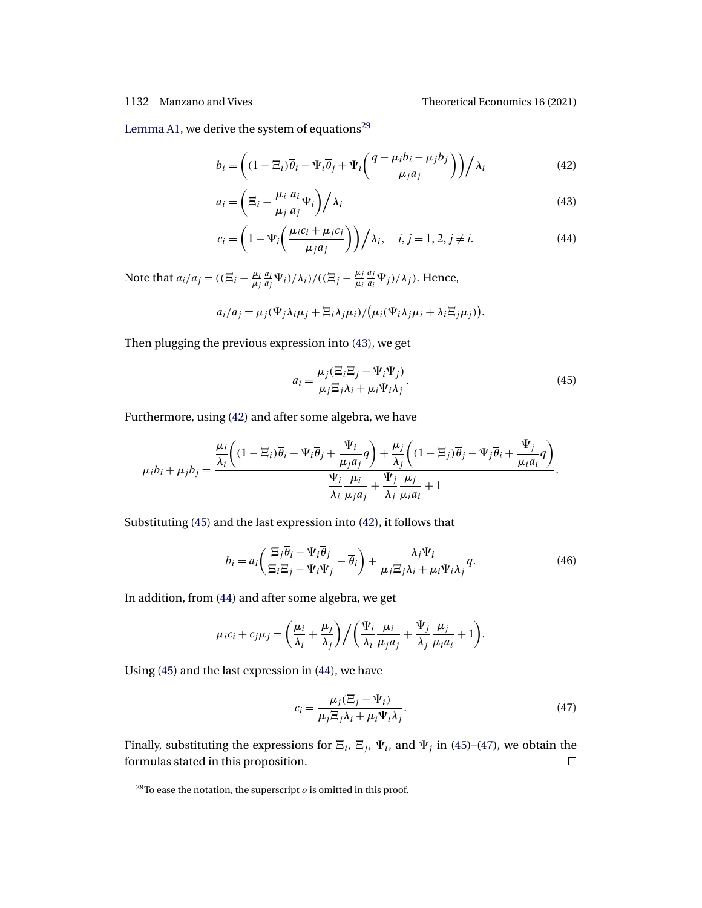1132 Manzano and Vives Theoretical Economics 16 (2021)

[Lemma A1,](#page-24-0) we derive the system of equations<sup>29</sup>

$$
b_i = \left( (1 - \Xi_i) \overline{\theta}_i - \Psi_i \overline{\theta}_j + \Psi_i \left( \frac{q - \mu_i b_i - \mu_j b_j}{\mu_j a_j} \right) \right) / \lambda_i
$$
 (42)

$$
a_i = \left(\Xi_i - \frac{\mu_i}{\mu_j} \frac{a_i}{a_j} \Psi_i\right) / \lambda_i
$$
\n(43)

$$
c_i = \left(1 - \Psi_i\left(\frac{\mu_i c_i + \mu_j c_j}{\mu_j a_j}\right)\right) / \lambda_i, \quad i, j = 1, 2, j \neq i.
$$
 (44)

Note that  $a_i/a_j = ((\overline{E}_i - \frac{\mu_i}{\mu_j}))$ ai  $\frac{a_i}{a_j}\Psi_i$ )/ $\lambda_i$ )/(( $\Xi_j - \frac{\mu_j}{\mu_i}$ aj  $\frac{a_j}{a_i}\Psi_j$   $/\lambda_j$  ). Hence,

$$
a_i/a_j = \mu_j(\Psi_j \lambda_i \mu_j + \Xi_i \lambda_j \mu_i) / (\mu_i(\Psi_i \lambda_j \mu_i + \lambda_i \Xi_j \mu_j)).
$$

Then plugging the previous expression into (43), we get

$$
a_i = \frac{\mu_j (\Xi_i \Xi_j - \Psi_i \Psi_j)}{\mu_j \Xi_j \lambda_i + \mu_i \Psi_i \lambda_j}.
$$
\n(45)

Furthermore, using (42) and after some algebra, we have

$$
\mu_i b_i + \mu_j b_j = \frac{\frac{\mu_i}{\lambda_i} \left( (1 - \Xi_i) \overline{\theta}_i - \Psi_i \overline{\theta}_j + \frac{\Psi_i}{\mu_j a_j} q \right) + \frac{\mu_j}{\lambda_j} \left( (1 - \Xi_j) \overline{\theta}_j - \Psi_j \overline{\theta}_i + \frac{\Psi_j}{\mu_i a_i} q \right)}{\frac{\Psi_i}{\lambda_i} \frac{\mu_i}{\mu_j a_j} + \frac{\Psi_j}{\lambda_j} \frac{\mu_j}{\mu_i a_i} + 1}.
$$

Substituting (45) and the last expression into (42), it follows that

$$
b_i = a_i \left( \frac{\Xi_j \overline{\theta}_i - \Psi_i \overline{\theta}_j}{\Xi_i \Xi_j - \Psi_i \Psi_j} - \overline{\theta}_i \right) + \frac{\lambda_j \Psi_i}{\mu_j \Xi_j \lambda_i + \mu_i \Psi_i \lambda_j} q.
$$
 (46)

In addition, from (44) and after some algebra, we get

$$
\mu_i c_i + c_j \mu_j = \left(\frac{\mu_i}{\lambda_i} + \frac{\mu_j}{\lambda_j}\right) / \left(\frac{\Psi_i}{\lambda_i} + \frac{\mu_i}{\mu_j a_j} + \frac{\Psi_j}{\lambda_j} + \frac{\mu_j}{\mu_i a_i} + 1\right).
$$

Using (45) and the last expression in (44), we have

$$
c_i = \frac{\mu_j (\Xi_j - \Psi_i)}{\mu_j \Xi_j \lambda_i + \mu_i \Psi_i \lambda_j}.
$$
\n(47)

Finally, substituting the expressions for  $\Xi_i$ ,  $\Xi_j$ ,  $\Psi_i$ , and  $\Psi_j$  in (45)–(47), we obtain the formulas stated in this proposition.  $\Box$ 

<sup>&</sup>lt;sup>29</sup>To ease the notation, the superscript  $\varrho$  is omitted in this proof.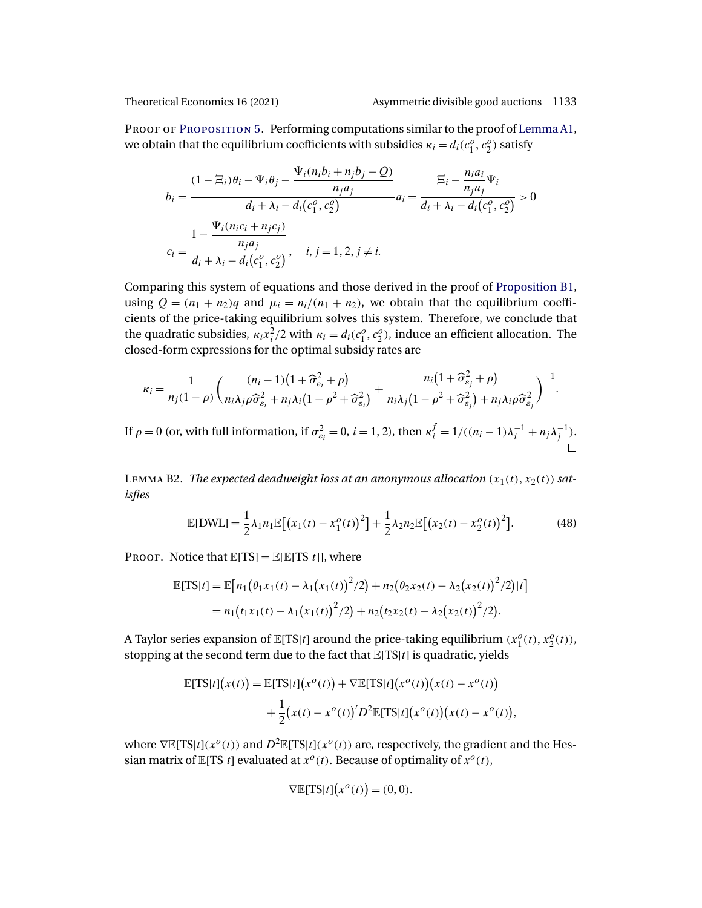<span id="page-38-0"></span>

PROOF OF PROPOSITION 5. Performing computations similar to the proof of [Lemma A1,](#page-24-0) we obtain that the equilibrium coefficients with subsidies  $\kappa_i = d_i(c_1^o, c_2^o)$  satisfy

$$
b_{i} = \frac{(1 - \Xi_{i})\overline{\theta}_{i} - \Psi_{i}\overline{\theta}_{j} - \frac{\Psi_{i}(n_{i}b_{i} + n_{j}b_{j} - Q)}{n_{j}a_{j}}}{d_{i} + \lambda_{i} - d_{i}(c_{1}^{o}, c_{2}^{o})} a_{i} = \frac{\Xi_{i} - \frac{n_{i}a_{i}}{n_{j}a_{j}}\Psi_{i}}{d_{i} + \lambda_{i} - d_{i}(c_{1}^{o}, c_{2}^{o})} > 0
$$

$$
c_{i} = \frac{1 - \frac{\Psi_{i}(n_{i}c_{i} + n_{j}c_{j})}{n_{j}a_{j}}}{d_{i} + \lambda_{i} - d_{i}(c_{1}^{o}, c_{2}^{o})}, \quad i, j = 1, 2, j \neq i.
$$

Comparing this system of equations and those derived in the proof of [Proposition B1,](#page-36-0) using  $Q = (n_1 + n_2)q$  and  $\mu_i = n_i/(n_1 + n_2)$ , we obtain that the equilibrium coefficients of the price-taking equilibrium solves this system. Therefore, we conclude that the quadratic subsidies,  $\kappa_i x_i^2/2$  with  $\kappa_i = d_i(c_1^o, c_2^o)$ , induce an efficient allocation. The closed-form expressions for the optimal subsidy rates are

$$
\kappa_i = \frac{1}{n_j(1-\rho)} \bigg( \frac{(n_i-1)\big(1+\widehat{\sigma}_{\varepsilon_i}^2+\rho\big)}{n_i\lambda_j\rho\widehat{\sigma}_{\varepsilon_i}^2+n_j\lambda_i\big(1-\rho^2+\widehat{\sigma}_{\varepsilon_i}^2\big)} + \frac{n_i\big(1+\widehat{\sigma}_{\varepsilon_j}^2+\rho\big)}{n_i\lambda_j\big(1-\rho^2+\widehat{\sigma}_{\varepsilon_j}^2\big)+n_j\lambda_i\rho\widehat{\sigma}_{\varepsilon_j}^2} \bigg)^{-1}.
$$

If  $\rho = 0$  (or, with full information, if  $\sigma_{\varepsilon_i}^2 = 0$ ,  $i = 1, 2$ ), then  $\kappa_i^f = 1/((n_i - 1)\lambda_i^{-1} + n_j\lambda_j^{-1})$ .

LEMMA B2. The expected deadweight loss at an anonymous allocation  $(x_1(t), x_2(t))$  sat*isfies*

$$
\mathbb{E}[DWL] = \frac{1}{2}\lambda_1 n_1 \mathbb{E}[(x_1(t) - x_1^o(t))^2] + \frac{1}{2}\lambda_2 n_2 \mathbb{E}[(x_2(t) - x_2^o(t))^2].
$$
 (48)

PROOF. Notice that  $\mathbb{E}[TS] = \mathbb{E}[\mathbb{E}[TS|t]]$ , where

$$
\mathbb{E}[TS|t] = \mathbb{E}[n_1(\theta_1x_1(t) - \lambda_1(x_1(t))^2/2) + n_2(\theta_2x_2(t) - \lambda_2(x_2(t))^2/2)|t]
$$
  
=  $n_1(t_1x_1(t) - \lambda_1(x_1(t))^2/2) + n_2(t_2x_2(t) - \lambda_2(x_2(t))^2/2).$ 

A Taylor series expansion of  $\mathbb{E}[TS|t]$  around the price-taking equilibrium  $(x_1^o(t), x_2^o(t))$ , stopping at the second term due to the fact that  $\mathbb{E}[TS|t]$  is quadratic, yields

$$
\mathbb{E}[TS|t](x(t)) = \mathbb{E}[TS|t](x^o(t)) + \nabla \mathbb{E}[TS|t](x^o(t))(x(t) - x^o(t))
$$

$$
+ \frac{1}{2}(x(t) - x^o(t))D^2 \mathbb{E}[TS|t](x^o(t))(x(t) - x^o(t)),
$$

where  $\nabla \mathbb{E}[TS|t](x^o(t))$  and  $D^2 \mathbb{E}[TS|t](x^o(t))$  are, respectively, the gradient and the Hessian matrix of  $\mathbb{E}[TS|t]$  evaluated at  $x^{\circ}(t)$ . Because of optimality of  $x^{\circ}(t)$ ,

$$
\nabla \mathbb{E}[TS|t](x^o(t)) = (0,0).
$$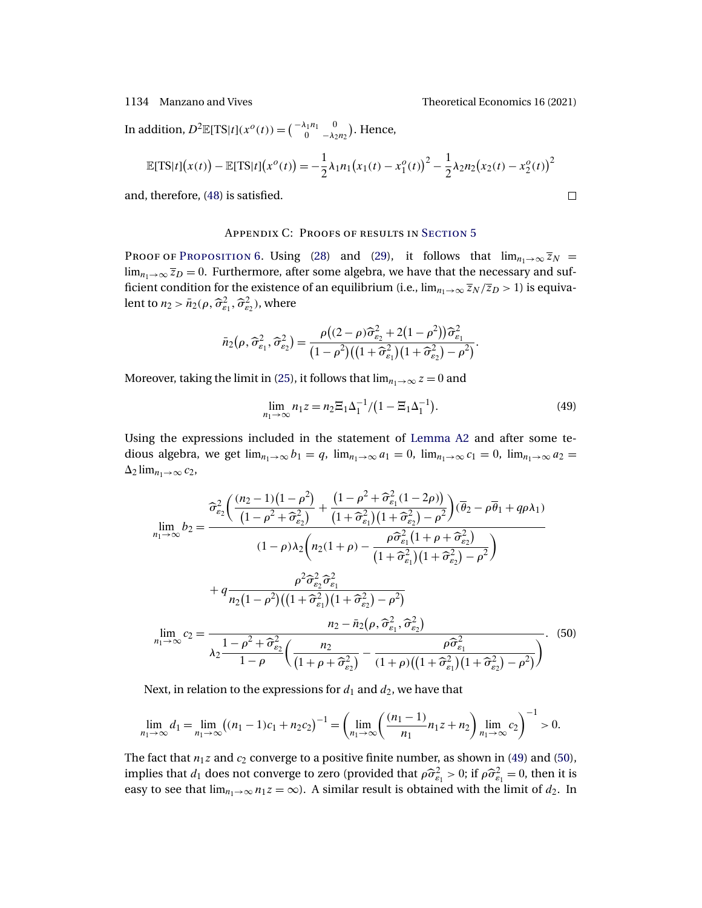<span id="page-39-0"></span>In addition,  $D^2 \mathbb{E}[TS|t](x^o(t)) = \begin{pmatrix} -\lambda_1 n_1 & 0 \\ 0 & -\lambda_2 n_2 \end{pmatrix}$ . Hence,

$$
\mathbb{E}[TS|t](x(t)) - \mathbb{E}[TS|t](x^{o}(t)) = -\frac{1}{2}\lambda_1 n_1 (x_1(t) - x_1^{o}(t))^2 - \frac{1}{2}\lambda_2 n_2 (x_2(t) - x_2^{o}(t))^2
$$

and, therefore, [\(48\)](#page-38-0) is satisfied.

## Appendix C: Proofs of results in S[ection](#page-21-0) 5

PROOF OF PROPOSITION 6. Using [\(28\)](#page-28-0) and [\(29\)](#page-29-0), it follows that  $\lim_{n_1\to\infty} \overline{z}_N$  =  $\lim_{n_1\to\infty} \overline{z}_D = 0$ . Furthermore, after some algebra, we have that the necessary and sufficient condition for the existence of an equilibrium (i.e.,  $\lim_{n_1\to\infty} \overline{z}_N / \overline{z}_D > 1$ ) is equivalent to  $n_2 > \bar{n}_2(\rho, \widehat{\sigma}_{\varepsilon_1}^2, \widehat{\sigma}_{\varepsilon_2}^2)$ , where

$$
\bar{n}_2(\rho,\widehat{\sigma}_{\varepsilon_1}^2,\widehat{\sigma}_{\varepsilon_2}^2)=\frac{\rho((2-\rho)\widehat{\sigma}_{\varepsilon_2}^2+2(1-\rho^2))\widehat{\sigma}_{\varepsilon_1}^2}{(1-\rho^2)((1+\widehat{\sigma}_{\varepsilon_1}^2)(1+\widehat{\sigma}_{\varepsilon_2}^2)-\rho^2)}.
$$

Moreover, taking the limit in [\(25\)](#page-26-0), it follows that  $\lim_{n_1\to\infty} z = 0$  and

$$
\lim_{n_1 \to \infty} n_1 z = n_2 \Xi_1 \Delta_1^{-1} / (1 - \Xi_1 \Delta_1^{-1}). \tag{49}
$$

Using the expressions included in the statement of [Lemma A2](#page-24-0) and after some tedious algebra, we get  $\lim_{n_1\to\infty} b_1 = q$ ,  $\lim_{n_1\to\infty} a_1 = 0$ ,  $\lim_{n_1\to\infty} c_1 = 0$ ,  $\lim_{n_1\to\infty} a_2 =$  $\Delta_2$  lim<sub>n<sub>1→∞</sub> c<sub>2</sub>,</sub>

$$
\lim_{n_1 \to \infty} b_2 = \frac{\hat{\sigma}_{\varepsilon_2}^2 \left( \frac{(n_2 - 1)(1 - \rho^2)}{(1 - \rho^2 + \hat{\sigma}_{\varepsilon_2}^2)} + \frac{(1 - \rho^2 + \hat{\sigma}_{\varepsilon_1}^2 (1 - 2\rho))}{(1 + \hat{\sigma}_{\varepsilon_1}^2)(1 + \hat{\sigma}_{\varepsilon_2}^2) - \rho^2} \right) (\overline{\theta}_2 - \rho \overline{\theta}_1 + q \rho \lambda_1)
$$
\n
$$
(1 - \rho) \lambda_2 \left( n_2 (1 + \rho) - \frac{\rho \hat{\sigma}_{\varepsilon_1}^2 (1 + \rho + \hat{\sigma}_{\varepsilon_2}^2)}{(1 + \hat{\sigma}_{\varepsilon_1}^2)(1 + \hat{\sigma}_{\varepsilon_2}^2) - \rho^2} \right)
$$
\n
$$
+ q \frac{\rho^2 \hat{\sigma}_{\varepsilon_2}^2 \hat{\sigma}_{\varepsilon_1}^2}{n_2 (1 - \rho^2)((1 + \hat{\sigma}_{\varepsilon_1}^2)(1 + \hat{\sigma}_{\varepsilon_2}^2) - \rho^2)}
$$
\n
$$
\lim_{n_1 \to \infty} c_2 = \frac{n_2 - \bar{n}_2 (\rho, \hat{\sigma}_{\varepsilon_1}^2, \hat{\sigma}_{\varepsilon_2}^2)}{\lambda_2 \frac{1 - \rho^2 + \hat{\sigma}_{\varepsilon_2}^2}{1 - \rho} \left( \frac{n_2}{(1 + \rho + \hat{\sigma}_{\varepsilon_2}^2)} - \frac{\rho \hat{\sigma}_{\varepsilon_1}^2}{(1 + \rho)((1 + \hat{\sigma}_{\varepsilon_1}^2)(1 + \hat{\sigma}_{\varepsilon_2}^2) - \rho^2)} \right)}.
$$
\n(50)

Next, in relation to the expressions for  $d_1$  and  $d_2$ , we have that

$$
\lim_{n_1 \to \infty} d_1 = \lim_{n_1 \to \infty} ((n_1 - 1)c_1 + n_2 c_2)^{-1} = \left( \lim_{n_1 \to \infty} \left( \frac{(n_1 - 1)}{n_1} n_1 z + n_2 \right) \lim_{n_1 \to \infty} c_2 \right)^{-1} > 0.
$$

The fact that  $n_1z$  and  $c_2$  converge to a positive finite number, as shown in (49) and (50), implies that  $d_1$  does not converge to zero (provided that  $\rho \hat{\sigma}_{\varepsilon_1}^2 > 0$ ; if  $\rho \hat{\sigma}_{\varepsilon_1}^2 = 0$ , then it is easy to see that  $\lim_{n_1\to\infty} n_1z = \infty$ ). A similar result is obtained with the limit of  $d_2$ . In

$$
\Box
$$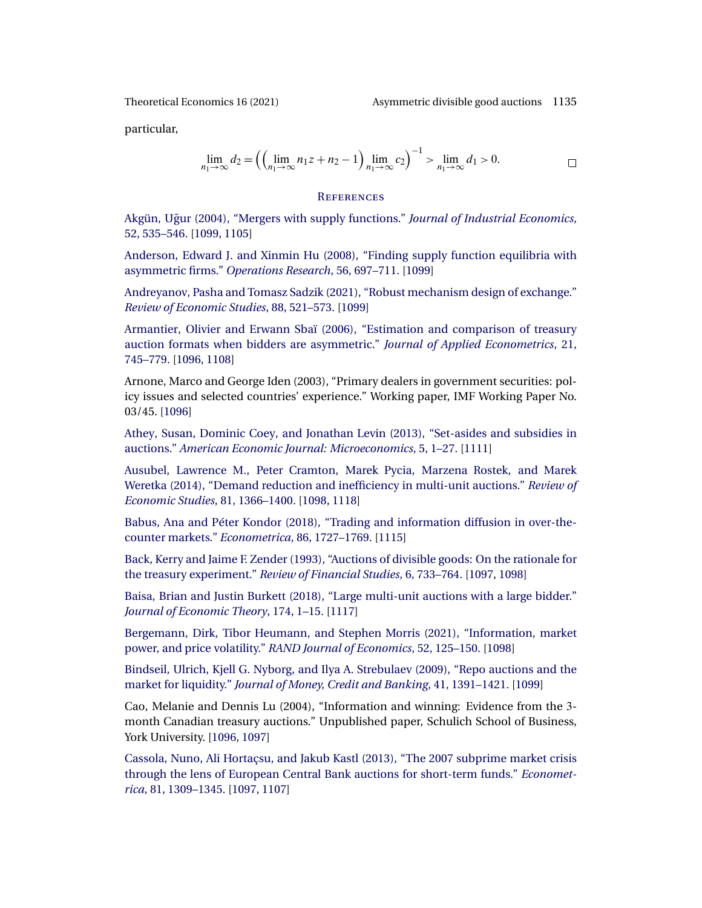<span id="page-40-0"></span>

particular,

$$
\lim_{n_1 \to \infty} d_2 = \left( \left( \lim_{n_1 \to \infty} n_1 z + n_2 - 1 \right) \lim_{n_1 \to \infty} c_2 \right)^{-1} > \lim_{n_1 \to \infty} d_1 > 0.
$$

### **REFERENCES**

[Akgün, Ugur \(2004\), "Mergers with supply functions."](http://www.e-publications.org/srv/te/linkserver/openurl?rft_dat=bib:1/a04&rfe_id=urn:sici%2F1933-6837%282021%2916%3A3%3C1095%3AMPAWIA%3E2.0.CO%3B2-T) ˘ *Journal of Industrial Economics*, [52, 535–546.](http://www.e-publications.org/srv/te/linkserver/openurl?rft_dat=bib:1/a04&rfe_id=urn:sici%2F1933-6837%282021%2916%3A3%3C1095%3AMPAWIA%3E2.0.CO%3B2-T) [\[1099,](#page-4-0) [1105\]](#page-10-0)

[Anderson, Edward J. and Xinmin Hu \(2008\), "Finding supply function equilibria with](http://www.e-publications.org/srv/te/linkserver/openurl?rft_dat=bib:2/ah08&rfe_id=urn:sici%2F1933-6837%282021%2916%3A3%3C1095%3AMPAWIA%3E2.0.CO%3B2-T) asymmetric firms." *[Operations Research](http://www.e-publications.org/srv/te/linkserver/openurl?rft_dat=bib:2/ah08&rfe_id=urn:sici%2F1933-6837%282021%2916%3A3%3C1095%3AMPAWIA%3E2.0.CO%3B2-T)*, 56, 697–711. [\[1099\]](#page-4-0)

[Andreyanov, Pasha and Tomasz Sadzik \(2021\), "Robust mechanism design of exchange."](http://www.e-publications.org/srv/te/linkserver/openurl?rft_dat=bib:3/as20&rfe_id=urn:sici%2F1933-6837%282021%2916%3A3%3C1095%3AMPAWIA%3E2.0.CO%3B2-T) *[Review of Economic Studies](http://www.e-publications.org/srv/te/linkserver/openurl?rft_dat=bib:3/as20&rfe_id=urn:sici%2F1933-6837%282021%2916%3A3%3C1095%3AMPAWIA%3E2.0.CO%3B2-T)*, 88, 521–573. [\[1099\]](#page-4-0)

[Armantier, Olivier and Erwann Sbaï \(2006\), "Estimation and comparison of treasury](http://www.e-publications.org/srv/te/linkserver/openurl?rft_dat=bib:4/as06&rfe_id=urn:sici%2F1933-6837%282021%2916%3A3%3C1095%3AMPAWIA%3E2.0.CO%3B2-T) [auction formats when bidders are asymmetric."](http://www.e-publications.org/srv/te/linkserver/openurl?rft_dat=bib:4/as06&rfe_id=urn:sici%2F1933-6837%282021%2916%3A3%3C1095%3AMPAWIA%3E2.0.CO%3B2-T) *Journal of Applied Econometrics*, 21, [745–779.](http://www.e-publications.org/srv/te/linkserver/openurl?rft_dat=bib:4/as06&rfe_id=urn:sici%2F1933-6837%282021%2916%3A3%3C1095%3AMPAWIA%3E2.0.CO%3B2-T) [\[1096,](#page-1-0) [1108\]](#page-13-0)

Arnone, Marco and George Iden (2003), "Primary dealers in government securities: policy issues and selected countries' experience." Working paper, IMF Working Paper No. 03/45. [\[1096\]](#page-1-0)

[Athey, Susan, Dominic Coey, and Jonathan Levin \(2013\), "Set-asides and subsidies in](http://www.e-publications.org/srv/te/linkserver/openurl?rft_dat=bib:6/acl13&rfe_id=urn:sici%2F1933-6837%282021%2916%3A3%3C1095%3AMPAWIA%3E2.0.CO%3B2-T) auctions." *[American Economic Journal: Microeconomics](http://www.e-publications.org/srv/te/linkserver/openurl?rft_dat=bib:6/acl13&rfe_id=urn:sici%2F1933-6837%282021%2916%3A3%3C1095%3AMPAWIA%3E2.0.CO%3B2-T)*, 5, 1–27. [\[1111\]](#page-16-0)

[Ausubel, Lawrence M., Peter Cramton, Marek Pycia, Marzena Rostek, and Marek](http://www.e-publications.org/srv/te/linkserver/openurl?rft_dat=bib:7/acprw14&rfe_id=urn:sici%2F1933-6837%282021%2916%3A3%3C1095%3AMPAWIA%3E2.0.CO%3B2-T) [Weretka \(2014\), "Demand reduction and inefficiency in multi-unit auctions."](http://www.e-publications.org/srv/te/linkserver/openurl?rft_dat=bib:7/acprw14&rfe_id=urn:sici%2F1933-6837%282021%2916%3A3%3C1095%3AMPAWIA%3E2.0.CO%3B2-T) *Review of [Economic Studies](http://www.e-publications.org/srv/te/linkserver/openurl?rft_dat=bib:7/acprw14&rfe_id=urn:sici%2F1933-6837%282021%2916%3A3%3C1095%3AMPAWIA%3E2.0.CO%3B2-T)*, 81, 1366–1400. [\[1098,](#page-3-0) [1118\]](#page-23-0)

[Babus, Ana and Péter Kondor \(2018\), "Trading and information diffusion in over-the](http://www.e-publications.org/srv/te/linkserver/openurl?rft_dat=bib:8/bk18&rfe_id=urn:sici%2F1933-6837%282021%2916%3A3%3C1095%3AMPAWIA%3E2.0.CO%3B2-T)[counter markets."](http://www.e-publications.org/srv/te/linkserver/openurl?rft_dat=bib:8/bk18&rfe_id=urn:sici%2F1933-6837%282021%2916%3A3%3C1095%3AMPAWIA%3E2.0.CO%3B2-T) *Econometrica*, 86, 1727–1769. [\[1115\]](#page-20-0)

[Back, Kerry and Jaime F. Zender \(1993\), "Auctions of divisible goods: On the rationale for](http://www.e-publications.org/srv/te/linkserver/openurl?rft_dat=bib:9/bz93&rfe_id=urn:sici%2F1933-6837%282021%2916%3A3%3C1095%3AMPAWIA%3E2.0.CO%3B2-T) the treasury experiment." *[Review of Financial Studies](http://www.e-publications.org/srv/te/linkserver/openurl?rft_dat=bib:9/bz93&rfe_id=urn:sici%2F1933-6837%282021%2916%3A3%3C1095%3AMPAWIA%3E2.0.CO%3B2-T)*, 6, 733–764. [\[1097,](#page-2-0) [1098\]](#page-3-0)

[Baisa, Brian and Justin Burkett \(2018\), "Large multi-unit auctions with a large bidder."](http://www.e-publications.org/srv/te/linkserver/openurl?rft_dat=bib:10/bb18&rfe_id=urn:sici%2F1933-6837%282021%2916%3A3%3C1095%3AMPAWIA%3E2.0.CO%3B2-T) *[Journal of Economic Theory](http://www.e-publications.org/srv/te/linkserver/openurl?rft_dat=bib:10/bb18&rfe_id=urn:sici%2F1933-6837%282021%2916%3A3%3C1095%3AMPAWIA%3E2.0.CO%3B2-T)*, 174, 1–15. [\[1117\]](#page-22-0)

[Bergemann, Dirk, Tibor Heumann, and Stephen Morris \(2021\), "Information, market](http://www.e-publications.org/srv/te/linkserver/openurl?rft_dat=bib:11/bhm18&rfe_id=urn:sici%2F1933-6837%282021%2916%3A3%3C1095%3AMPAWIA%3E2.0.CO%3B2-T) power, and price volatility." *[RAND Journal of Economics](http://www.e-publications.org/srv/te/linkserver/openurl?rft_dat=bib:11/bhm18&rfe_id=urn:sici%2F1933-6837%282021%2916%3A3%3C1095%3AMPAWIA%3E2.0.CO%3B2-T)*, 52, 125–150. [\[1098\]](#page-3-0)

[Bindseil, Ulrich, Kjell G. Nyborg, and Ilya A. Strebulaev \(2009\), "Repo auctions and the](http://www.e-publications.org/srv/te/linkserver/openurl?rft_dat=bib:12/bns09&rfe_id=urn:sici%2F1933-6837%282021%2916%3A3%3C1095%3AMPAWIA%3E2.0.CO%3B2-T) market for liquidity." *[Journal of Money, Credit and Banking](http://www.e-publications.org/srv/te/linkserver/openurl?rft_dat=bib:12/bns09&rfe_id=urn:sici%2F1933-6837%282021%2916%3A3%3C1095%3AMPAWIA%3E2.0.CO%3B2-T)*, 41, 1391–1421. [\[1099\]](#page-4-0)

Cao, Melanie and Dennis Lu (2004), "Information and winning: Evidence from the 3 month Canadian treasury auctions." Unpublished paper, Schulich School of Business, York University. [\[1096,](#page-1-0) [1097\]](#page-2-0)

[Cassola, Nuno, Ali Hortaçsu, and Jakub Kastl \(2013\), "The 2007 subprime market crisis](http://www.e-publications.org/srv/te/linkserver/openurl?rft_dat=bib:14/chk13&rfe_id=urn:sici%2F1933-6837%282021%2916%3A3%3C1095%3AMPAWIA%3E2.0.CO%3B2-T) [through the lens of European Central Bank auctions for short-term funds."](http://www.e-publications.org/srv/te/linkserver/openurl?rft_dat=bib:14/chk13&rfe_id=urn:sici%2F1933-6837%282021%2916%3A3%3C1095%3AMPAWIA%3E2.0.CO%3B2-T) *Econometrica*[, 81, 1309–1345.](http://www.e-publications.org/srv/te/linkserver/openurl?rft_dat=bib:14/chk13&rfe_id=urn:sici%2F1933-6837%282021%2916%3A3%3C1095%3AMPAWIA%3E2.0.CO%3B2-T) [\[1097,](#page-2-0) [1107\]](#page-12-0)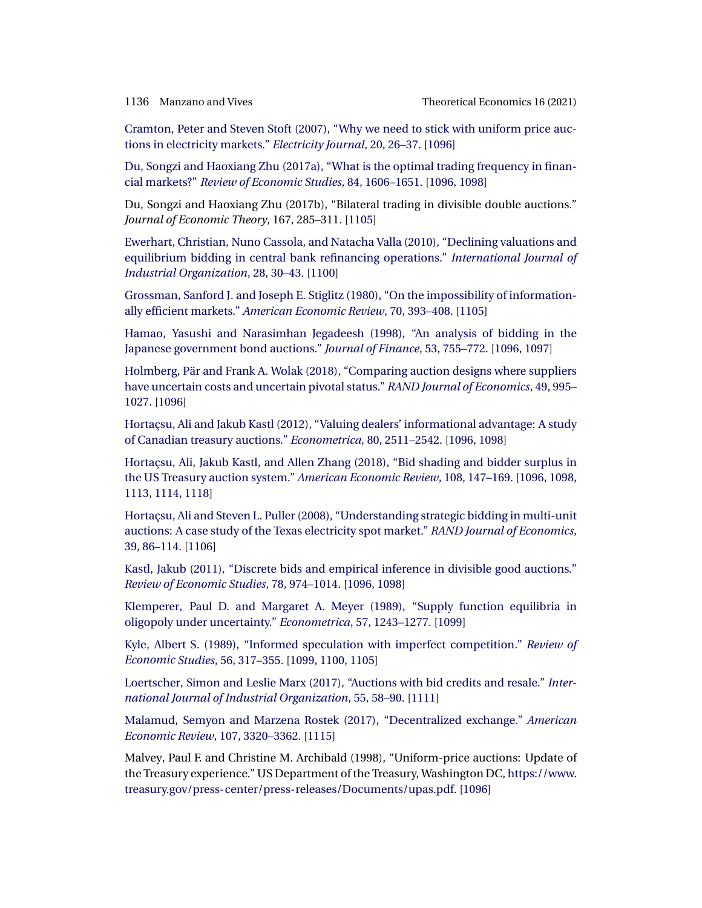<span id="page-41-0"></span>

[Cramton, Peter and Steven Stoft \(2007\), "Why we need to stick with uniform price auc](http://www.e-publications.org/srv/te/linkserver/openurl?rft_dat=bib:15/cs07&rfe_id=urn:sici%2F1933-6837%282021%2916%3A3%3C1095%3AMPAWIA%3E2.0.CO%3B2-T)[tions in electricity markets."](http://www.e-publications.org/srv/te/linkserver/openurl?rft_dat=bib:15/cs07&rfe_id=urn:sici%2F1933-6837%282021%2916%3A3%3C1095%3AMPAWIA%3E2.0.CO%3B2-T) *Electricity Journal*, 20, 26–37. [\[1096\]](#page-1-0)

[Du, Songzi and Haoxiang Zhu \(2017a\), "What is the optimal trading frequency in finan](http://www.e-publications.org/srv/te/linkserver/openurl?rft_dat=bib:16/dz17a&rfe_id=urn:sici%2F1933-6837%282021%2916%3A3%3C1095%3AMPAWIA%3E2.0.CO%3B2-T)cial markets?" *[Review of Economic Studies](http://www.e-publications.org/srv/te/linkserver/openurl?rft_dat=bib:16/dz17a&rfe_id=urn:sici%2F1933-6837%282021%2916%3A3%3C1095%3AMPAWIA%3E2.0.CO%3B2-T)*, 84, 1606–1651. [\[1096,](#page-1-0) [1098\]](#page-3-0)

Du, Songzi and Haoxiang Zhu (2017b), "Bilateral trading in divisible double auctions." *Journal of Economic Theory*, 167, 285–311. [\[1105\]](#page-10-0)

[Ewerhart, Christian, Nuno Cassola, and Natacha Valla \(2010\), "Declining valuations and](http://www.e-publications.org/srv/te/linkserver/openurl?rft_dat=bib:18/ecv10&rfe_id=urn:sici%2F1933-6837%282021%2916%3A3%3C1095%3AMPAWIA%3E2.0.CO%3B2-T) [equilibrium bidding in central bank refinancing operations."](http://www.e-publications.org/srv/te/linkserver/openurl?rft_dat=bib:18/ecv10&rfe_id=urn:sici%2F1933-6837%282021%2916%3A3%3C1095%3AMPAWIA%3E2.0.CO%3B2-T) *International Journal of [Industrial Organization](http://www.e-publications.org/srv/te/linkserver/openurl?rft_dat=bib:18/ecv10&rfe_id=urn:sici%2F1933-6837%282021%2916%3A3%3C1095%3AMPAWIA%3E2.0.CO%3B2-T)*, 28, 30–43. [\[1100\]](#page-5-0)

[Grossman, Sanford J. and Joseph E. Stiglitz \(1980\), "On the impossibility of information](http://www.e-publications.org/srv/te/linkserver/openurl?rft_dat=bib:19/gs80&rfe_id=urn:sici%2F1933-6837%282021%2916%3A3%3C1095%3AMPAWIA%3E2.0.CO%3B2-T)ally efficient markets." *[American Economic Review](http://www.e-publications.org/srv/te/linkserver/openurl?rft_dat=bib:19/gs80&rfe_id=urn:sici%2F1933-6837%282021%2916%3A3%3C1095%3AMPAWIA%3E2.0.CO%3B2-T)*, 70, 393–408. [\[1105\]](#page-10-0)

[Hamao, Yasushi and Narasimhan Jegadeesh \(1998\), "An analysis of bidding in the](http://www.e-publications.org/srv/te/linkserver/openurl?rft_dat=bib:20/hj98&rfe_id=urn:sici%2F1933-6837%282021%2916%3A3%3C1095%3AMPAWIA%3E2.0.CO%3B2-T) [Japanese government bond auctions."](http://www.e-publications.org/srv/te/linkserver/openurl?rft_dat=bib:20/hj98&rfe_id=urn:sici%2F1933-6837%282021%2916%3A3%3C1095%3AMPAWIA%3E2.0.CO%3B2-T) *Journal of Finance*, 53, 755–772. [\[1096,](#page-1-0) [1097\]](#page-2-0)

[Holmberg, Pär and Frank A. Wolak \(2018\), "Comparing auction designs where suppliers](http://www.e-publications.org/srv/te/linkserver/openurl?rft_dat=bib:21/hw18&rfe_id=urn:sici%2F1933-6837%282021%2916%3A3%3C1095%3AMPAWIA%3E2.0.CO%3B2-T) [have uncertain costs and uncertain pivotal status."](http://www.e-publications.org/srv/te/linkserver/openurl?rft_dat=bib:21/hw18&rfe_id=urn:sici%2F1933-6837%282021%2916%3A3%3C1095%3AMPAWIA%3E2.0.CO%3B2-T) *RAND Journal of Economics*, 49, 995– [1027.](http://www.e-publications.org/srv/te/linkserver/openurl?rft_dat=bib:21/hw18&rfe_id=urn:sici%2F1933-6837%282021%2916%3A3%3C1095%3AMPAWIA%3E2.0.CO%3B2-T) [\[1096\]](#page-1-0)

[Hortaçsu, Ali and Jakub Kastl \(2012\), "Valuing dealers' informational advantage: A study](http://www.e-publications.org/srv/te/linkserver/openurl?rft_dat=bib:22/hk12&rfe_id=urn:sici%2F1933-6837%282021%2916%3A3%3C1095%3AMPAWIA%3E2.0.CO%3B2-T) [of Canadian treasury auctions."](http://www.e-publications.org/srv/te/linkserver/openurl?rft_dat=bib:22/hk12&rfe_id=urn:sici%2F1933-6837%282021%2916%3A3%3C1095%3AMPAWIA%3E2.0.CO%3B2-T) *Econometrica*, 80, 2511–2542. [\[1096,](#page-1-0) [1098\]](#page-3-0)

[Hortaçsu, Ali, Jakub Kastl, and Allen Zhang \(2018\), "Bid shading and bidder surplus in](http://www.e-publications.org/srv/te/linkserver/openurl?rft_dat=bib:23/hkz18&rfe_id=urn:sici%2F1933-6837%282021%2916%3A3%3C1095%3AMPAWIA%3E2.0.CO%3B2-T) [the US Treasury auction system."](http://www.e-publications.org/srv/te/linkserver/openurl?rft_dat=bib:23/hkz18&rfe_id=urn:sici%2F1933-6837%282021%2916%3A3%3C1095%3AMPAWIA%3E2.0.CO%3B2-T) *American Economic Review*, 108, 147–169. [\[1096,](#page-1-0) [1098,](#page-3-0) [1113,](#page-18-0) [1114,](#page-19-0) [1118\]](#page-23-0)

[Hortaçsu, Ali and Steven L. Puller \(2008\), "Understanding strategic bidding in multi-unit](http://www.e-publications.org/srv/te/linkserver/openurl?rft_dat=bib:24/hp08&rfe_id=urn:sici%2F1933-6837%282021%2916%3A3%3C1095%3AMPAWIA%3E2.0.CO%3B2-T) [auctions: A case study of the Texas electricity spot market."](http://www.e-publications.org/srv/te/linkserver/openurl?rft_dat=bib:24/hp08&rfe_id=urn:sici%2F1933-6837%282021%2916%3A3%3C1095%3AMPAWIA%3E2.0.CO%3B2-T) *RAND Journal of Economics*, [39, 86–114.](http://www.e-publications.org/srv/te/linkserver/openurl?rft_dat=bib:24/hp08&rfe_id=urn:sici%2F1933-6837%282021%2916%3A3%3C1095%3AMPAWIA%3E2.0.CO%3B2-T) [\[1106\]](#page-11-0)

[Kastl, Jakub \(2011\), "Discrete bids and empirical inference in divisible good auctions."](http://www.e-publications.org/srv/te/linkserver/openurl?rft_dat=bib:25/k11&rfe_id=urn:sici%2F1933-6837%282021%2916%3A3%3C1095%3AMPAWIA%3E2.0.CO%3B2-T) *[Review of Economic Studies](http://www.e-publications.org/srv/te/linkserver/openurl?rft_dat=bib:25/k11&rfe_id=urn:sici%2F1933-6837%282021%2916%3A3%3C1095%3AMPAWIA%3E2.0.CO%3B2-T)*, 78, 974–1014. [\[1096,](#page-1-0) [1098\]](#page-3-0)

[Klemperer, Paul D. and Margaret A. Meyer \(1989\), "Supply function equilibria in](http://www.e-publications.org/srv/te/linkserver/openurl?rft_dat=bib:26/km89&rfe_id=urn:sici%2F1933-6837%282021%2916%3A3%3C1095%3AMPAWIA%3E2.0.CO%3B2-T) [oligopoly under uncertainty."](http://www.e-publications.org/srv/te/linkserver/openurl?rft_dat=bib:26/km89&rfe_id=urn:sici%2F1933-6837%282021%2916%3A3%3C1095%3AMPAWIA%3E2.0.CO%3B2-T) *Econometrica*, 57, 1243–1277. [\[1099\]](#page-4-0)

[Kyle, Albert S. \(1989\), "Informed speculation with imperfect competition."](http://www.e-publications.org/srv/te/linkserver/openurl?rft_dat=bib:27/k89&rfe_id=urn:sici%2F1933-6837%282021%2916%3A3%3C1095%3AMPAWIA%3E2.0.CO%3B2-T) *Review of Economic Studies*[, 56, 317–355.](http://www.e-publications.org/srv/te/linkserver/openurl?rft_dat=bib:27/k89&rfe_id=urn:sici%2F1933-6837%282021%2916%3A3%3C1095%3AMPAWIA%3E2.0.CO%3B2-T) [\[1099,](#page-4-0) [1100,](#page-5-0) [1105\]](#page-10-0)

[Loertscher, Simon and Leslie Marx \(2017\), "Auctions with bid credits and resale."](http://www.e-publications.org/srv/te/linkserver/openurl?rft_dat=bib:28/lm17&rfe_id=urn:sici%2F1933-6837%282021%2916%3A3%3C1095%3AMPAWIA%3E2.0.CO%3B2-T) *Inter[national Journal of Industrial Organization](http://www.e-publications.org/srv/te/linkserver/openurl?rft_dat=bib:28/lm17&rfe_id=urn:sici%2F1933-6837%282021%2916%3A3%3C1095%3AMPAWIA%3E2.0.CO%3B2-T)*, 55, 58–90. [\[1111\]](#page-16-0)

[Malamud, Semyon and Marzena Rostek \(2017\), "Decentralized exchange."](http://www.e-publications.org/srv/te/linkserver/openurl?rft_dat=bib:29/mr17&rfe_id=urn:sici%2F1933-6837%282021%2916%3A3%3C1095%3AMPAWIA%3E2.0.CO%3B2-T) *American [Economic Review](http://www.e-publications.org/srv/te/linkserver/openurl?rft_dat=bib:29/mr17&rfe_id=urn:sici%2F1933-6837%282021%2916%3A3%3C1095%3AMPAWIA%3E2.0.CO%3B2-T)*, 107, 3320–3362. [\[1115\]](#page-20-0)

Malvey, Paul F. and Christine M. Archibald (1998), "Uniform-price auctions: Update of the Treasury experience." US Department of the Treasury, Washington DC, [https://www.](https://www.treasury.gov/press-center/press-releases/Documents/upas.pdf) [treasury.gov/press-center/press-releases/Documents/upas.pdf.](https://www.treasury.gov/press-center/press-releases/Documents/upas.pdf) [\[1096\]](#page-1-0)